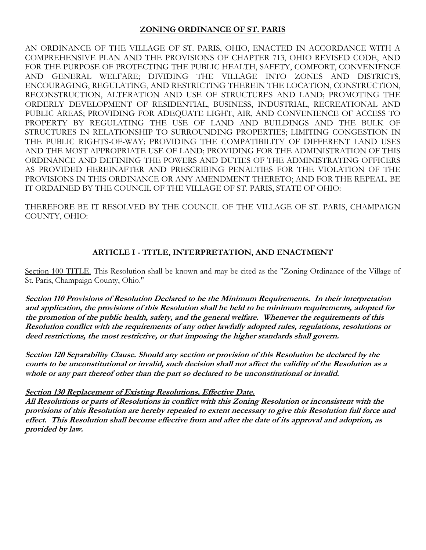### **ZONING ORDINANCE OF ST. PARIS**

AN ORDINANCE OF THE VILLAGE OF ST. PARIS, OHIO, ENACTED IN ACCORDANCE WITH A COMPREHENSIVE PLAN AND THE PROVISIONS OF CHAPTER 713, OHIO REVISED CODE, AND FOR THE PURPOSE OF PROTECTING THE PUBLIC HEALTH, SAFETY, COMFORT, CONVENIENCE AND GENERAL WELFARE; DIVIDING THE VILLAGE INTO ZONES AND DISTRICTS, ENCOURAGING, REGULATING, AND RESTRICTING THEREIN THE LOCATION, CONSTRUCTION, RECONSTRUCTION, ALTERATION AND USE OF STRUCTURES AND LAND; PROMOTING THE ORDERLY DEVELOPMENT OF RESIDENTIAL, BUSINESS, INDUSTRIAL, RECREATIONAL AND PUBLIC AREAS; PROVIDING FOR ADEQUATE LIGHT, AIR, AND CONVENIENCE OF ACCESS TO PROPERTY BY REGULATING THE USE OF LAND AND BUILDINGS AND THE BULK OF STRUCTURES IN RELATIONSHIP TO SURROUNDING PROPERTIES; LIMITING CONGESTION IN THE PUBLIC RIGHTS-OF-WAY; PROVIDING THE COMPATIBILITY OF DIFFERENT LAND USES AND THE MOST APPROPRIATE USE OF LAND; PROVIDING FOR THE ADMINISTRATION OF THIS ORDINANCE AND DEFINING THE POWERS AND DUTIES OF THE ADMINISTRATING OFFICERS AS PROVIDED HEREINAFTER AND PRESCRIBING PENALTIES FOR THE VIOLATION OF THE PROVISIONS IN THIS ORDINANCE OR ANY AMENDMENT THERETO; AND FOR THE REPEAL. BE IT ORDAINED BY THE COUNCIL OF THE VILLAGE OF ST. PARIS, STATE OF OHIO:

THEREFORE BE IT RESOLVED BY THE COUNCIL OF THE VILLAGE OF ST. PARIS, CHAMPAIGN COUNTY, OHIO:

## **ARTICLE I - TITLE, INTERPRETATION, AND ENACTMENT**

Section 100 TITLE. This Resolution shall be known and may be cited as the "Zoning Ordinance of the Village of St. Paris, Champaign County, Ohio."

**Section 110 Provisions of Resolution Declared to be the Minimum Requirements. In their interpretation and application, the provisions of this Resolution shall be held to be minimum requirements, adopted for the promotion of the public health, safety, and the general welfare. Whenever the requirements of this Resolution conflict with the requirements of any other lawfully adopted rules, regulations, resolutions or deed restrictions, the most restrictive, or that imposing the higher standards shall govern.**

**Section 120 Separability Clause. Should any section or provision of this Resolution be declared by the courts to be unconstitutional or invalid, such decision shall not affect the validity of the Resolution as a whole or any part thereof other than the part so declared to be unconstitutional or invalid.**

### **Section 130 Replacement of Existing Resolutions, Effective Date.**

**All Resolutions or parts of Resolutions in conflict with this Zoning Resolution or inconsistent with the provisions of this Resolution are hereby repealed to extent necessary to give this Resolution full force and effect. This Resolution shall become effective from and after the date of its approval and adoption, as provided by law.**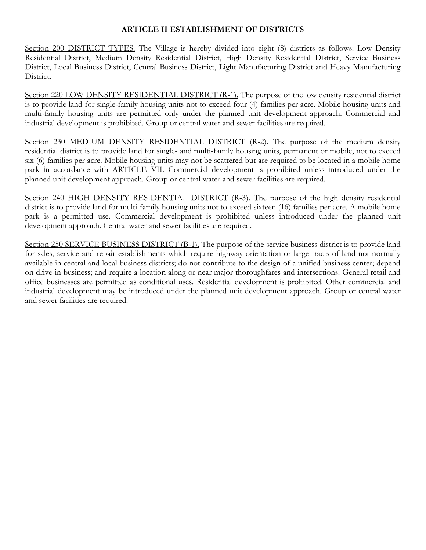### **ARTICLE II ESTABLISHMENT OF DISTRICTS**

Section 200 DISTRICT TYPES. The Village is hereby divided into eight (8) districts as follows: Low Density Residential District, Medium Density Residential District, High Density Residential District, Service Business District, Local Business District, Central Business District, Light Manufacturing District and Heavy Manufacturing District.

Section 220 LOW DENSITY RESIDENTIAL DISTRICT (R-1). The purpose of the low density residential district is to provide land for single-family housing units not to exceed four (4) families per acre. Mobile housing units and multi-family housing units are permitted only under the planned unit development approach. Commercial and industrial development is prohibited. Group or central water and sewer facilities are required.

Section 230 MEDIUM DENSITY RESIDENTIAL DISTRICT (R-2). The purpose of the medium density residential district is to provide land for single- and multi-family housing units, permanent or mobile, not to exceed six (6) families per acre. Mobile housing units may not be scattered but are required to be located in a mobile home park in accordance with ARTICLE VII. Commercial development is prohibited unless introduced under the planned unit development approach. Group or central water and sewer facilities are required.

Section 240 HIGH DENSITY RESIDENTIAL DISTRICT (R-3). The purpose of the high density residential district is to provide land for multi-family housing units not to exceed sixteen (16) families per acre. A mobile home park is a permitted use. Commercial development is prohibited unless introduced under the planned unit development approach. Central water and sewer facilities are required.

Section 250 SERVICE BUSINESS DISTRICT (B-1). The purpose of the service business district is to provide land for sales, service and repair establishments which require highway orientation or large tracts of land not normally available in central and local business districts; do not contribute to the design of a unified business center; depend on drive-in business; and require a location along or near major thoroughfares and intersections. General retail and office businesses are permitted as conditional uses. Residential development is prohibited. Other commercial and industrial development may be introduced under the planned unit development approach. Group or central water and sewer facilities are required.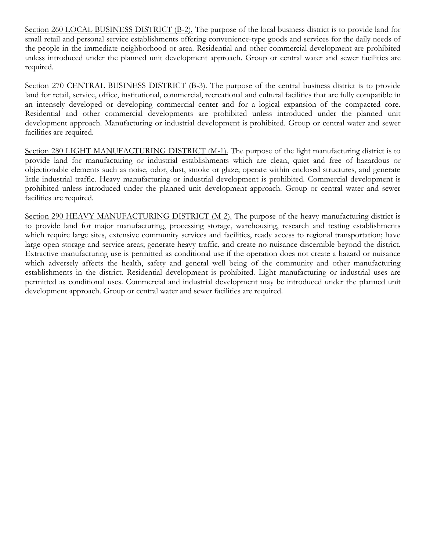Section 260 LOCAL BUSINESS DISTRICT (B-2). The purpose of the local business district is to provide land for small retail and personal service establishments offering convenience-type goods and services for the daily needs of the people in the immediate neighborhood or area. Residential and other commercial development are prohibited unless introduced under the planned unit development approach. Group or central water and sewer facilities are required.

Section 270 CENTRAL BUSINESS DISTRICT (B-3). The purpose of the central business district is to provide land for retail, service, office, institutional, commercial, recreational and cultural facilities that are fully compatible in an intensely developed or developing commercial center and for a logical expansion of the compacted core. Residential and other commercial developments are prohibited unless introduced under the planned unit development approach. Manufacturing or industrial development is prohibited. Group or central water and sewer facilities are required.

Section 280 LIGHT MANUFACTURING DISTRICT (M-1). The purpose of the light manufacturing district is to provide land for manufacturing or industrial establishments which are clean, quiet and free of hazardous or objectionable elements such as noise, odor, dust, smoke or glaze; operate within enclosed structures, and generate little industrial traffic. Heavy manufacturing or industrial development is prohibited. Commercial development is prohibited unless introduced under the planned unit development approach. Group or central water and sewer facilities are required.

Section 290 HEAVY MANUFACTURING DISTRICT (M-2). The purpose of the heavy manufacturing district is to provide land for major manufacturing, processing storage, warehousing, research and testing establishments which require large sites, extensive community services and facilities, ready access to regional transportation; have large open storage and service areas; generate heavy traffic, and create no nuisance discernible beyond the district. Extractive manufacturing use is permitted as conditional use if the operation does not create a hazard or nuisance which adversely affects the health, safety and general well being of the community and other manufacturing establishments in the district. Residential development is prohibited. Light manufacturing or industrial uses are permitted as conditional uses. Commercial and industrial development may be introduced under the planned unit development approach. Group or central water and sewer facilities are required.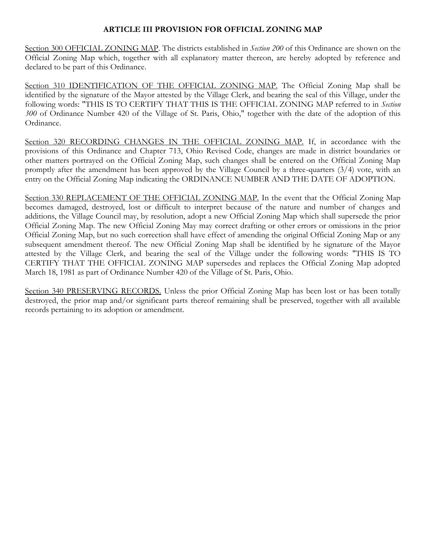### **ARTICLE III PROVISION FOR OFFICIAL ZONING MAP**

Section 300 OFFICIAL ZONING MAP. The districts established in *Section 200* of this Ordinance are shown on the Official Zoning Map which, together with all explanatory matter thereon, are hereby adopted by reference and declared to be part of this Ordinance.

Section 310 IDENTIFICATION OF THE OFFICIAL ZONING MAP. The Official Zoning Map shall be identified by the signature of the Mayor attested by the Village Clerk, and bearing the seal of this Village, under the following words: "THIS IS TO CERTIFY THAT THIS IS THE OFFICIAL ZONING MAP referred to in *Section 300* of Ordinance Number 420 of the Village of St. Paris, Ohio," together with the date of the adoption of this Ordinance.

Section 320 RECORDING CHANGES IN THE OFFICIAL ZONING MAP. If, in accordance with the provisions of this Ordinance and Chapter 713, Ohio Revised Code, changes are made in district boundaries or other matters portrayed on the Official Zoning Map, such changes shall be entered on the Official Zoning Map promptly after the amendment has been approved by the Village Council by a three-quarters (3/4) vote, with an entry on the Official Zoning Map indicating the ORDINANCE NUMBER AND THE DATE OF ADOPTION.

Section 330 REPLACEMENT OF THE OFFICIAL ZONING MAP. In the event that the Official Zoning Map becomes damaged, destroyed, lost or difficult to interpret because of the nature and number of changes and additions, the Village Council may, by resolution, adopt a new Official Zoning Map which shall supersede the prior Official Zoning Map. The new Official Zoning May may correct drafting or other errors or omissions in the prior Official Zoning Map, but no such correction shall have effect of amending the original Official Zoning Map or any subsequent amendment thereof. The new Official Zoning Map shall be identified by he signature of the Mayor attested by the Village Clerk, and bearing the seal of the Village under the following words: "THIS IS TO CERTIFY THAT THE OFFICIAL ZONING MAP supersedes and replaces the Official Zoning Map adopted March 18, 1981 as part of Ordinance Number 420 of the Village of St. Paris, Ohio.

Section 340 PRESERVING RECORDS. Unless the prior Official Zoning Map has been lost or has been totally destroyed, the prior map and/or significant parts thereof remaining shall be preserved, together with all available records pertaining to its adoption or amendment.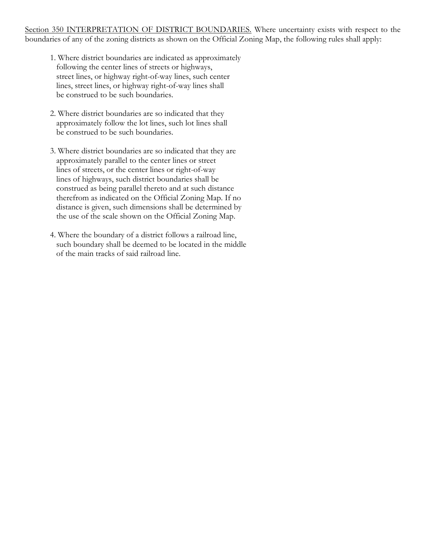Section 350 INTERPRETATION OF DISTRICT BOUNDARIES. Where uncertainty exists with respect to the boundaries of any of the zoning districts as shown on the Official Zoning Map, the following rules shall apply:

- 1. Where district boundaries are indicated as approximately following the center lines of streets or highways, street lines, or highway right-of-way lines, such center lines, street lines, or highway right-of-way lines shall be construed to be such boundaries.
- 2. Where district boundaries are so indicated that they approximately follow the lot lines, such lot lines shall be construed to be such boundaries.
- 3. Where district boundaries are so indicated that they are approximately parallel to the center lines or street lines of streets, or the center lines or right-of-way lines of highways, such district boundaries shall be construed as being parallel thereto and at such distance therefrom as indicated on the Official Zoning Map. If no distance is given, such dimensions shall be determined by the use of the scale shown on the Official Zoning Map.
- 4. Where the boundary of a district follows a railroad line, such boundary shall be deemed to be located in the middle of the main tracks of said railroad line.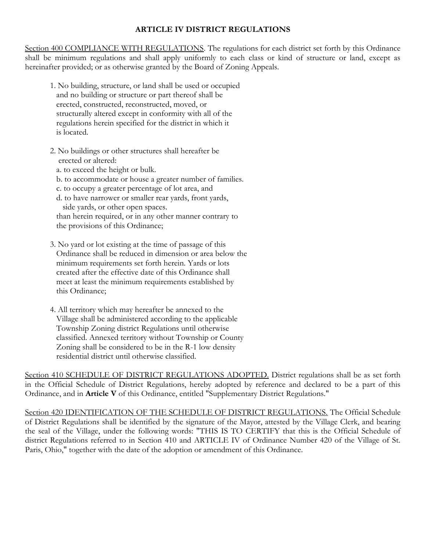## **ARTICLE IV DISTRICT REGULATIONS**

Section 400 COMPLIANCE WITH REGULATIONS. The regulations for each district set forth by this Ordinance shall be minimum regulations and shall apply uniformly to each class or kind of structure or land, except as hereinafter provided; or as otherwise granted by the Board of Zoning Appeals.

- 1. No building, structure, or land shall be used or occupied and no building or structure or part thereof shall be erected, constructed, reconstructed, moved, or structurally altered except in conformity with all of the regulations herein specified for the district in which it is located.
- 2. No buildings or other structures shall hereafter be erected or altered:
	- a. to exceed the height or bulk.
	- b. to accommodate or house a greater number of families.
	- c. to occupy a greater percentage of lot area, and
	- d. to have narrower or smaller rear yards, front yards, side yards, or other open spaces.

 than herein required, or in any other manner contrary to the provisions of this Ordinance;

- 3. No yard or lot existing at the time of passage of this Ordinance shall be reduced in dimension or area below the minimum requirements set forth herein. Yards or lots created after the effective date of this Ordinance shall meet at least the minimum requirements established by this Ordinance;
- 4. All territory which may hereafter be annexed to the Village shall be administered according to the applicable Township Zoning district Regulations until otherwise classified. Annexed territory without Township or County Zoning shall be considered to be in the R-1 low density residential district until otherwise classified.

Section 410 SCHEDULE OF DISTRICT REGULATIONS ADOPTED. District regulations shall be as set forth in the Official Schedule of District Regulations, hereby adopted by reference and declared to be a part of this Ordinance, and in **Article V** of this Ordinance, entitled "Supplementary District Regulations."

Section 420 IDENTIFICATION OF THE SCHEDULE OF DISTRICT REGULATIONS. The Official Schedule of District Regulations shall be identified by the signature of the Mayor, attested by the Village Clerk, and bearing the seal of the Village, under the following words: "THIS IS TO CERTIFY that this is the Official Schedule of district Regulations referred to in Section 410 and ARTICLE IV of Ordinance Number 420 of the Village of St. Paris, Ohio," together with the date of the adoption or amendment of this Ordinance.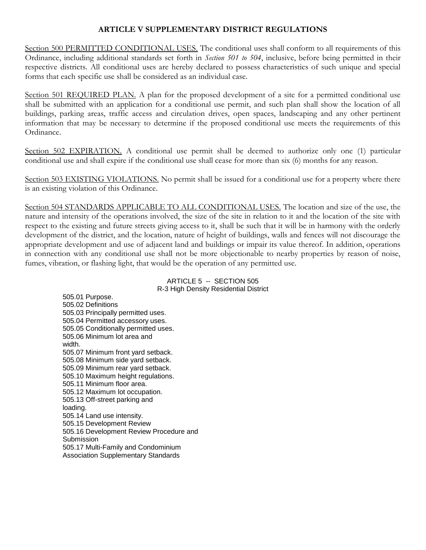### **ARTICLE V SUPPLEMENTARY DISTRICT REGULATIONS**

Section 500 PERMITTED CONDITIONAL USES. The conditional uses shall conform to all requirements of this Ordinance, including additional standards set forth in *Section 501 to 504*, inclusive, before being permitted in their respective districts. All conditional uses are hereby declared to possess characteristics of such unique and special forms that each specific use shall be considered as an individual case.

Section 501 REQUIRED PLAN. A plan for the proposed development of a site for a permitted conditional use shall be submitted with an application for a conditional use permit, and such plan shall show the location of all buildings, parking areas, traffic access and circulation drives, open spaces, landscaping and any other pertinent information that may be necessary to determine if the proposed conditional use meets the requirements of this Ordinance.

Section 502 EXPIRATION. A conditional use permit shall be deemed to authorize only one (1) particular conditional use and shall expire if the conditional use shall cease for more than six (6) months for any reason.

Section 503 EXISTING VIOLATIONS. No permit shall be issued for a conditional use for a property where there is an existing violation of this Ordinance.

Section 504 STANDARDS APPLICABLE TO ALL CONDITIONAL USES. The location and size of the use, the nature and intensity of the operations involved, the size of the site in relation to it and the location of the site with respect to the existing and future streets giving access to it, shall be such that it will be in harmony with the orderly development of the district, and the location, nature of height of buildings, walls and fences will not discourage the appropriate development and use of adjacent land and buildings or impair its value thereof. In addition, operations in connection with any conditional use shall not be more objectionable to nearby properties by reason of noise, fumes, vibration, or flashing light, that would be the operation of any permitted use.

#### ARTICLE 5 -- SECTION 505 R-3 High Density Residential District

505.01 Purpose. 505.02 Definitions 505.03 Principally permitted uses. 505.04 Permitted accessory uses. 505.05 Conditionally permitted uses. 505.06 Minimum lot area and width. 505.07 Minimum front yard setback. 505.08 Minimum side yard setback. 505.09 Minimum rear yard setback. 505.10 Maximum height regulations. 505.11 Minimum floor area. 505.12 Maximum lot occupation. 505.13 Off-street parking and loading. 505.14 Land use intensity. 505.15 Development Review 505.16 Development Review Procedure and **Submission** 505.17 Multi-Family and Condominium Association Supplementary Standards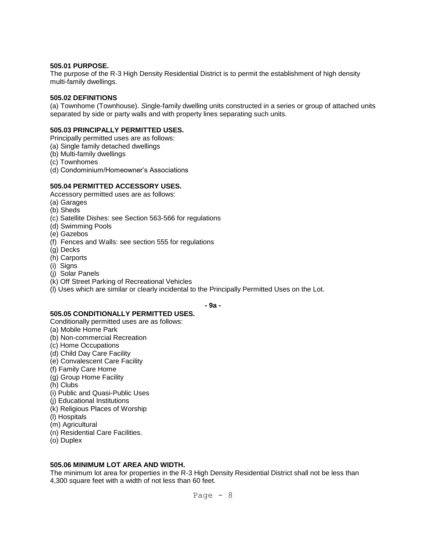#### **505.01 PURPOSE.**

The purpose of the R-3 High Density Residential District is to permit the establishment of high density multi-family dwellings.

#### **505.02 DEFINITIONS**

(a) Townhome (Townhouse). *S*ingle-family dwelling units constructed in a series or group of attached units separated by side or party walls and with property lines separating such units.

#### **505.03 PRINCIPALLY PERMITTED USES.**

Principally permitted uses are as follows:

- (a) Single family detached dwellings
- (b) Multi-family dwellings
- (c) Townhomes
- (d) Condominium/Homeowner's Associations

#### **505.04 PERMITTED ACCESSORY USES.**

Accessory permitted uses are as follows:

- (a) Garages
- (b) Sheds
- (c) Satellite Dishes: see Section 563-566 for regulations
- (d) Swimming Pools
- (e) Gazebos
- (f) Fences and Walls: see section 555 for regulations
- (g) Decks
- (h) Carports
- (i) Signs
- (j) Solar Panels
- (k) Off Street Parking of Recreational Vehicles
- (l) Uses which are similar or clearly incidental to the Principally Permitted Uses on the Lot.

**- 9a -**

#### **505.05 CONDITIONALLY PERMITTED USES.**

Conditionally permitted uses are as follows:

- (a) Mobile Home Park
- (b) Non-commercial Recreation
- (c) Home Occupations
- (d) Child Day Care Facility
- (e) Convalescent Care Facility
- (f) Family Care Home
- (g) Group Home Facility
- (h) Clubs
- (i) Public and Quasi-Public Uses
- (j) Educational Institutions
- (k) Religious Places of Worship
- (l) Hospitals
- (m) Agricultural
- (n) Residential Care Facilities.
- (o) Duplex

### **505.06 MINIMUM LOT AREA AND WIDTH.**

The minimum lot area for properties in the R-3 High Density Residential District shall not be less than 4,300 square feet with a width of not less than 60 feet.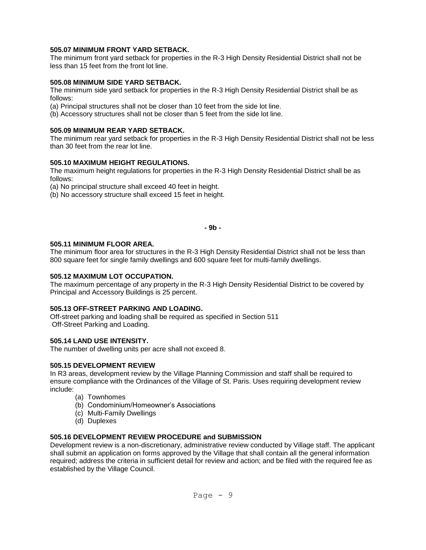### **505.07 MINIMUM FRONT YARD SETBACK.**

The minimum front yard setback for properties in the R-3 High Density Residential District shall not be less than 15 feet from the front lot line.

#### **505.08 MINIMUM SIDE YARD SETBACK.**

The minimum side yard setback for properties in the R-3 High Density Residential District shall be as follows:

(a) Principal structures shall not be closer than 10 feet from the side lot line.

(b) Accessory structures shall not be closer than 5 feet from the side lot line.

#### **505.09 MINIMUM REAR YARD SETBACK.**

The minimum rear yard setback for properties in the R-3 High Density Residential District shall not be less than 30 feet from the rear lot line.

#### **505.10 MAXIMUM HEIGHT REGULATIONS.**

The maximum height regulations for properties in the R-3 High Density Residential District shall be as follows:

(a) No principal structure shall exceed 40 feet in height.

(b) No accessory structure shall exceed 15 feet in height.

#### **- 9b -**

#### **505.11 MINIMUM FLOOR AREA.**

The minimum floor area for structures in the R-3 High Density Residential District shall not be less than 800 square feet for single family dwellings and 600 square feet for multi-family dwellings.

#### **505.12 MAXIMUM LOT OCCUPATION.**

The maximum percentage of any property in the R-3 High Density Residential District to be covered by Principal and Accessory Buildings is 25 percent.

#### **505.13 OFF-STREET PARKING AND LOADING.**

Off-street parking and loading shall be required as specified in Section 511 Off-Street Parking and Loading.

#### **505.14 LAND USE INTENSITY.**

The number of dwelling units per acre shall not exceed 8.

#### **505.15 DEVELOPMENT REVIEW**

In R3 areas, development review by the Village Planning Commission and staff shall be required to ensure compliance with the Ordinances of the Village of St. Paris. Uses requiring development review include:

- (a) Townhomes
- (b) Condominium/Homeowner's Associations
- (c) Multi-Family Dwellings
- (d) Duplexes

### **505.16 DEVELOPMENT REVIEW PROCEDURE and SUBMISSION**

Development review is a non-discretionary, administrative review conducted by Village staff. The applicant shall submit an application on forms approved by the Village that shall contain all the general information required; address the criteria in sufficient detail for review and action; and be filed with the required fee as established by the Village Council.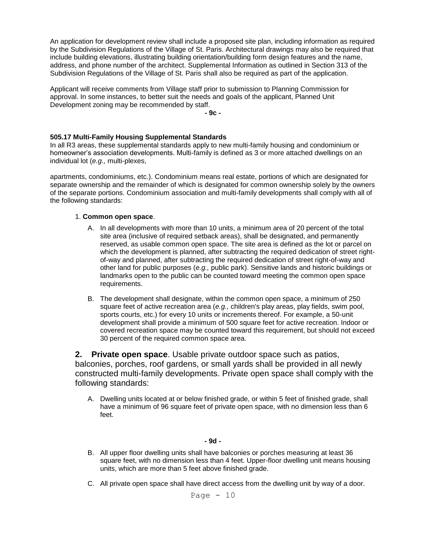An application for development review shall include a proposed site plan, including information as required by the Subdivision Regulations of the Village of St. Paris. Architectural drawings may also be required that include building elevations, illustrating building orientation/building form design features and the name, address, and phone number of the architect. Supplemental Information as outlined in Section 313 of the Subdivision Regulations of the Village of St. Paris shall also be required as part of the application.

Applicant will receive comments from Village staff prior to submission to Planning Commission for approval. In some instances, to better suit the needs and goals of the applicant, Planned Unit Development zoning may be recommended by staff.

**- 9c -**

#### **505.17 Multi-Family Housing Supplemental Standards**

In all R3 areas, these supplemental standards apply to new multi-family housing and condominium or homeowner's association developments. Multi-family is defined as 3 or more attached dwellings on an individual lot (*e.g.,* multi-plexes,

apartments, condominiums, etc.). Condominium means real estate, portions of which are designated for separate ownership and the remainder of which is designated for common ownership solely by the owners of the separate portions. Condominium association and multi-family developments shall comply with all of the following standards:

#### 1. **Common open space**.

- A. In all developments with more than 10 units, a minimum area of 20 percent of the total site area (inclusive of required setback areas), shall be designated, and permanently reserved, as usable common open space. The site area is defined as the lot or parcel on which the development is planned, after subtracting the required dedication of street rightof-way and planned, after subtracting the required dedication of street right-of-way and other land for public purposes (*e.g.,* public park). Sensitive lands and historic buildings or landmarks open to the public can be counted toward meeting the common open space requirements.
- B. The development shall designate, within the common open space, a minimum of 250 square feet of active recreation area (*e.g.,* children's play areas, play fields, swim pool, sports courts, etc.) for every 10 units or increments thereof. For example, a 50-unit development shall provide a minimum of 500 square feet for active recreation. Indoor or covered recreation space may be counted toward this requirement, but should not exceed 30 percent of the required common space area.

**2. Private open space**. Usable private outdoor space such as patios, balconies, porches, roof gardens, or small yards shall be provided in all newly constructed multi-family developments. Private open space shall comply with the following standards:

A. Dwelling units located at or below finished grade, or within 5 feet of finished grade, shall have a minimum of 96 square feet of private open space, with no dimension less than 6 feet.

#### **- 9d -**

- B. All upper floor dwelling units shall have balconies or porches measuring at least 36 square feet, with no dimension less than 4 feet. Upper-floor dwelling unit means housing units, which are more than 5 feet above finished grade.
- C. All private open space shall have direct access from the dwelling unit by way of a door.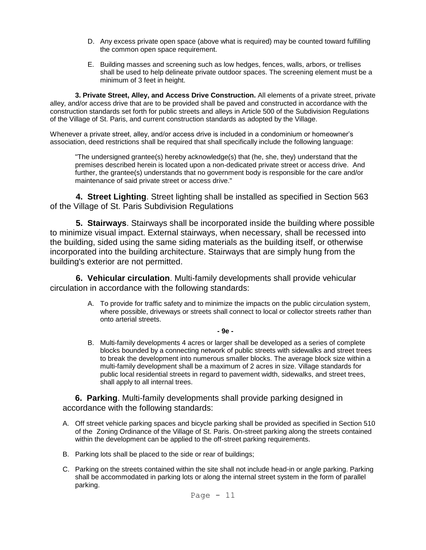- D. Any excess private open space (above what is required) may be counted toward fulfilling the common open space requirement.
- E. Building masses and screening such as low hedges, fences, walls, arbors, or trellises shall be used to help delineate private outdoor spaces. The screening element must be a minimum of 3 feet in height.

**3. Private Street, Alley, and Access Drive Construction.** All elements of a private street, private alley, and/or access drive that are to be provided shall be paved and constructed in accordance with the construction standards set forth for public streets and alleys in Article 500 of the Subdivision Regulations of the Village of St. Paris, and current construction standards as adopted by the Village.

Whenever a private street, alley, and/or access drive is included in a condominium or homeowner's association, deed restrictions shall be required that shall specifically include the following language:

"The undersigned grantee(s) hereby acknowledge(s) that (he, she, they) understand that the premises described herein is located upon a non-dedicated private street or access drive. And further, the grantee(s) understands that no government body is responsible for the care and/or maintenance of said private street or access drive."

**4. Street Lighting**. Street lighting shall be installed as specified in Section 563 of the Village of St. Paris Subdivision Regulations

**5. Stairways**. Stairways shall be incorporated inside the building where possible to minimize visual impact. External stairways, when necessary, shall be recessed into the building, sided using the same siding materials as the building itself, or otherwise incorporated into the building architecture. Stairways that are simply hung from the building's exterior are not permitted.

**6. Vehicular circulation**. Multi-family developments shall provide vehicular circulation in accordance with the following standards:

> A. To provide for traffic safety and to minimize the impacts on the public circulation system, where possible, driveways or streets shall connect to local or collector streets rather than onto arterial streets.

> > **- 9e -**

B. Multi-family developments 4 acres or larger shall be developed as a series of complete blocks bounded by a connecting network of public streets with sidewalks and street trees to break the development into numerous smaller blocks. The average block size within a multi-family development shall be a maximum of 2 acres in size. Village standards for public local residential streets in regard to pavement width, sidewalks, and street trees, shall apply to all internal trees.

**6. Parking**. Multi-family developments shall provide parking designed in accordance with the following standards:

- A. Off street vehicle parking spaces and bicycle parking shall be provided as specified in Section 510 of the Zoning Ordinance of the Village of St. Paris. On-street parking along the streets contained within the development can be applied to the off-street parking requirements.
- B. Parking lots shall be placed to the side or rear of buildings;
- C. Parking on the streets contained within the site shall not include head-in or angle parking. Parking shall be accommodated in parking lots or along the internal street system in the form of parallel parking.

Page  $-11$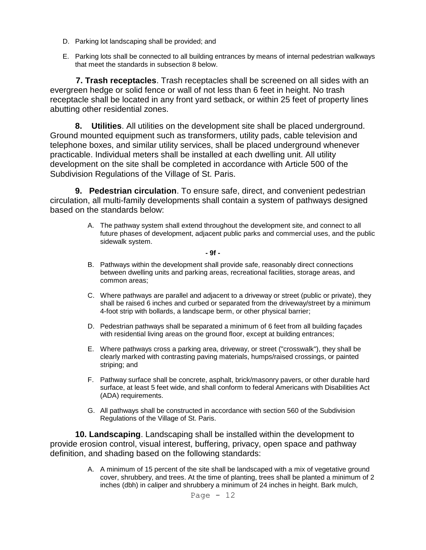- D. Parking lot landscaping shall be provided; and
- E. Parking lots shall be connected to all building entrances by means of internal pedestrian walkways that meet the standards in subsection 8 below.

**7. Trash receptacles**. Trash receptacles shall be screened on all sides with an evergreen hedge or solid fence or wall of not less than 6 feet in height. No trash receptacle shall be located in any front yard setback, or within 25 feet of property lines abutting other residential zones.

**8. Utilities**. All utilities on the development site shall be placed underground. Ground mounted equipment such as transformers, utility pads, cable television and telephone boxes, and similar utility services, shall be placed underground whenever practicable. Individual meters shall be installed at each dwelling unit. All utility development on the site shall be completed in accordance with Article 500 of the Subdivision Regulations of the Village of St. Paris.

**9. Pedestrian circulation**. To ensure safe, direct, and convenient pedestrian circulation, all multi-family developments shall contain a system of pathways designed based on the standards below:

> A. The pathway system shall extend throughout the development site, and connect to all future phases of development, adjacent public parks and commercial uses, and the public sidewalk system.

#### **- 9f -**

- B. Pathways within the development shall provide safe, reasonably direct connections between dwelling units and parking areas, recreational facilities, storage areas, and common areas;
- C. Where pathways are parallel and adjacent to a driveway or street (public or private), they shall be raised 6 inches and curbed or separated from the driveway/street by a minimum 4-foot strip with bollards, a landscape berm, or other physical barrier;
- D. Pedestrian pathways shall be separated a minimum of 6 feet from all building façades with residential living areas on the ground floor, except at building entrances;
- E. Where pathways cross a parking area, driveway, or street ("crosswalk"), they shall be clearly marked with contrasting paving materials, humps/raised crossings, or painted striping; and
- F. Pathway surface shall be concrete, asphalt, brick/masonry pavers, or other durable hard surface, at least 5 feet wide, and shall conform to federal Americans with Disabilities Act (ADA) requirements.
- G. All pathways shall be constructed in accordance with section 560 of the Subdivision Regulations of the Village of St. Paris.

**10. Landscaping**. Landscaping shall be installed within the development to provide erosion control, visual interest, buffering, privacy, open space and pathway definition, and shading based on the following standards:

> A. A minimum of 15 percent of the site shall be landscaped with a mix of vegetative ground cover, shrubbery, and trees. At the time of planting, trees shall be planted a minimum of 2 inches (dbh) in caliper and shrubbery a minimum of 24 inches in height. Bark mulch,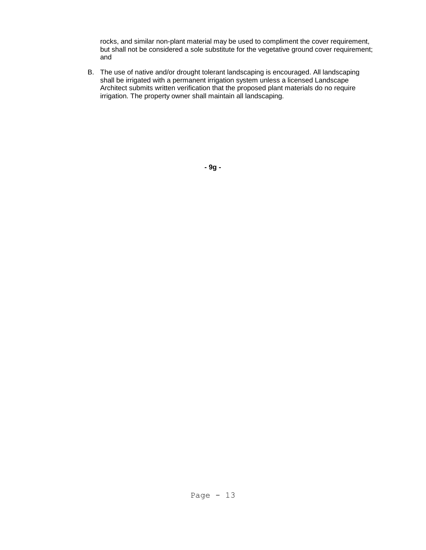rocks, and similar non-plant material may be used to compliment the cover requirement, but shall not be considered a sole substitute for the vegetative ground cover requirement; and

B. The use of native and/or drought tolerant landscaping is encouraged. All landscaping shall be irrigated with a permanent irrigation system unless a licensed Landscape Architect submits written verification that the proposed plant materials do no require irrigation. The property owner shall maintain all landscaping.

**- 9g -**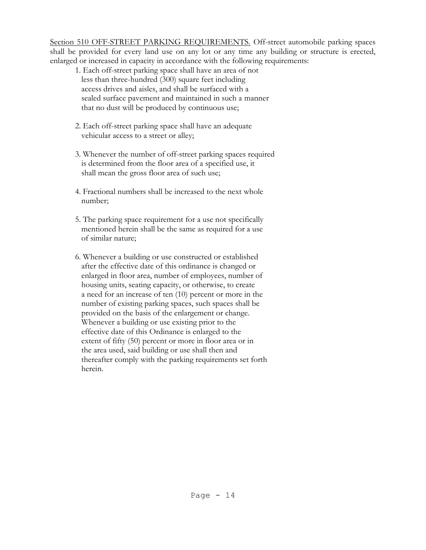Section 510 OFF-STREET PARKING REQUIREMENTS. Off-street automobile parking spaces shall be provided for every land use on any lot or any time any building or structure is erected, enlarged or increased in capacity in accordance with the following requirements:

- 1. Each off-street parking space shall have an area of not less than three-hundred (300) square feet including access drives and aisles, and shall be surfaced with a sealed surface pavement and maintained in such a manner that no dust will be produced by continuous use;
- 2. Each off-street parking space shall have an adequate vehicular access to a street or alley;
- 3. Whenever the number of off-street parking spaces required is determined from the floor area of a specified use, it shall mean the gross floor area of such use;
- 4. Fractional numbers shall be increased to the next whole number;
- 5. The parking space requirement for a use not specifically mentioned herein shall be the same as required for a use of similar nature;
- 6. Whenever a building or use constructed or established after the effective date of this ordinance is changed or enlarged in floor area, number of employees, number of housing units, seating capacity, or otherwise, to create a need for an increase of ten (10) percent or more in the number of existing parking spaces, such spaces shall be provided on the basis of the enlargement or change. Whenever a building or use existing prior to the effective date of this Ordinance is enlarged to the extent of fifty (50) percent or more in floor area or in the area used, said building or use shall then and thereafter comply with the parking requirements set forth herein.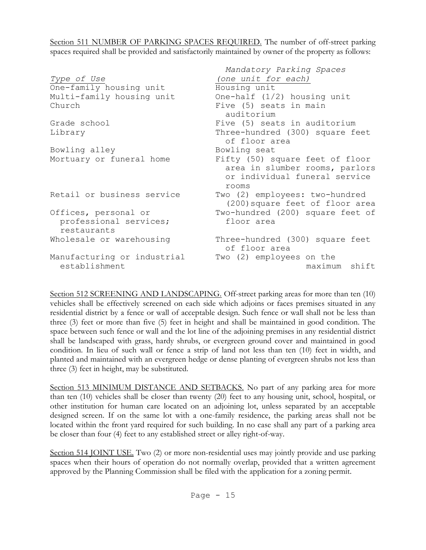Section 511 NUMBER OF PARKING SPACES REQUIRED. The number of off-street parking spaces required shall be provided and satisfactorily maintained by owner of the property as follows:

|                                              | Mandatory Parking Spaces                                                                                    |
|----------------------------------------------|-------------------------------------------------------------------------------------------------------------|
| Type of Use                                  | (one unit for each)                                                                                         |
| One-family housing unit                      | Housing unit                                                                                                |
| Multi-family housing unit                    | One-half $(1/2)$ housing unit                                                                               |
| Church                                       | Five (5) seats in main                                                                                      |
|                                              | auditorium                                                                                                  |
| Grade school                                 | Five (5) seats in auditorium                                                                                |
| Library                                      | Three-hundred (300) square feet<br>of floor area                                                            |
| Bowling alley                                | Bowling seat                                                                                                |
| Mortuary or funeral home                     | Fifty (50) square feet of floor<br>area in slumber rooms, parlors<br>or individual funeral service<br>rooms |
| Retail or business service                   | Two (2) employees: two-hundred<br>(200) square feet of floor area                                           |
| Offices, personal or                         | Two-hundred (200) square feet of                                                                            |
| professional services;<br>restaurants        | floor area                                                                                                  |
| Wholesale or warehousing                     | Three-hundred (300) square feet<br>of floor area                                                            |
| Manufacturing or industrial<br>establishment | Two (2) employees on the<br>maximum shift                                                                   |

Section 512 SCREENING AND LANDSCAPING. Off-street parking areas for more than ten (10) vehicles shall be effectively screened on each side which adjoins or faces premises situated in any residential district by a fence or wall of acceptable design. Such fence or wall shall not be less than three (3) feet or more than five (5) feet in height and shall be maintained in good condition. The space between such fence or wall and the lot line of the adjoining premises in any residential district shall be landscaped with grass, hardy shrubs, or evergreen ground cover and maintained in good condition. In lieu of such wall or fence a strip of land not less than ten (10) feet in width, and planted and maintained with an evergreen hedge or dense planting of evergreen shrubs not less than three (3) feet in height, may be substituted.

Section 513 MINIMUM DISTANCE AND SETBACKS. No part of any parking area for more than ten (10) vehicles shall be closer than twenty (20) feet to any housing unit, school, hospital, or other institution for human care located on an adjoining lot, unless separated by an acceptable designed screen. If on the same lot with a one-family residence, the parking areas shall not be located within the front yard required for such building. In no case shall any part of a parking area be closer than four (4) feet to any established street or alley right-of-way.

Section 514 JOINT USE. Two (2) or more non-residential uses may jointly provide and use parking spaces when their hours of operation do not normally overlap, provided that a written agreement approved by the Planning Commission shall be filed with the application for a zoning permit.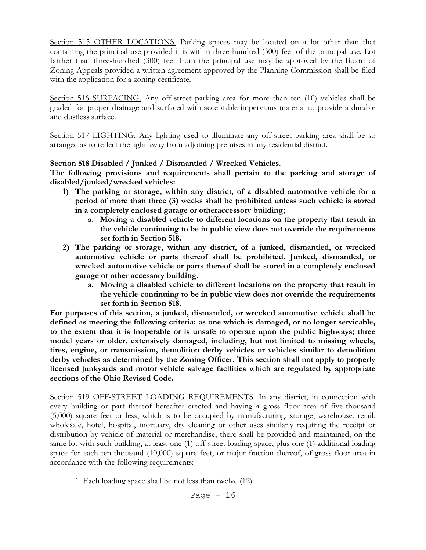Section 515 OTHER LOCATIONS. Parking spaces may be located on a lot other than that containing the principal use provided it is within three-hundred (300) feet of the principal use. Lot farther than three-hundred (300) feet from the principal use may be approved by the Board of Zoning Appeals provided a written agreement approved by the Planning Commission shall be filed with the application for a zoning certificate.

Section 516 SURFACING. Any off-street parking area for more than ten (10) vehicles shall be graded for proper drainage and surfaced with acceptable impervious material to provide a durable and dustless surface.

Section 517 LIGHTING. Any lighting used to illuminate any off-street parking area shall be so arranged as to reflect the light away from adjoining premises in any residential district.

### **Section 518 Disabled / Junked / Dismantled / Wrecked Vehicles**.

**The following provisions and requirements shall pertain to the parking and storage of disabled/junked/wrecked vehicles:**

- **1) The parking or storage, within any district, of a disabled automotive vehicle for a period of more than three (3) weeks shall be prohibited unless such vehicle is stored in a completely enclosed garage or otheraccessory building;**
	- **a. Moving a disabled vehicle to different locations on the property that result in the vehicle continuing to be in public view does not override the requirements set forth in Section 518.**
- **2) The parking or storage, within any district, of a junked, dismantled, or wrecked automotive vehicle or parts thereof shall be prohibited. Junked, dismantled, or wrecked automotive vehicle or parts thereof shall be stored in a completely enclosed garage or other accessory building.**
	- **a. Moving a disabled vehicle to different locations on the property that result in the vehicle continuing to be in public view does not override the requirements set forth in Section 518.**

**For purposes of this section, a junked, dismantled, or wrecked automotive vehicle shall be defined as meeting the following criteria: as one which is damaged, or no longer servicable, to the extent that it is inoperable or is unsafe to operate upon the public highways; three model years or older. extensively damaged, including, but not limited to missing wheels, tires, engine, or transmission, demolition derby vehicles or vehicles similar to demolition derby vehicles as determined by the Zoning Officer. This section shall not apply to properly licensed junkyards and motor vehicle salvage facilities which are regulated by appropriate sections of the Ohio Revised Code.**

Section 519 OFF-STREET LOADING REQUIREMENTS. In any district, in connection with every building or part thereof hereafter erected and having a gross floor area of five-thousand (5,000) square feet or less, which is to be occupied by manufacturing, storage, warehouse, retail, wholesale, hotel, hospital, mortuary, dry cleaning or other uses similarly requiring the receipt or distribution by vehicle of material or merchandise, there shall be provided and maintained, on the same lot with such building, at least one (1) off-street loading space, plus one (1) additional loading space for each ten-thousand (10,000) square feet, or major fraction thereof, of gross floor area in accordance with the following requirements:

1. Each loading space shall be not less than twelve (12)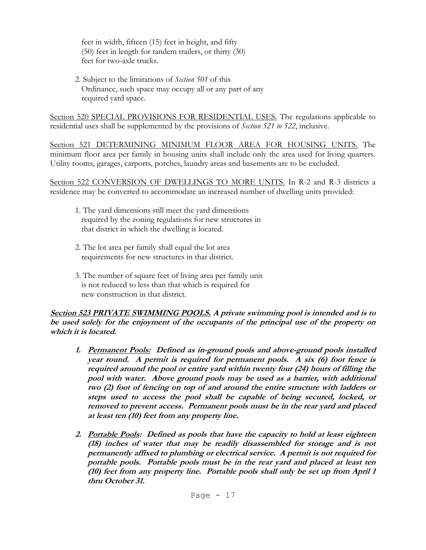feet in width, fifteen (15) feet in height, and fifty (50) feet in length for tandem trailers, or thirty (30) feet for two-axle trucks.

2. Subject to the limitations of *Section 501* of this Ordinance, such space may occupy all or any part of any required yard space.

Section 520 SPECIAL PROVISIONS FOR RESIDENTIAL USES. The regulations applicable to residential uses shall be supplemented by the provisions of *Section 521 to 522*, inclusive.

Section 521 DETERMINING MINIMUM FLOOR AREA FOR HOUSING UNITS. The minimum floor area per family in housing units shall include only the area used for living quarters. Utility rooms, garages, carports, porches, laundry areas and basements are to be excluded.

Section 522 CONVERSION OF DWELLINGS TO MORE UNITS. In R-2 and R-3 districts a residence may be converted to accommodate an increased number of dwelling units provided:

- 1. The yard dimensions still meet the yard dimensions required by the zoning regulations for new structures in that district in which the dwelling is located.
- 2. The lot area per family shall equal the lot area requirements for new structures in that district.
- 3. The number of square feet of living area per family unit is not reduced to less than that which is required for new construction in that district.

**Section 523 PRIVATE SWIMMING POOLS. A private swimming pool is intended and is to be used solely for the enjoyment of the occupants of the principal use of the property on which it is located.** 

- **1. Permanent Pools: Defined as in-ground pools and above-ground pools installed year round. A permit is required for permanent pools. A six (6) foot fence is required around the pool or entire yard within twenty four (24) hours of filling the pool with water. Above ground pools may be used as a barrier, with additional two (2) foot of fencing on top of and around the entire structure with ladders or steps used to access the pool shall be capable of being secured, locked, or removed to prevent access. Permanent pools must be in the rear yard and placed at least ten (10) feet from any property line.**
- **2. Portable Pools: Defined as pools that have the capacity to hold at least eighteen (18) inches of water that may be readily disassembled for storage and is not permanently affixed to plumbing or electrical service. A permit is not required for portable pools. Portable pools must be in the rear yard and placed at least ten (10) feet from any property line. Portable pools shall only be set up from April 1 thru October 31.**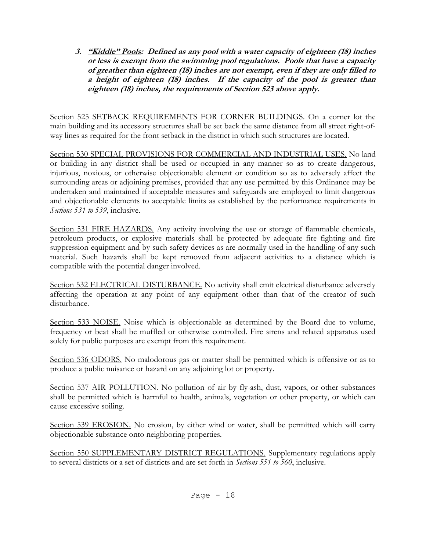**3. "Kiddie" Pools: Defined as any pool with a water capacity of eighteen (18) inches or less is exempt from the swimming pool regulations. Pools that have a capacity of greather than eighteen (18) inches are not exempt, even if they are only filled to a height of eighteen (18) inches. If the capacity of the pool is greater than eighteen (18) inches, the requirements of Section 523 above apply.** 

Section 525 SETBACK REQUIREMENTS FOR CORNER BUILDINGS. On a corner lot the main building and its accessory structures shall be set back the same distance from all street right-ofway lines as required for the front setback in the district in which such structures are located.

Section 530 SPECIAL PROVISIONS FOR COMMERCIAL AND INDUSTRIAL USES. No land or building in any district shall be used or occupied in any manner so as to create dangerous, injurious, noxious, or otherwise objectionable element or condition so as to adversely affect the surrounding areas or adjoining premises, provided that any use permitted by this Ordinance may be undertaken and maintained if acceptable measures and safeguards are employed to limit dangerous and objectionable elements to acceptable limits as established by the performance requirements in *Sections 531 to 539*, inclusive.

Section 531 FIRE HAZARDS. Any activity involving the use or storage of flammable chemicals, petroleum products, or explosive materials shall be protected by adequate fire fighting and fire suppression equipment and by such safety devices as are normally used in the handling of any such material. Such hazards shall be kept removed from adjacent activities to a distance which is compatible with the potential danger involved.

Section 532 ELECTRICAL DISTURBANCE. No activity shall emit electrical disturbance adversely affecting the operation at any point of any equipment other than that of the creator of such disturbance.

Section 533 NOISE. Noise which is objectionable as determined by the Board due to volume, frequency or beat shall be muffled or otherwise controlled. Fire sirens and related apparatus used solely for public purposes are exempt from this requirement.

Section 536 ODORS. No malodorous gas or matter shall be permitted which is offensive or as to produce a public nuisance or hazard on any adjoining lot or property.

Section 537 AIR POLLUTION. No pollution of air by fly-ash, dust, vapors, or other substances shall be permitted which is harmful to health, animals, vegetation or other property, or which can cause excessive soiling.

Section 539 EROSION. No erosion, by either wind or water, shall be permitted which will carry objectionable substance onto neighboring properties.

Section 550 SUPPLEMENTARY DISTRICT REGULATIONS. Supplementary regulations apply to several districts or a set of districts and are set forth in *Sections 551 to 560*, inclusive.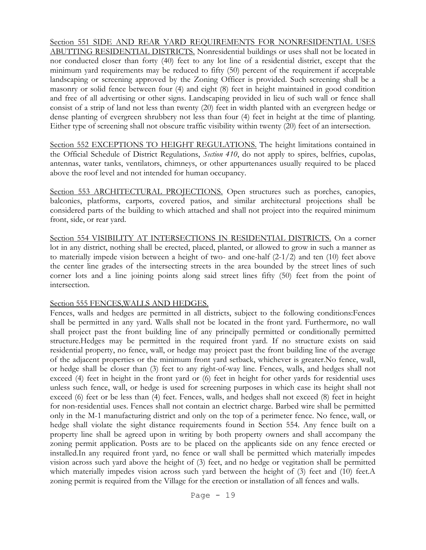Section 551 SIDE AND REAR YARD REQUIREMENTS FOR NONRESIDENTIAL USES ABUTTING RESIDENTIAL DISTRICTS. Nonresidential buildings or uses shall not be located in nor conducted closer than forty (40) feet to any lot line of a residential district, except that the minimum yard requirements may be reduced to fifty (50) percent of the requirement if acceptable landscaping or screening approved by the Zoning Officer is provided. Such screening shall be a masonry or solid fence between four (4) and eight (8) feet in height maintained in good condition and free of all advertising or other signs. Landscaping provided in lieu of such wall or fence shall consist of a strip of land not less than twenty (20) feet in width planted with an evergreen hedge or dense planting of evergreen shrubbery not less than four (4) feet in height at the time of planting. Either type of screening shall not obscure traffic visibility within twenty (20) feet of an intersection.

Section 552 EXCEPTIONS TO HEIGHT REGULATIONS. The height limitations contained in the Official Schedule of District Regulations, *Section 410*, do not apply to spires, belfries, cupolas, antennas, water tanks, ventilators, chimneys, or other appurtenances usually required to be placed above the roof level and not intended for human occupancy.

Section 553 ARCHITECTURAL PROJECTIONS. Open structures such as porches, canopies, balconies, platforms, carports, covered patios, and similar architectural projections shall be considered parts of the building to which attached and shall not project into the required minimum front, side, or rear yard.

Section 554 VISIBILITY AT INTERSECTIONS IN RESIDENTIAL DISTRICTS. On a corner lot in any district, nothing shall be erected, placed, planted, or allowed to grow in such a manner as to materially impede vision between a height of two- and one-half (2-1/2) and ten (10) feet above the center line grades of the intersecting streets in the area bounded by the street lines of such corner lots and a line joining points along said street lines fifty (50) feet from the point of intersection.

Section 555 FENCES,WALLS AND HEDGES.

Fences, walls and hedges are permitted in all districts, subject to the following conditions:Fences shall be permitted in any yard. Walls shall not be located in the front yard. Furthermore, no wall shall project past the front building line of any principally permitted or conditionally permitted structure.Hedges may be permitted in the required front yard. If no structure exists on said residential property, no fence, wall, or hedge may project past the front building line of the average of the adjacent properties or the minimum front yard setback, whichever is greater.No fence, wall, or hedge shall be closer than (3) feet to any right-of-way line. Fences, walls, and hedges shall not exceed (4) feet in height in the front yard or (6) feet in height for other yards for residential uses unless such fence, wall, or hedge is used for screening purposes in which case its height shall not exceed (6) feet or be less than (4) feet. Fences, walls, and hedges shall not exceed (8) feet in height for non-residential uses. Fences shall not contain an electrict charge. Barbed wire shall be permitted only in the M-1 manufacturing district and only on the top of a perimeter fence. No fence, wall, or hedge shall violate the sight distance requirements found in Section 554. Any fence built on a property line shall be agreed upon in writing by both property owners and shall accompany the zoning permit application. Posts are to be placed on the applicants side on any fence erected or installed.In any required front yard, no fence or wall shall be permitted which materially impedes vision across such yard above the height of (3) feet, and no hedge or vegitation shall be permitted which materially impedes vision across such yard between the height of (3) feet and (10) feet.A zoning permit is required from the Village for the erection or installation of all fences and walls.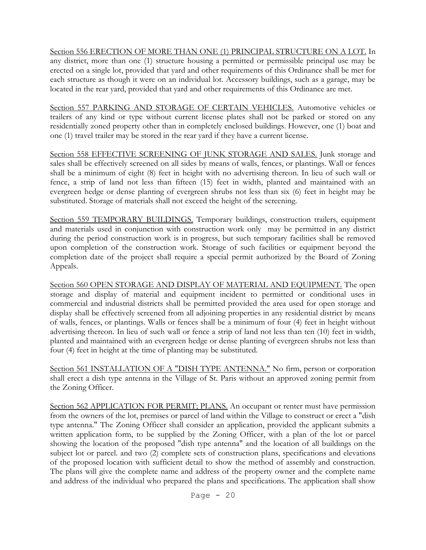Section 556 ERECTION OF MORE THAN ONE (1) PRINCIPAL STRUCTURE ON A LOT. In any district, more than one (1) structure housing a permitted or permissible principal use may be erected on a single lot, provided that yard and other requirements of this Ordinance shall be met for each structure as though it were on an individual lot. Accessory buildings, such as a garage, may be located in the rear yard, provided that yard and other requirements of this Ordinance are met.

Section 557 PARKING AND STORAGE OF CERTAIN VEHICLES. Automotive vehicles or trailers of any kind or type without current license plates shall not be parked or stored on any residentially zoned property other than in completely enclosed buildings. However, one (1) boat and one (1) travel trailer may be stored in the rear yard if they have a current license.

Section 558 EFFECTIVE SCREENING OF JUNK STORAGE AND SALES. Junk storage and sales shall be effectively screened on all sides by means of walls, fences, or plantings. Wall or fences shall be a minimum of eight (8) feet in height with no advertising thereon. In lieu of such wall or fence, a strip of land not less than fifteen (15) feet in width, planted and maintained with an evergreen hedge or dense planting of evergreen shrubs not less than six (6) feet in height may be substituted. Storage of materials shall not exceed the height of the screening.

Section 559 TEMPORARY BUILDINGS. Temporary buildings, construction trailers, equipment and materials used in conjunction with construction work only may be permitted in any district during the period construction work is in progress, but such temporary facilities shall be removed upon completion of the construction work. Storage of such facilities or equipment beyond the completion date of the project shall require a special permit authorized by the Board of Zoning Appeals.

Section 560 OPEN STORAGE AND DISPLAY OF MATERIAL AND EQUIPMENT. The open storage and display of material and equipment incident to permitted or conditional uses in commercial and industrial districts shall be permitted provided the area used for open storage and display shall be effectively screened from all adjoining properties in any residential district by means of walls, fences, or plantings. Walls or fences shall be a minimum of four (4) feet in height without advertising thereon. In lieu of such wall or fence a strip of land not less than ten (10) feet in width, planted and maintained with an evergreen hedge or dense planting of evergreen shrubs not less than four (4) feet in height at the time of planting may be substituted.

Section 561 INSTALLATION OF A "DISH TYPE ANTENNA." No firm, person or corporation shall erect a dish type antenna in the Village of St. Paris without an approved zoning permit from the Zoning Officer.

Section 562 APPLICATION FOR PERMIT; PLANS. An occupant or renter must have permission from the owners of the lot, premises or parcel of land within the Village to construct or erect a "dish type antenna." The Zoning Officer shall consider an application, provided the applicant submits a written application form, to be supplied by the Zoning Officer, with a plan of the lot or parcel showing the location of the proposed "dish type antenna" and the location of all buildings on the subject lot or parcel. and two (2) complete sets of construction plans, specifications and elevations of the proposed location with sufficient detail to show the method of assembly and construction. The plans will give the complete name and address of the property owner and the complete name and address of the individual who prepared the plans and specifications. The application shall show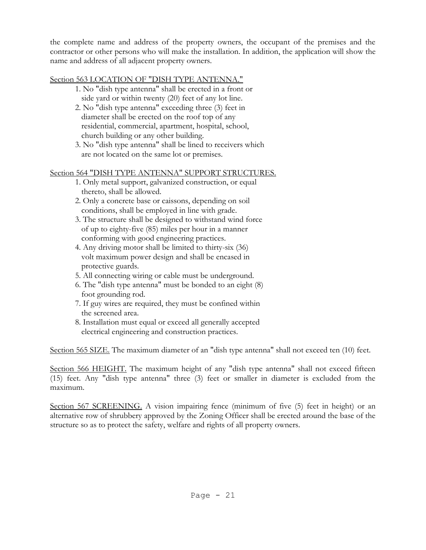the complete name and address of the property owners, the occupant of the premises and the contractor or other persons who will make the installation. In addition, the application will show the name and address of all adjacent property owners.

# Section 563 LOCATION OF "DISH TYPE ANTENNA."

- 1. No "dish type antenna" shall be erected in a front or side yard or within twenty (20) feet of any lot line.
- 2. No "dish type antenna" exceeding three (3) feet in diameter shall be erected on the roof top of any residential, commercial, apartment, hospital, school, church building or any other building.
- 3. No "dish type antenna" shall be lined to receivers which are not located on the same lot or premises.

# Section 564 "DISH TYPE ANTENNA" SUPPORT STRUCTURES.

- 1. Only metal support, galvanized construction, or equal thereto, shall be allowed.
- 2. Only a concrete base or caissons, depending on soil conditions, shall be employed in line with grade.
- 3. The structure shall be designed to withstand wind force of up to eighty-five (85) miles per hour in a manner conforming with good engineering practices.
- 4. Any driving motor shall be limited to thirty-six (36) volt maximum power design and shall be encased in protective guards.
- 5. All connecting wiring or cable must be underground.
- 6. The "dish type antenna" must be bonded to an eight (8) foot grounding rod.
- 7. If guy wires are required, they must be confined within the screened area.
- 8. Installation must equal or exceed all generally accepted electrical engineering and construction practices.

Section 565 SIZE. The maximum diameter of an "dish type antenna" shall not exceed ten (10) feet.

Section 566 HEIGHT. The maximum height of any "dish type antenna" shall not exceed fifteen (15) feet. Any "dish type antenna" three (3) feet or smaller in diameter is excluded from the maximum.

Section 567 SCREENING. A vision impairing fence (minimum of five (5) feet in height) or an alternative row of shrubbery approved by the Zoning Officer shall be erected around the base of the structure so as to protect the safety, welfare and rights of all property owners.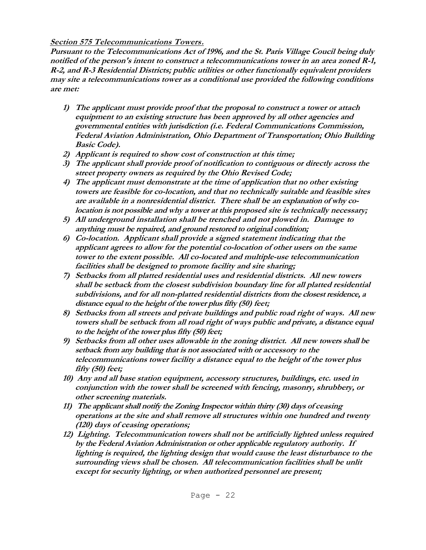# **Section 575 Telecommunications Towers.**

**Pursuant to the Telecommunications Act of 1996, and the St. Paris Village Coucil being duly notified of the person's intent to construct a telecommunications tower in an area zoned R-1, R-2, and R-3 Residential Districts; public utilities or other functionally equivalent providers may site a telecommunications tower as a conditional use provided the following conditions are met:**

- **1) The applicant must provide proof that the proposal to construct a tower or attach equipment to an existing structure has been approved by all other agencies and governmental entities with jurisdiction (i.e. Federal Communications Commission, Federal Aviation Administration, Ohio Department of Transportation; Ohio Building Basic Code).**
- **2) Applicant is required to show cost of construction at this time;**
- **3) The applicant shall provide proof of notification to contiguous or directly across the street property owners as required by the Ohio Revised Code;**
- **4) The applicant must demonstrate at the time of application that no other existing towers are feasible for co-location, and that no technically suitable and feasible sites are available in a nonresidential district. There shall be an explanation of why colocation is not possible and why a tower at this proposed site is technically necessary;**
- **5) All underground installation shall be trenched and not plowed in. Damage to anything must be repaired, and ground restored to original condition;**
- **6) Co-location. Applicant shall provide a signed statement indicating that the applicant agrees to allow for the potential co-location of other users on the same tower to the extent possible. All co-located and multiple-use telecommunication facilities shall be designed to promote facility and site sharing;**
- **7) Setbacks from all platted residential uses and residential districts. All new towers shall be setback from the closest subdivision boundary line for all platted residential subdivisions, and for all non-platted residential districts from the closest residence, a distance equal to the height of the tower plus fifty (50) feet;**
- **8) Setbacks from all streets and private buildings and public road right of ways. All new towers shall be setback from all road right of ways public and private, a distance equal to the height of the tower plus fifty (50) feet;**
- **9) Setbacks from all other uses allowable in the zoning district. All new towers shall be setback from any building that is not associated with or accessory to the telecommunications tower facility a distance equal to the height of the tower plus fifty (50) feet;**
- **10) Any and all base station equipment, accessory structures, buildings, etc. used in conjunction with the tower shall be screened with fencing, masonry, shrubbery, or other screening materials.**
- **11) The applicant shall notify the Zoning Inspector within thirty (30) days of ceasing operations at the site and shall remove all structures within one hundred and twenty (120) days of ceasing operations;**
- **12) Lighting. Telecommunication towers shall not be artificially lighted unless required by the Federal Aviation Administration or other applicable regulatory authority. If lighting is required, the lighting design that would cause the least disturbance to the surrounding views shall be chosen. All telecommunication facilities shall be unlit except for security lighting, or when authorized personnel are present;**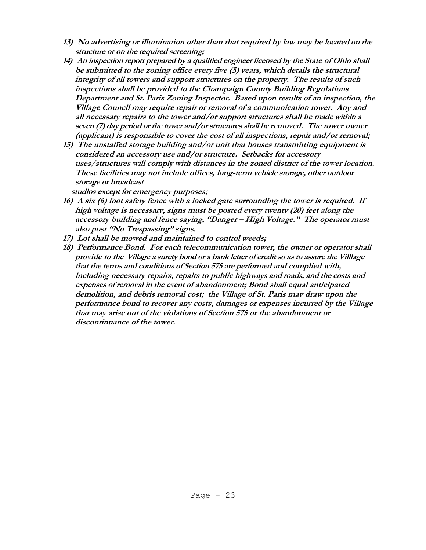- **13) No advertising or illumination other than that required by law may be located on the structure or on the required screening;**
- **14) An inspection report prepared by a qualified engineer licensed by the State of Ohio shall be submitted to the zoning office every five (5) years, which details the structural integrity of all towers and support structures on the property. The results of such inspections shall be provided to the Champaign County Building Regulations Department and St. Paris Zoning Inspector. Based upon results of an inspection, the Village Council may require repair or removal of a communication tower. Any and all necessary repairs to the tower and/or support structures shall be made within a seven (7) day period or the tower and/or structures shall be removed. The tower owner (applicant) is responsible to cover the cost of all inspections, repair and/or removal;**
- **15) The unstaffed storage building and/or unit that houses transmitting equipment is considered an accessory use and/or structure. Setbacks for accessory uses/structures will comply with distances in the zoned district of the tower location. These facilities may not include offices, long-term vehicle storage, other outdoor storage or broadcast**

 **studios except for emergency purposes;**

- **16) A six (6) foot safety fence with a locked gate surrounding the tower is required. If high voltage is necessary, signs must be posted every twenty (20) feet along the accessory building and fence saying, "Danger – High Voltage." The operator must also post "No Trespassing" signs.**
- **17) Lot shall be mowed and maintained to control weeds;**
- **18) Performance Bond. For each telecommunication tower, the owner or operator shall provide to the Village a surety bond or a bank letter of credit so as to assure the Villlage that the terms and conditions of Section 575 are performed and complied with, including necessary repairs, repairs to public highways and roads, and the costs and expenses of removal in the event of abandonment; Bond shall equal anticipated demolition, and debris removal cost; the Village of St. Paris may draw upon the performance bond to recover any costs, damages or expenses incurred by the Village that may arise out of the violations of Section 575 or the abandonment or discontinuance of the tower.**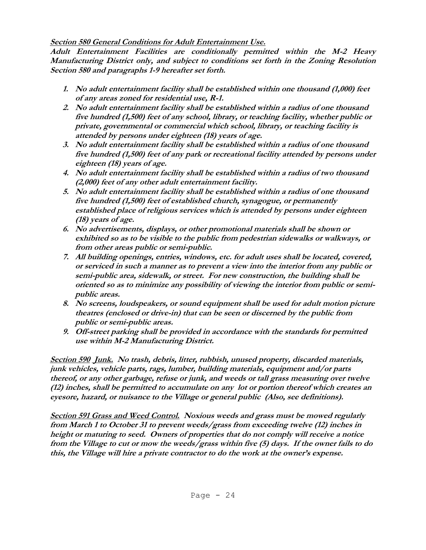# **Section 580 General Conditions for Adult Entertainment Use.**

**Adult Entertainment Facilities are conditionally permitted within the M-2 Heavy Manufacturing District only, and subject to conditions set forth in the Zoning Resolution Section 580 and paragraphs 1-9 hereafter set forth.**

- **1. No adult entertainment facility shall be established within one thousand (1,000) feet of any areas zoned for residential use, R-1.**
- **2. No adult entertainment facility shall be established within a radius of one thousand five hundred (1,500) feet of any school, library, or teaching facility, whether public or private, governmental or commercial which school, library, or teaching facility is attended by persons under eighteen (18) years of age.**
- **3. No adult entertainment facility shall be established within a radius of one thousand five hundred (1,500) feet of any park or recreational facility attended by persons under eighteen (18) years of age.**
- **4. No adult entertainment facility shall be established within a radius of two thousand (2,000) feet of any other adult entertainment facility.**
- **5. No adult entertainment facility shall be established within a radius of one thousand five hundred (1,500) feet of established church, synagogue, or permanently established place of religious services which is attended by persons under eighteen (18) years of age.**
- **6. No advertisements, displays, or other promotional materials shall be shown or exhibited so as to be visible to the public from pedestrian sidewalks or walkways, or from other areas public or semi-public.**
- **7. All building openings, entries, windows, etc. for adult uses shall be located, covered, or serviced in such a manner as to prevent a view into the interior from any public or semi-public area, sidewalk, or street. For new construction, the building shall be oriented so as to minimize any possibility of viewing the interior from public or semipublic areas.**
- **8. No screens, loudspeakers, or sound equipment shall be used for adult motion picture theatres (enclosed or drive-in) that can be seen or discerned by the public from public or semi-public areas.**
- **9. Off-street parking shall be provided in accordance with the standards for permitted use within M-2 Manufacturing District.**

**Section 590 Junk. No trash, debris, litter, rubbish, unused property, discarded materials, junk vehicles, vehicle parts, rags, lumber, building materials, equipment and/or parts thereof, or any other garbage, refuse or junk, and weeds or tall grass measuring over twelve (12) inches, shall be permitted to accumulate on any lot or portion thereof which creates an eyesore, hazard, or nuisance to the Village or general public (Also, see definitions).**

**Section 591 Grass and Weed Control. Noxious weeds and grass must be mowed regularly from March 1 to October 31 to prevent weeds/grass from exceeding twelve (12) inches in height or maturing to seed. Owners of properties that do not comply will receive a notice from the Village to cut or mow the weeds/grass within five (5) days. If the owner fails to do this, the Village will hire a private contractor to do the work at the owner's expense.**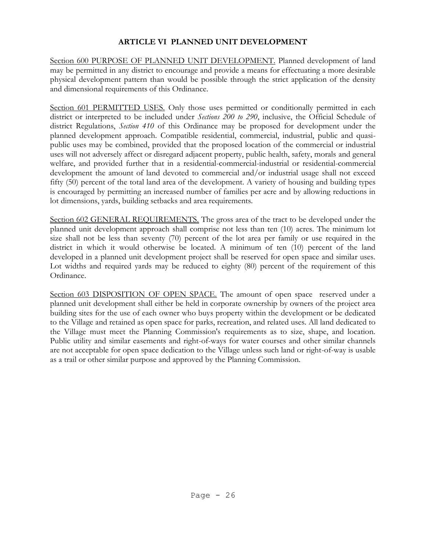# **ARTICLE VI PLANNED UNIT DEVELOPMENT**

Section 600 PURPOSE OF PLANNED UNIT DEVELOPMENT. Planned development of land may be permitted in any district to encourage and provide a means for effectuating a more desirable physical development pattern than would be possible through the strict application of the density and dimensional requirements of this Ordinance.

Section 601 PERMITTED USES. Only those uses permitted or conditionally permitted in each district or interpreted to be included under *Sections 200 to 290*, inclusive, the Official Schedule of district Regulations, *Section 410* of this Ordinance may be proposed for development under the planned development approach. Compatible residential, commercial, industrial, public and quasipublic uses may be combined, provided that the proposed location of the commercial or industrial uses will not adversely affect or disregard adjacent property, public health, safety, morals and general welfare, and provided further that in a residential-commercial-industrial or residential-commercial development the amount of land devoted to commercial and/or industrial usage shall not exceed fifty (50) percent of the total land area of the development. A variety of housing and building types is encouraged by permitting an increased number of families per acre and by allowing reductions in lot dimensions, yards, building setbacks and area requirements.

Section 602 GENERAL REQUIREMENTS. The gross area of the tract to be developed under the planned unit development approach shall comprise not less than ten (10) acres. The minimum lot size shall not be less than seventy (70) percent of the lot area per family or use required in the district in which it would otherwise be located. A minimum of ten (10) percent of the land developed in a planned unit development project shall be reserved for open space and similar uses. Lot widths and required yards may be reduced to eighty (80) percent of the requirement of this Ordinance.

Section 603 DISPOSITION OF OPEN SPACE. The amount of open space reserved under a planned unit development shall either be held in corporate ownership by owners of the project area building sites for the use of each owner who buys property within the development or be dedicated to the Village and retained as open space for parks, recreation, and related uses. All land dedicated to the Village must meet the Planning Commission's requirements as to size, shape, and location. Public utility and similar easements and right-of-ways for water courses and other similar channels are not acceptable for open space dedication to the Village unless such land or right-of-way is usable as a trail or other similar purpose and approved by the Planning Commission.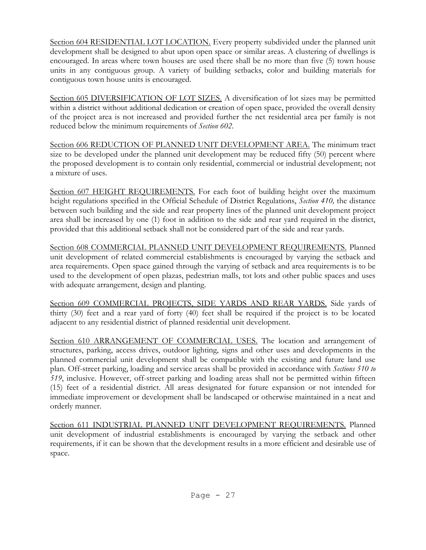Section 604 RESIDENTIAL LOT LOCATION. Every property subdivided under the planned unit development shall be designed to abut upon open space or similar areas. A clustering of dwellings is encouraged. In areas where town houses are used there shall be no more than five (5) town house units in any contiguous group. A variety of building setbacks, color and building materials for contiguous town house units is encouraged.

Section 605 DIVERSIFICATION OF LOT SIZES. A diversification of lot sizes may be permitted within a district without additional dedication or creation of open space, provided the overall density of the project area is not increased and provided further the net residential area per family is not reduced below the minimum requirements of *Section 602*.

Section 606 REDUCTION OF PLANNED UNIT DEVELOPMENT AREA. The minimum tract size to be developed under the planned unit development may be reduced fifty (50) percent where the proposed development is to contain only residential, commercial or industrial development; not a mixture of uses.

Section 607 HEIGHT REQUIREMENTS. For each foot of building height over the maximum height regulations specified in the Official Schedule of District Regulations, *Section 410,* the distance between such building and the side and rear property lines of the planned unit development project area shall be increased by one (1) foot in addition to the side and rear yard required in the district, provided that this additional setback shall not be considered part of the side and rear yards.

Section 608 COMMERCIAL PLANNED UNIT DEVELOPMENT REQUIREMENTS. Planned unit development of related commercial establishments is encouraged by varying the setback and area requirements. Open space gained through the varying of setback and area requirements is to be used to the development of open plazas, pedestrian malls, tot lots and other public spaces and uses with adequate arrangement, design and planting.

Section 609 COMMERCIAL PROJECTS, SIDE YARDS AND REAR YARDS. Side yards of thirty (30) feet and a rear yard of forty (40) feet shall be required if the project is to be located adjacent to any residential district of planned residential unit development.

Section 610 ARRANGEMENT OF COMMERCIAL USES. The location and arrangement of structures, parking, access drives, outdoor lighting, signs and other uses and developments in the planned commercial unit development shall be compatible with the existing and future land use plan. Off-street parking, loading and service areas shall be provided in accordance with *Sections 510 to 519*, inclusive. However, off-street parking and loading areas shall not be permitted within fifteen (15) feet of a residential district. All areas designated for future expansion or not intended for immediate improvement or development shall be landscaped or otherwise maintained in a neat and orderly manner.

Section 611 INDUSTRIAL PLANNED UNIT DEVELOPMENT REQUIREMENTS. Planned unit development of industrial establishments is encouraged by varying the setback and other requirements, if it can be shown that the development results in a more efficient and desirable use of space.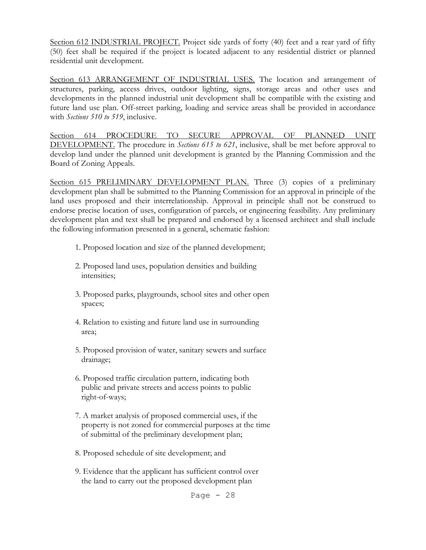Section 612 INDUSTRIAL PROJECT. Project side yards of forty (40) feet and a rear yard of fifty (50) feet shall be required if the project is located adjacent to any residential district or planned residential unit development.

Section 613 ARRANGEMENT OF INDUSTRIAL USES. The location and arrangement of structures, parking, access drives, outdoor lighting, signs, storage areas and other uses and developments in the planned industrial unit development shall be compatible with the existing and future land use plan. Off-street parking, loading and service areas shall be provided in accordance with *Sections 510 to 519*, inclusive.

Section 614 PROCEDURE TO SECURE APPROVAL OF PLANNED UNIT DEVELOPMENT. The procedure in *Sections 615 to 621*, inclusive, shall be met before approval to develop land under the planned unit development is granted by the Planning Commission and the Board of Zoning Appeals.

Section 615 PRELIMINARY DEVELOPMENT PLAN. Three (3) copies of a preliminary development plan shall be submitted to the Planning Commission for an approval in principle of the land uses proposed and their interrelationship. Approval in principle shall not be construed to endorse precise location of uses, configuration of parcels, or engineering feasibility. Any preliminary development plan and text shall be prepared and endorsed by a licensed architect and shall include the following information presented in a general, schematic fashion:

- 1. Proposed location and size of the planned development;
- 2. Proposed land uses, population densities and building intensities;
- 3. Proposed parks, playgrounds, school sites and other open spaces;
- 4. Relation to existing and future land use in surrounding area;
- 5. Proposed provision of water, sanitary sewers and surface drainage;
- 6. Proposed traffic circulation pattern, indicating both public and private streets and access points to public right-of-ways;
- 7. A market analysis of proposed commercial uses, if the property is not zoned for commercial purposes at the time of submittal of the preliminary development plan;
- 8. Proposed schedule of site development; and
- 9. Evidence that the applicant has sufficient control over the land to carry out the proposed development plan

Page  $-28$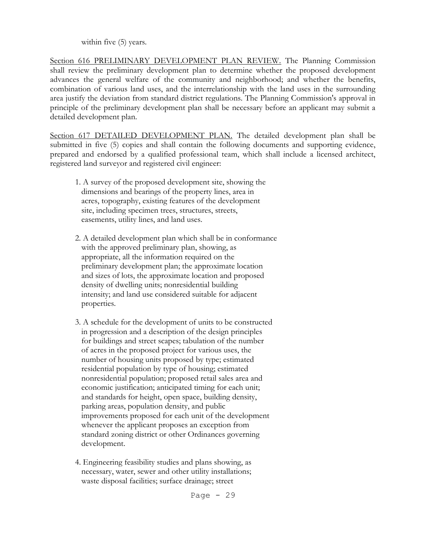within five (5) years.

Section 616 PRELIMINARY DEVELOPMENT PLAN REVIEW. The Planning Commission shall review the preliminary development plan to determine whether the proposed development advances the general welfare of the community and neighborhood; and whether the benefits, combination of various land uses, and the interrelationship with the land uses in the surrounding area justify the deviation from standard district regulations. The Planning Commission's approval in principle of the preliminary development plan shall be necessary before an applicant may submit a detailed development plan.

Section 617 DETAILED DEVELOPMENT PLAN. The detailed development plan shall be submitted in five (5) copies and shall contain the following documents and supporting evidence, prepared and endorsed by a qualified professional team, which shall include a licensed architect, registered land surveyor and registered civil engineer:

- 1. A survey of the proposed development site, showing the dimensions and bearings of the property lines, area in acres, topography, existing features of the development site, including specimen trees, structures, streets, easements, utility lines, and land uses.
- 2. A detailed development plan which shall be in conformance with the approved preliminary plan, showing, as appropriate, all the information required on the preliminary development plan; the approximate location and sizes of lots, the approximate location and proposed density of dwelling units; nonresidential building intensity; and land use considered suitable for adjacent properties.
- 3. A schedule for the development of units to be constructed in progression and a description of the design principles for buildings and street scapes; tabulation of the number of acres in the proposed project for various uses, the number of housing units proposed by type; estimated residential population by type of housing; estimated nonresidential population; proposed retail sales area and economic justification; anticipated timing for each unit; and standards for height, open space, building density, parking areas, population density, and public improvements proposed for each unit of the development whenever the applicant proposes an exception from standard zoning district or other Ordinances governing development.
- 4. Engineering feasibility studies and plans showing, as necessary, water, sewer and other utility installations; waste disposal facilities; surface drainage; street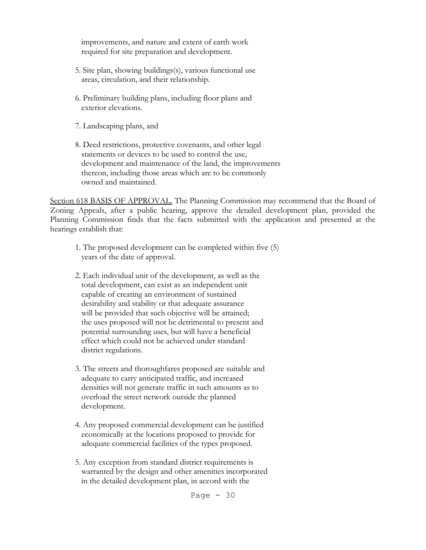improvements, and nature and extent of earth work required for site preparation and development.

- 5. Site plan, showing buildings(s), various functional use areas, circulation, and their relationship.
- 6. Preliminary building plans, including floor plans and exterior elevations.
- 7. Landscaping plans, and
- 8. Deed restrictions, protective covenants, and other legal statements or devices to be used to control the use, development and maintenance of the land, the improvements thereon, including those areas which are to be commonly owned and maintained.

Section 618 BASIS OF APPROVAL. The Planning Commission may recommend that the Board of Zoning Appeals, after a public hearing, approve the detailed development plan, provided the Planning Commission finds that the facts submitted with the application and presented at the hearings establish that:

- 1. The proposed development can be completed within five (5) years of the date of approval.
- 2. Each individual unit of the development, as well as the total development, can exist as an independent unit capable of creating an environment of sustained desirability and stability or that adequate assurance will be provided that such objective will be attained; the uses proposed will not be detrimental to present and potential surrounding uses, but will have a beneficial effect which could not be achieved under standard district regulations.
- 3. The streets and thoroughfares proposed are suitable and adequate to carry anticipated traffic, and increased densities will not generate traffic in such amounts as to overload the street network outside the planned development.
- 4. Any proposed commercial development can be justified economically at the locations proposed to provide for adequate commercial facilities of the types proposed.
- 5. Any exception from standard district requirements is warranted by the design and other amenities incorporated in the detailed development plan, in accord with the

Page  $-30$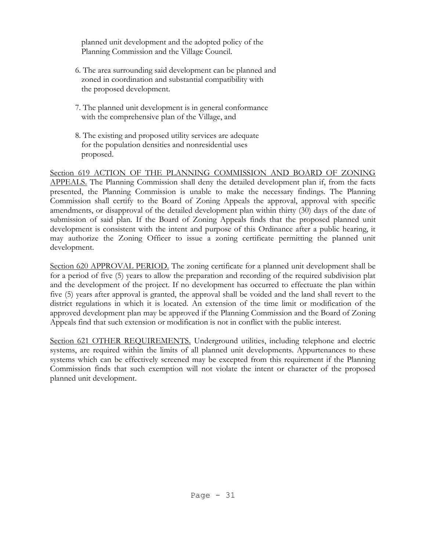planned unit development and the adopted policy of the Planning Commission and the Village Council.

- 6. The area surrounding said development can be planned and zoned in coordination and substantial compatibility with the proposed development.
- 7. The planned unit development is in general conformance with the comprehensive plan of the Village, and
- 8. The existing and proposed utility services are adequate for the population densities and nonresidential uses proposed.

Section 619 ACTION OF THE PLANNING COMMISSION AND BOARD OF ZONING APPEALS. The Planning Commission shall deny the detailed development plan if, from the facts presented, the Planning Commission is unable to make the necessary findings. The Planning Commission shall certify to the Board of Zoning Appeals the approval, approval with specific amendments, or disapproval of the detailed development plan within thirty (30) days of the date of submission of said plan. If the Board of Zoning Appeals finds that the proposed planned unit development is consistent with the intent and purpose of this Ordinance after a public hearing, it may authorize the Zoning Officer to issue a zoning certificate permitting the planned unit development.

Section 620 APPROVAL PERIOD. The zoning certificate for a planned unit development shall be for a period of five (5) years to allow the preparation and recording of the required subdivision plat and the development of the project. If no development has occurred to effectuate the plan within five (5) years after approval is granted, the approval shall be voided and the land shall revert to the district regulations in which it is located. An extension of the time limit or modification of the approved development plan may be approved if the Planning Commission and the Board of Zoning Appeals find that such extension or modification is not in conflict with the public interest.

Section 621 OTHER REQUIREMENTS. Underground utilities, including telephone and electric systems, are required within the limits of all planned unit developments. Appurtenances to these systems which can be effectively screened may be excepted from this requirement if the Planning Commission finds that such exemption will not violate the intent or character of the proposed planned unit development.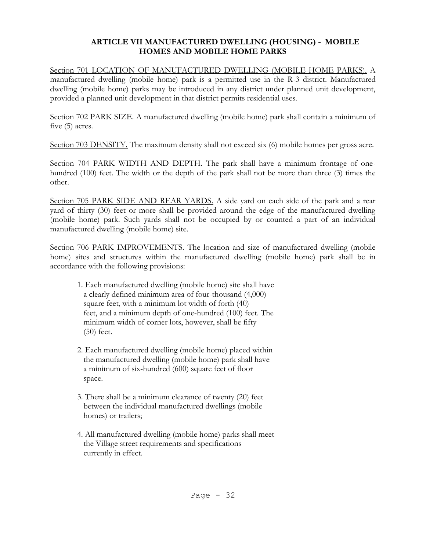# **ARTICLE VII MANUFACTURED DWELLING (HOUSING) - MOBILE HOMES AND MOBILE HOME PARKS**

Section 701 LOCATION OF MANUFACTURED DWELLING (MOBILE HOME PARKS). A manufactured dwelling (mobile home) park is a permitted use in the R-3 district. Manufactured dwelling (mobile home) parks may be introduced in any district under planned unit development, provided a planned unit development in that district permits residential uses.

Section 702 PARK SIZE. A manufactured dwelling (mobile home) park shall contain a minimum of five (5) acres.

Section 703 DENSITY. The maximum density shall not exceed six (6) mobile homes per gross acre.

Section 704 PARK WIDTH AND DEPTH. The park shall have a minimum frontage of onehundred (100) feet. The width or the depth of the park shall not be more than three (3) times the other.

Section 705 PARK SIDE AND REAR YARDS. A side yard on each side of the park and a rear yard of thirty (30) feet or more shall be provided around the edge of the manufactured dwelling (mobile home) park. Such yards shall not be occupied by or counted a part of an individual manufactured dwelling (mobile home) site.

Section 706 PARK IMPROVEMENTS. The location and size of manufactured dwelling (mobile home) sites and structures within the manufactured dwelling (mobile home) park shall be in accordance with the following provisions:

- 1. Each manufactured dwelling (mobile home) site shall have a clearly defined minimum area of four-thousand (4,000) square feet, with a minimum lot width of forth (40) feet, and a minimum depth of one-hundred (100) feet. The minimum width of corner lots, however, shall be fifty (50) feet.
- 2. Each manufactured dwelling (mobile home) placed within the manufactured dwelling (mobile home) park shall have a minimum of six-hundred (600) square feet of floor space.
- 3. There shall be a minimum clearance of twenty (20) feet between the individual manufactured dwellings (mobile homes) or trailers;
- 4. All manufactured dwelling (mobile home) parks shall meet the Village street requirements and specifications currently in effect.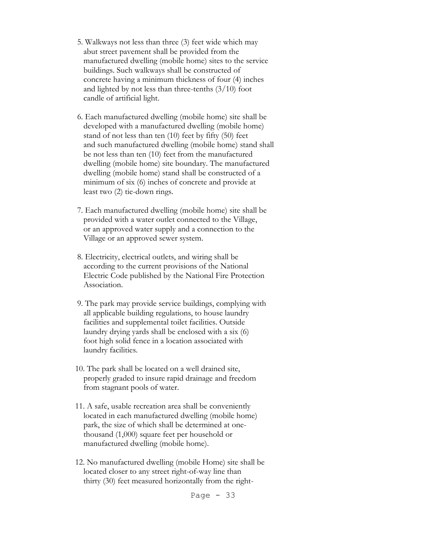- 5. Walkways not less than three (3) feet wide which may abut street pavement shall be provided from the manufactured dwelling (mobile home) sites to the service buildings. Such walkways shall be constructed of concrete having a minimum thickness of four (4) inches and lighted by not less than three-tenths  $(3/10)$  foot candle of artificial light.
- 6. Each manufactured dwelling (mobile home) site shall be developed with a manufactured dwelling (mobile home) stand of not less than ten (10) feet by fifty (50) feet and such manufactured dwelling (mobile home) stand shall be not less than ten (10) feet from the manufactured dwelling (mobile home) site boundary. The manufactured dwelling (mobile home) stand shall be constructed of a minimum of six (6) inches of concrete and provide at least two (2) tie-down rings.
- 7. Each manufactured dwelling (mobile home) site shall be provided with a water outlet connected to the Village, or an approved water supply and a connection to the Village or an approved sewer system.
- 8. Electricity, electrical outlets, and wiring shall be according to the current provisions of the National Electric Code published by the National Fire Protection Association.
- 9. The park may provide service buildings, complying with all applicable building regulations, to house laundry facilities and supplemental toilet facilities. Outside laundry drying yards shall be enclosed with a six (6) foot high solid fence in a location associated with laundry facilities.
- 10. The park shall be located on a well drained site, properly graded to insure rapid drainage and freedom from stagnant pools of water.
- 11. A safe, usable recreation area shall be conveniently located in each manufactured dwelling (mobile home) park, the size of which shall be determined at one thousand (1,000) square feet per household or manufactured dwelling (mobile home).
- 12. No manufactured dwelling (mobile Home) site shall be located closer to any street right-of-way line than thirty (30) feet measured horizontally from the right-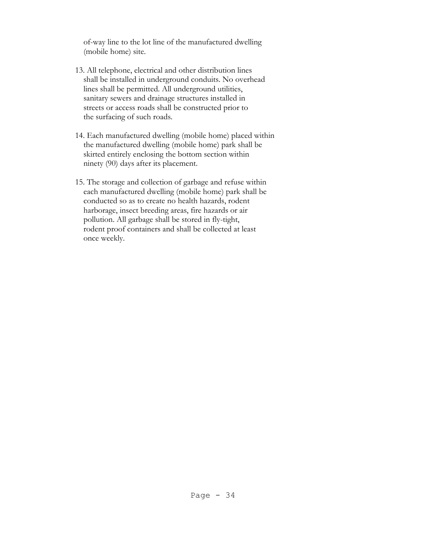of-way line to the lot line of the manufactured dwelling (mobile home) site.

- 13. All telephone, electrical and other distribution lines shall be installed in underground conduits. No overhead lines shall be permitted. All underground utilities, sanitary sewers and drainage structures installed in streets or access roads shall be constructed prior to the surfacing of such roads.
- 14. Each manufactured dwelling (mobile home) placed within the manufactured dwelling (mobile home) park shall be skirted entirely enclosing the bottom section within ninety (90) days after its placement.
- 15. The storage and collection of garbage and refuse within each manufactured dwelling (mobile home) park shall be conducted so as to create no health hazards, rodent harborage, insect breeding areas, fire hazards or air pollution. All garbage shall be stored in fly-tight, rodent proof containers and shall be collected at least once weekly.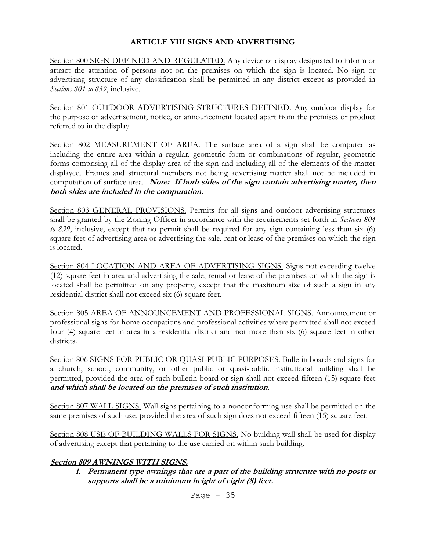# **ARTICLE VIII SIGNS AND ADVERTISING**

Section 800 SIGN DEFINED AND REGULATED. Any device or display designated to inform or attract the attention of persons not on the premises on which the sign is located. No sign or advertising structure of any classification shall be permitted in any district except as provided in *Sections 801 to 839*, inclusive.

Section 801 OUTDOOR ADVERTISING STRUCTURES DEFINED. Any outdoor display for the purpose of advertisement, notice, or announcement located apart from the premises or product referred to in the display.

Section 802 MEASUREMENT OF AREA. The surface area of a sign shall be computed as including the entire area within a regular, geometric form or combinations of regular, geometric forms comprising all of the display area of the sign and including all of the elements of the matter displayed. Frames and structural members not being advertising matter shall not be included in computation of surface area. *Note: If both sides of the sign contain advertising matter, then* **both sides are included in the computation.**

Section 803 GENERAL PROVISIONS. Permits for all signs and outdoor advertising structures shall be granted by the Zoning Officer in accordance with the requirements set forth in *Sections 804 to 839*, inclusive, except that no permit shall be required for any sign containing less than six (6) square feet of advertising area or advertising the sale, rent or lease of the premises on which the sign is located.

Section 804 LOCATION AND AREA OF ADVERTISING SIGNS. Signs not exceeding twelve (12) square feet in area and advertising the sale, rental or lease of the premises on which the sign is located shall be permitted on any property, except that the maximum size of such a sign in any residential district shall not exceed six (6) square feet.

Section 805 AREA OF ANNOUNCEMENT AND PROFESSIONAL SIGNS. Announcement or professional signs for home occupations and professional activities where permitted shall not exceed four (4) square feet in area in a residential district and not more than six (6) square feet in other districts.

Section 806 SIGNS FOR PUBLIC OR QUASI-PUBLIC PURPOSES. Bulletin boards and signs for a church, school, community, or other public or quasi-public institutional building shall be permitted, provided the area of such bulletin board or sign shall not exceed fifteen (15) square feet **and which shall be located on the premises of such institution**.

Section 807 WALL SIGNS. Wall signs pertaining to a nonconforming use shall be permitted on the same premises of such use, provided the area of such sign does not exceed fifteen (15) square feet.

Section 808 USE OF BUILDING WALLS FOR SIGNS. No building wall shall be used for display of advertising except that pertaining to the use carried on within such building.

## **Section 809 AWNINGS WITH SIGNS.**

**1. Permanent type awnings that are a part of the building structure with no posts or supports shall be a minimum height of eight (8) feet.**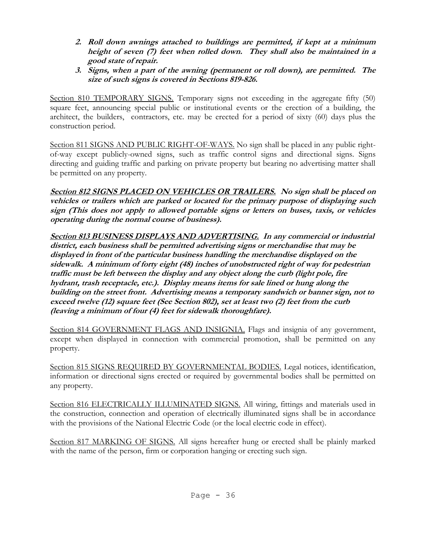- **2. Roll down awnings attached to buildings are permitted, if kept at a minimum height of seven (7) feet when rolled down. They shall also be maintained in a good state of repair.**
- **3. Signs, when a part of the awning (permanent or roll down), are permitted. The size of such signs is covered in Sections 819-826.**

Section 810 TEMPORARY SIGNS. Temporary signs not exceeding in the aggregate fifty (50) square feet, announcing special public or institutional events or the erection of a building, the architect, the builders, contractors, etc. may be erected for a period of sixty (60) days plus the construction period.

Section 811 SIGNS AND PUBLIC RIGHT-OF-WAYS. No sign shall be placed in any public rightof-way except publicly-owned signs, such as traffic control signs and directional signs. Signs directing and guiding traffic and parking on private property but bearing no advertising matter shall be permitted on any property.

**Section 812 SIGNS PLACED ON VEHICLES OR TRAILERS. No sign shall be placed on vehicles or trailers which are parked or located for the primary purpose of displaying such sign (This does not apply to allowed portable signs or letters on buses, taxis, or vehicles operating during the normal course of business).**

**Section 813 BUSINESS DISPLAYS AND ADVERTISING. In any commercial or industrial district, each business shall be permitted advertising signs or merchandise that may be displayed in front of the particular business handling the merchandise displayed on the sidewalk. A minimum of forty eight (48) inches of unobstructed right of way for pedestrian traffic must be left between the display and any object along the curb (light pole, fire hydrant, trash receptacle, etc.). Display means items for sale lined or hung along the building on the street front. Advertising means a temporary sandwich or banner sign, not to exceed twelve (12) square feet (See Section 802), set at least two (2) feet from the curb (leaving a minimum of four (4) feet for sidewalk thoroughfare).**

Section 814 GOVERNMENT FLAGS AND INSIGNIA. Flags and insignia of any government, except when displayed in connection with commercial promotion, shall be permitted on any property.

Section 815 SIGNS REQUIRED BY GOVERNMENTAL BODIES. Legal notices, identification, information or directional signs erected or required by governmental bodies shall be permitted on any property.

Section 816 ELECTRICALLY ILLUMINATED SIGNS. All wiring, fittings and materials used in the construction, connection and operation of electrically illuminated signs shall be in accordance with the provisions of the National Electric Code (or the local electric code in effect).

Section 817 MARKING OF SIGNS. All signs hereafter hung or erected shall be plainly marked with the name of the person, firm or corporation hanging or erecting such sign.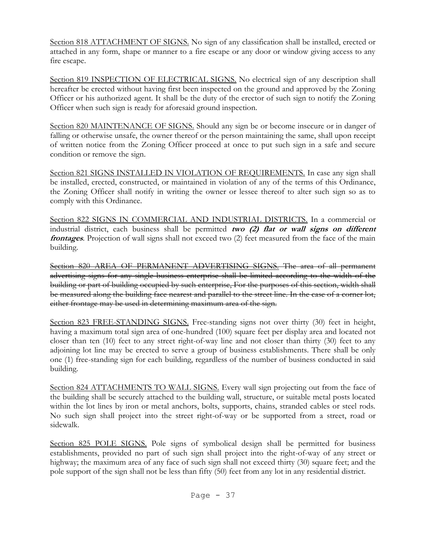Section 818 ATTACHMENT OF SIGNS. No sign of any classification shall be installed, erected or attached in any form, shape or manner to a fire escape or any door or window giving access to any fire escape.

Section 819 INSPECTION OF ELECTRICAL SIGNS. No electrical sign of any description shall hereafter be erected without having first been inspected on the ground and approved by the Zoning Officer or his authorized agent. It shall be the duty of the erector of such sign to notify the Zoning Officer when such sign is ready for aforesaid ground inspection.

Section 820 MAINTENANCE OF SIGNS. Should any sign be or become insecure or in danger of falling or otherwise unsafe, the owner thereof or the person maintaining the same, shall upon receipt of written notice from the Zoning Officer proceed at once to put such sign in a safe and secure condition or remove the sign.

Section 821 SIGNS INSTALLED IN VIOLATION OF REQUIREMENTS. In case any sign shall be installed, erected, constructed, or maintained in violation of any of the terms of this Ordinance, the Zoning Officer shall notify in writing the owner or lessee thereof to alter such sign so as to comply with this Ordinance.

Section 822 SIGNS IN COMMERCIAL AND INDUSTRIAL DISTRICTS. In a commercial or industrial district, each business shall be permitted **two (2) flat or wall signs on different frontages**. Projection of wall signs shall not exceed two (2) feet measured from the face of the main building.

Section 820 AREA OF PERMANENT ADVERTISING SIGNS. The area of all permanent advertising signs for any single business enterprise shall be limited according to the width of the building or part of building occupied by such enterprise, For the purposes of this section, width shall be measured along the building face nearest and parallel to the street line. In the case of a corner lot, either frontage may be used in determining maximum area of the sign.

Section 823 FREE-STANDING SIGNS. Free-standing signs not over thirty (30) feet in height, having a maximum total sign area of one-hundred (100) square feet per display area and located not closer than ten (10) feet to any street right-of-way line and not closer than thirty (30) feet to any adjoining lot line may be erected to serve a group of business establishments. There shall be only one (1) free-standing sign for each building, regardless of the number of business conducted in said building.

Section 824 ATTACHMENTS TO WALL SIGNS. Every wall sign projecting out from the face of the building shall be securely attached to the building wall, structure, or suitable metal posts located within the lot lines by iron or metal anchors, bolts, supports, chains, stranded cables or steel rods. No such sign shall project into the street right-of-way or be supported from a street, road or sidewalk.

Section 825 POLE SIGNS. Pole signs of symbolical design shall be permitted for business establishments, provided no part of such sign shall project into the right-of-way of any street or highway; the maximum area of any face of such sign shall not exceed thirty (30) square feet; and the pole support of the sign shall not be less than fifty (50) feet from any lot in any residential district.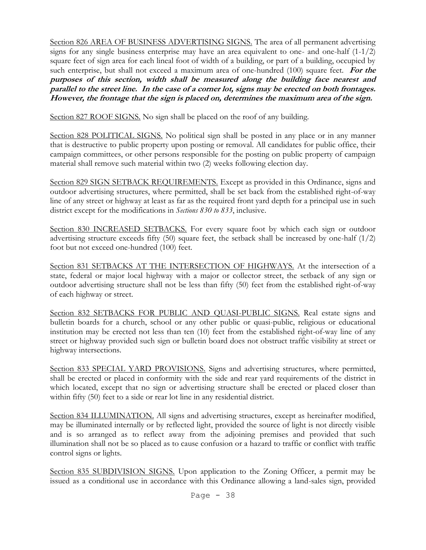Section 826 AREA OF BUSINESS ADVERTISING SIGNS. The area of all permanent advertising signs for any single business enterprise may have an area equivalent to one- and one-half (1-1/2) square feet of sign area for each lineal foot of width of a building, or part of a building, occupied by such enterprise, but shall not exceed a maximum area of one-hundred (100) square feet. **For the purposes of this section, width shall be measured along the building face nearest and parallel to the street line. In the case of a corner lot, signs may be erected on both frontages. However, the frontage that the sign is placed on, determines the maximum area of the sign.**

Section 827 ROOF SIGNS. No sign shall be placed on the roof of any building.

Section 828 POLITICAL SIGNS. No political sign shall be posted in any place or in any manner that is destructive to public property upon posting or removal. All candidates for public office, their campaign committees, or other persons responsible for the posting on public property of campaign material shall remove such material within two (2) weeks following election day.

Section 829 SIGN SETBACK REQUIREMENTS. Except as provided in this Ordinance, signs and outdoor advertising structures, where permitted, shall be set back from the established right-of-way line of any street or highway at least as far as the required front yard depth for a principal use in such district except for the modifications in *Sections 830 to 833*, inclusive.

Section 830 INCREASED SETBACKS. For every square foot by which each sign or outdoor advertising structure exceeds fifty (50) square feet, the setback shall be increased by one-half (1/2) foot but not exceed one-hundred (100) feet.

Section 831 SETBACKS AT THE INTERSECTION OF HIGHWAYS. At the intersection of a state, federal or major local highway with a major or collector street, the setback of any sign or outdoor advertising structure shall not be less than fifty (50) feet from the established right-of-way of each highway or street.

Section 832 SETBACKS FOR PUBLIC AND QUASI-PUBLIC SIGNS. Real estate signs and bulletin boards for a church, school or any other public or quasi-public, religious or educational institution may be erected not less than ten (10) feet from the established right-of-way line of any street or highway provided such sign or bulletin board does not obstruct traffic visibility at street or highway intersections.

Section 833 SPECIAL YARD PROVISIONS. Signs and advertising structures, where permitted, shall be erected or placed in conformity with the side and rear yard requirements of the district in which located, except that no sign or advertising structure shall be erected or placed closer than within fifty (50) feet to a side or rear lot line in any residential district.

Section 834 ILLUMINATION. All signs and advertising structures, except as hereinafter modified, may be illuminated internally or by reflected light, provided the source of light is not directly visible and is so arranged as to reflect away from the adjoining premises and provided that such illumination shall not be so placed as to cause confusion or a hazard to traffic or conflict with traffic control signs or lights.

Section 835 SUBDIVISION SIGNS. Upon application to the Zoning Officer, a permit may be issued as a conditional use in accordance with this Ordinance allowing a land-sales sign, provided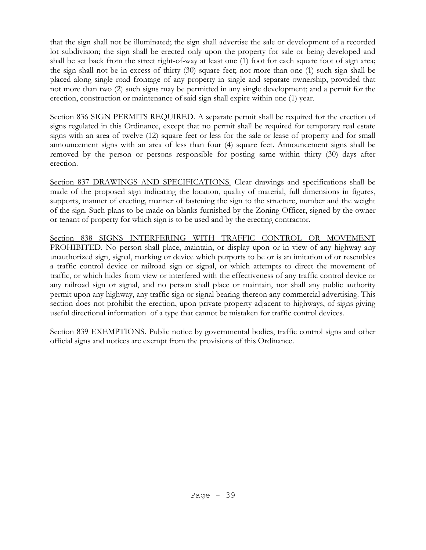that the sign shall not be illuminated; the sign shall advertise the sale or development of a recorded lot subdivision; the sign shall be erected only upon the property for sale or being developed and shall be set back from the street right-of-way at least one (1) foot for each square foot of sign area; the sign shall not be in excess of thirty (30) square feet; not more than one (1) such sign shall be placed along single road frontage of any property in single and separate ownership, provided that not more than two (2) such signs may be permitted in any single development; and a permit for the erection, construction or maintenance of said sign shall expire within one (1) year.

Section 836 SIGN PERMITS REQUIRED. A separate permit shall be required for the erection of signs regulated in this Ordinance, except that no permit shall be required for temporary real estate signs with an area of twelve (12) square feet or less for the sale or lease of property and for small announcement signs with an area of less than four (4) square feet. Announcement signs shall be removed by the person or persons responsible for posting same within thirty (30) days after erection.

Section 837 DRAWINGS AND SPECIFICATIONS. Clear drawings and specifications shall be made of the proposed sign indicating the location, quality of material, full dimensions in figures, supports, manner of erecting, manner of fastening the sign to the structure, number and the weight of the sign. Such plans to be made on blanks furnished by the Zoning Officer, signed by the owner or tenant of property for which sign is to be used and by the erecting contractor.

Section 838 SIGNS INTERFERING WITH TRAFFIC CONTROL OR MOVEMENT PROHIBITED. No person shall place, maintain, or display upon or in view of any highway any unauthorized sign, signal, marking or device which purports to be or is an imitation of or resembles a traffic control device or railroad sign or signal, or which attempts to direct the movement of traffic, or which hides from view or interfered with the effectiveness of any traffic control device or any railroad sign or signal, and no person shall place or maintain, nor shall any public authority permit upon any highway, any traffic sign or signal bearing thereon any commercial advertising. This section does not prohibit the erection, upon private property adjacent to highways, of signs giving useful directional information of a type that cannot be mistaken for traffic control devices.

Section 839 EXEMPTIONS. Public notice by governmental bodies, traffic control signs and other official signs and notices are exempt from the provisions of this Ordinance.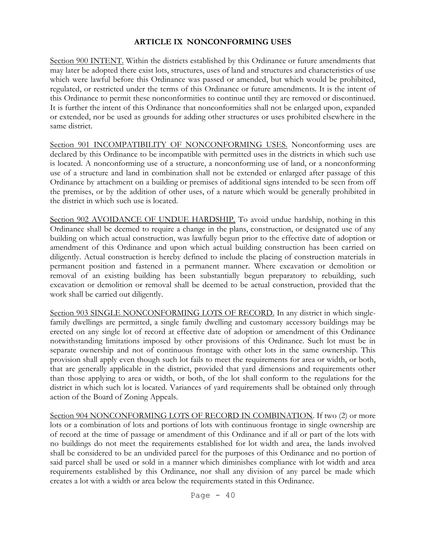## **ARTICLE IX NONCONFORMING USES**

Section 900 INTENT. Within the districts established by this Ordinance or future amendments that may later be adopted there exist lots, structures, uses of land and structures and characteristics of use which were lawful before this Ordinance was passed or amended, but which would be prohibited, regulated, or restricted under the terms of this Ordinance or future amendments. It is the intent of this Ordinance to permit these nonconformities to continue until they are removed or discontinued. It is further the intent of this Ordinance that nonconformities shall not be enlarged upon, expanded or extended, nor be used as grounds for adding other structures or uses prohibited elsewhere in the same district.

Section 901 INCOMPATIBILITY OF NONCONFORMING USES. Nonconforming uses are declared by this Ordinance to be incompatible with permitted uses in the districts in which such use is located. A nonconforming use of a structure, a nonconforming use of land, or a nonconforming use of a structure and land in combination shall not be extended or enlarged after passage of this Ordinance by attachment on a building or premises of additional signs intended to be seen from off the premises, or by the addition of other uses, of a nature which would be generally prohibited in the district in which such use is located.

Section 902 AVOIDANCE OF UNDUE HARDSHIP. To avoid undue hardship, nothing in this Ordinance shall be deemed to require a change in the plans, construction, or designated use of any building on which actual construction, was lawfully begun prior to the effective date of adoption or amendment of this Ordinance and upon which actual building construction has been carried on diligently. Actual construction is hereby defined to include the placing of construction materials in permanent position and fastened in a permanent manner. Where excavation or demolition or removal of an existing building has been substantially begun preparatory to rebuilding, such excavation or demolition or removal shall be deemed to be actual construction, provided that the work shall be carried out diligently.

Section 903 SINGLE NONCONFORMING LOTS OF RECORD. In any district in which singlefamily dwellings are permitted, a single family dwelling and customary accessory buildings may be erected on any single lot of record at effective date of adoption or amendment of this Ordinance notwithstanding limitations imposed by other provisions of this Ordinance. Such lot must be in separate ownership and not of continuous frontage with other lots in the same ownership. This provision shall apply even though such lot fails to meet the requirements for area or width, or both, that are generally applicable in the district, provided that yard dimensions and requirements other than those applying to area or width, or both, of the lot shall conform to the regulations for the district in which such lot is located. Variances of yard requirements shall be obtained only through action of the Board of Zoning Appeals.

Section 904 NONCONFORMING LOTS OF RECORD IN COMBINATION. If two (2) or more lots or a combination of lots and portions of lots with continuous frontage in single ownership are of record at the time of passage or amendment of this Ordinance and if all or part of the lots with no buildings do not meet the requirements established for lot width and area, the lands involved shall be considered to be an undivided parcel for the purposes of this Ordinance and no portion of said parcel shall be used or sold in a manner which diminishes compliance with lot width and area requirements established by this Ordinance, nor shall any division of any parcel be made which creates a lot with a width or area below the requirements stated in this Ordinance.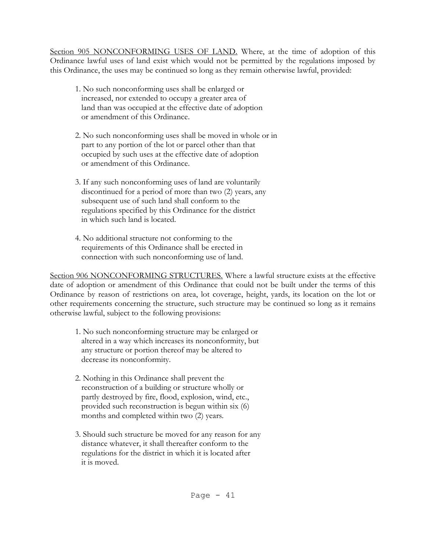Section 905 NONCONFORMING USES OF LAND. Where, at the time of adoption of this Ordinance lawful uses of land exist which would not be permitted by the regulations imposed by this Ordinance, the uses may be continued so long as they remain otherwise lawful, provided:

- 1. No such nonconforming uses shall be enlarged or increased, nor extended to occupy a greater area of land than was occupied at the effective date of adoption or amendment of this Ordinance.
- 2. No such nonconforming uses shall be moved in whole or in part to any portion of the lot or parcel other than that occupied by such uses at the effective date of adoption or amendment of this Ordinance.
- 3. If any such nonconforming uses of land are voluntarily discontinued for a period of more than two (2) years, any subsequent use of such land shall conform to the regulations specified by this Ordinance for the district in which such land is located.
- 4. No additional structure not conforming to the requirements of this Ordinance shall be erected in connection with such nonconforming use of land.

Section 906 NONCONFORMING STRUCTURES. Where a lawful structure exists at the effective date of adoption or amendment of this Ordinance that could not be built under the terms of this Ordinance by reason of restrictions on area, lot coverage, height, yards, its location on the lot or other requirements concerning the structure, such structure may be continued so long as it remains otherwise lawful, subject to the following provisions:

- 1. No such nonconforming structure may be enlarged or altered in a way which increases its nonconformity, but any structure or portion thereof may be altered to decrease its nonconformity.
- 2. Nothing in this Ordinance shall prevent the reconstruction of a building or structure wholly or partly destroyed by fire, flood, explosion, wind, etc., provided such reconstruction is begun within six (6) months and completed within two (2) years.
- 3. Should such structure be moved for any reason for any distance whatever, it shall thereafter conform to the regulations for the district in which it is located after it is moved.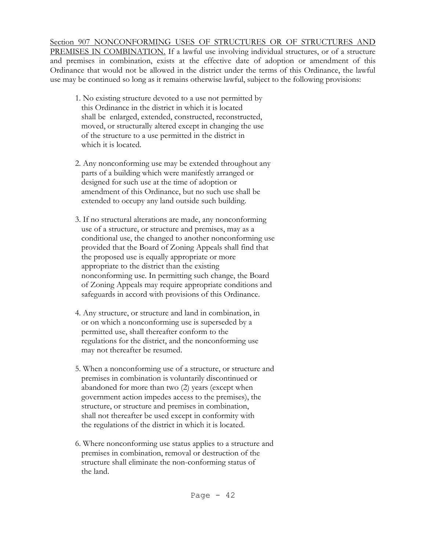Section 907 NONCONFORMING USES OF STRUCTURES OR OF STRUCTURES AND PREMISES IN COMBINATION. If a lawful use involving individual structures, or of a structure and premises in combination, exists at the effective date of adoption or amendment of this Ordinance that would not be allowed in the district under the terms of this Ordinance, the lawful use may be continued so long as it remains otherwise lawful, subject to the following provisions:

- 1. No existing structure devoted to a use not permitted by this Ordinance in the district in which it is located shall be enlarged, extended, constructed, reconstructed, moved, or structurally altered except in changing the use of the structure to a use permitted in the district in which it is located.
- 2. Any nonconforming use may be extended throughout any parts of a building which were manifestly arranged or designed for such use at the time of adoption or amendment of this Ordinance, but no such use shall be extended to occupy any land outside such building.
- 3. If no structural alterations are made, any nonconforming use of a structure, or structure and premises, may as a conditional use, the changed to another nonconforming use provided that the Board of Zoning Appeals shall find that the proposed use is equally appropriate or more appropriate to the district than the existing nonconforming use. In permitting such change, the Board of Zoning Appeals may require appropriate conditions and safeguards in accord with provisions of this Ordinance.
- 4. Any structure, or structure and land in combination, in or on which a nonconforming use is superseded by a permitted use, shall thereafter conform to the regulations for the district, and the nonconforming use may not thereafter be resumed.
- 5. When a nonconforming use of a structure, or structure and premises in combination is voluntarily discontinued or abandoned for more than two (2) years (except when government action impedes access to the premises), the structure, or structure and premises in combination, shall not thereafter be used except in conformity with the regulations of the district in which it is located.
- 6. Where nonconforming use status applies to a structure and premises in combination, removal or destruction of the structure shall eliminate the non-conforming status of the land.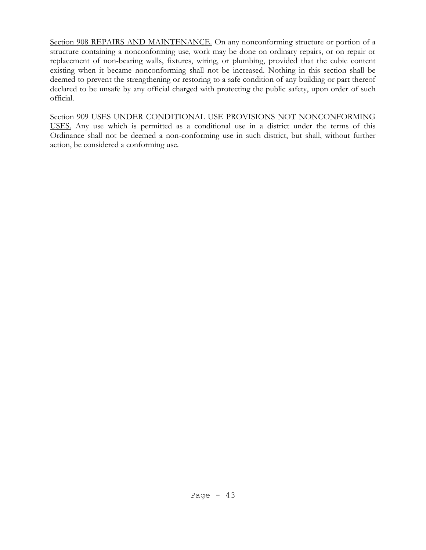Section 908 REPAIRS AND MAINTENANCE. On any nonconforming structure or portion of a structure containing a nonconforming use, work may be done on ordinary repairs, or on repair or replacement of non-bearing walls, fixtures, wiring, or plumbing, provided that the cubic content existing when it became nonconforming shall not be increased. Nothing in this section shall be deemed to prevent the strengthening or restoring to a safe condition of any building or part thereof declared to be unsafe by any official charged with protecting the public safety, upon order of such official.

Section 909 USES UNDER CONDITIONAL USE PROVISIONS NOT NONCONFORMING USES. Any use which is permitted as a conditional use in a district under the terms of this Ordinance shall not be deemed a non-conforming use in such district, but shall, without further action, be considered a conforming use.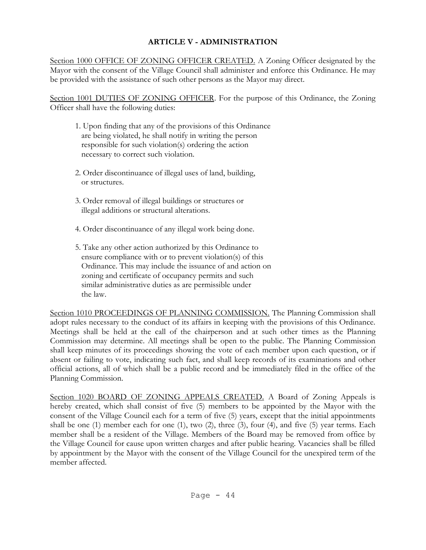# **ARTICLE V - ADMINISTRATION**

Section 1000 OFFICE OF ZONING OFFICER CREATED. A Zoning Officer designated by the Mayor with the consent of the Village Council shall administer and enforce this Ordinance. He may be provided with the assistance of such other persons as the Mayor may direct.

Section 1001 DUTIES OF ZONING OFFICER. For the purpose of this Ordinance, the Zoning Officer shall have the following duties:

- 1. Upon finding that any of the provisions of this Ordinance are being violated, he shall notify in writing the person responsible for such violation(s) ordering the action necessary to correct such violation.
- 2. Order discontinuance of illegal uses of land, building, or structures.
- 3. Order removal of illegal buildings or structures or illegal additions or structural alterations.
- 4. Order discontinuance of any illegal work being done.
- 5. Take any other action authorized by this Ordinance to ensure compliance with or to prevent violation(s) of this Ordinance. This may include the issuance of and action on zoning and certificate of occupancy permits and such similar administrative duties as are permissible under the law.

Section 1010 PROCEEDINGS OF PLANNING COMMISSION. The Planning Commission shall adopt rules necessary to the conduct of its affairs in keeping with the provisions of this Ordinance. Meetings shall be held at the call of the chairperson and at such other times as the Planning Commission may determine. All meetings shall be open to the public. The Planning Commission shall keep minutes of its proceedings showing the vote of each member upon each question, or if absent or failing to vote, indicating such fact, and shall keep records of its examinations and other official actions, all of which shall be a public record and be immediately filed in the office of the Planning Commission.

Section 1020 BOARD OF ZONING APPEALS CREATED. A Board of Zoning Appeals is hereby created, which shall consist of five (5) members to be appointed by the Mayor with the consent of the Village Council each for a term of five (5) years, except that the initial appointments shall be one (1) member each for one (1), two (2), three (3), four (4), and five (5) year terms. Each member shall be a resident of the Village. Members of the Board may be removed from office by the Village Council for cause upon written charges and after public hearing. Vacancies shall be filled by appointment by the Mayor with the consent of the Village Council for the unexpired term of the member affected.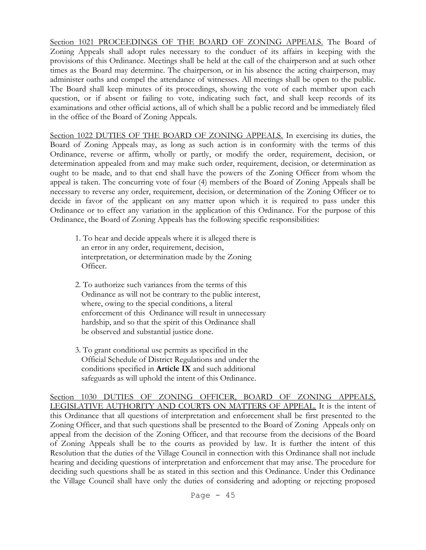Section 1021 PROCEEDINGS OF THE BOARD OF ZONING APPEALS. The Board of Zoning Appeals shall adopt rules necessary to the conduct of its affairs in keeping with the provisions of this Ordinance. Meetings shall be held at the call of the chairperson and at such other times as the Board may determine. The chairperson, or in his absence the acting chairperson, may administer oaths and compel the attendance of witnesses. All meetings shall be open to the public. The Board shall keep minutes of its proceedings, showing the vote of each member upon each question, or if absent or failing to vote, indicating such fact, and shall keep records of its examinations and other official actions, all of which shall be a public record and be immediately filed in the office of the Board of Zoning Appeals.

Section 1022 DUTIES OF THE BOARD OF ZONING APPEALS. In exercising its duties, the Board of Zoning Appeals may, as long as such action is in conformity with the terms of this Ordinance, reverse or affirm, wholly or partly, or modify the order, requirement, decision, or determination appealed from and may make such order, requirement, decision, or determination as ought to be made, and to that end shall have the powers of the Zoning Officer from whom the appeal is taken. The concurring vote of four (4) members of the Board of Zoning Appeals shall be necessary to reverse any order, requirement, decision, or determination of the Zoning Officer or to decide in favor of the applicant on any matter upon which it is required to pass under this Ordinance or to effect any variation in the application of this Ordinance. For the purpose of this Ordinance, the Board of Zoning Appeals has the following specific responsibilities:

- 1. To hear and decide appeals where it is alleged there is an error in any order, requirement, decision, interpretation, or determination made by the Zoning Officer.
- 2. To authorize such variances from the terms of this Ordinance as will not be contrary to the public interest, where, owing to the special conditions, a literal enforcement of this Ordinance will result in unnecessary hardship, and so that the spirit of this Ordinance shall be observed and substantial justice done.
- 3. To grant conditional use permits as specified in the Official Schedule of District Regulations and under the conditions specified in **Article IX** and such additional safeguards as will uphold the intent of this Ordinance.

Section 1030 DUTIES OF ZONING OFFICER, BOARD OF ZONING APPEALS, LEGISLATIVE AUTHORITY AND COURTS ON MATTERS OF APPEAL. It is the intent of this Ordinance that all questions of interpretation and enforcement shall be first presented to the Zoning Officer, and that such questions shall be presented to the Board of Zoning Appeals only on appeal from the decision of the Zoning Officer, and that recourse from the decisions of the Board of Zoning Appeals shall be to the courts as provided by law. It is further the intent of this Resolution that the duties of the Village Council in connection with this Ordinance shall not include hearing and deciding questions of interpretation and enforcement that may arise. The procedure for deciding such questions shall be as stated in this section and this Ordinance. Under this Ordinance the Village Council shall have only the duties of considering and adopting or rejecting proposed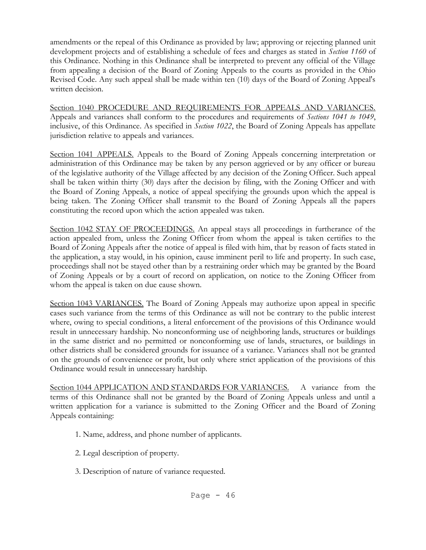amendments or the repeal of this Ordinance as provided by law; approving or rejecting planned unit development projects and of establishing a schedule of fees and charges as stated in *Section 1160* of this Ordinance. Nothing in this Ordinance shall be interpreted to prevent any official of the Village from appealing a decision of the Board of Zoning Appeals to the courts as provided in the Ohio Revised Code. Any such appeal shall be made within ten (10) days of the Board of Zoning Appeal's written decision.

Section 1040 PROCEDURE AND REQUIREMENTS FOR APPEALS AND VARIANCES. Appeals and variances shall conform to the procedures and requirements of *Sections 1041 to 1049*, inclusive, of this Ordinance. As specified in *Section 1022*, the Board of Zoning Appeals has appellate jurisdiction relative to appeals and variances.

Section 1041 APPEALS. Appeals to the Board of Zoning Appeals concerning interpretation or administration of this Ordinance may be taken by any person aggrieved or by any officer or bureau of the legislative authority of the Village affected by any decision of the Zoning Officer. Such appeal shall be taken within thirty (30) days after the decision by filing, with the Zoning Officer and with the Board of Zoning Appeals, a notice of appeal specifying the grounds upon which the appeal is being taken. The Zoning Officer shall transmit to the Board of Zoning Appeals all the papers constituting the record upon which the action appealed was taken.

Section 1042 STAY OF PROCEEDINGS. An appeal stays all proceedings in furtherance of the action appealed from, unless the Zoning Officer from whom the appeal is taken certifies to the Board of Zoning Appeals after the notice of appeal is filed with him, that by reason of facts stated in the application, a stay would, in his opinion, cause imminent peril to life and property. In such case, proceedings shall not be stayed other than by a restraining order which may be granted by the Board of Zoning Appeals or by a court of record on application, on notice to the Zoning Officer from whom the appeal is taken on due cause shown.

Section 1043 VARIANCES. The Board of Zoning Appeals may authorize upon appeal in specific cases such variance from the terms of this Ordinance as will not be contrary to the public interest where, owing to special conditions, a literal enforcement of the provisions of this Ordinance would result in unnecessary hardship. No nonconforming use of neighboring lands, structures or buildings in the same district and no permitted or nonconforming use of lands, structures, or buildings in other districts shall be considered grounds for issuance of a variance. Variances shall not be granted on the grounds of convenience or profit, but only where strict application of the provisions of this Ordinance would result in unnecessary hardship.

Section 1044 APPLICATION AND STANDARDS FOR VARIANCES. A variance from the terms of this Ordinance shall not be granted by the Board of Zoning Appeals unless and until a written application for a variance is submitted to the Zoning Officer and the Board of Zoning Appeals containing:

- 1. Name, address, and phone number of applicants.
- 2. Legal description of property.
- 3. Description of nature of variance requested.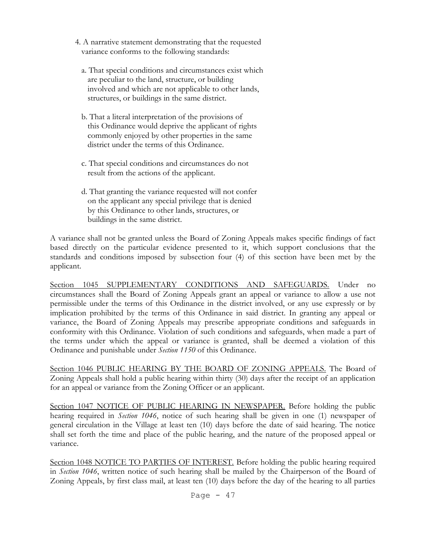- 4. A narrative statement demonstrating that the requested variance conforms to the following standards:
	- a. That special conditions and circumstances exist which are peculiar to the land, structure, or building involved and which are not applicable to other lands, structures, or buildings in the same district.
	- b. That a literal interpretation of the provisions of this Ordinance would deprive the applicant of rights commonly enjoyed by other properties in the same district under the terms of this Ordinance.
	- c. That special conditions and circumstances do not result from the actions of the applicant.
	- d. That granting the variance requested will not confer on the applicant any special privilege that is denied by this Ordinance to other lands, structures, or buildings in the same district.

A variance shall not be granted unless the Board of Zoning Appeals makes specific findings of fact based directly on the particular evidence presented to it, which support conclusions that the standards and conditions imposed by subsection four (4) of this section have been met by the applicant.

Section 1045 SUPPLEMENTARY CONDITIONS AND SAFEGUARDS. Under no circumstances shall the Board of Zoning Appeals grant an appeal or variance to allow a use not permissible under the terms of this Ordinance in the district involved, or any use expressly or by implication prohibited by the terms of this Ordinance in said district. In granting any appeal or variance, the Board of Zoning Appeals may prescribe appropriate conditions and safeguards in conformity with this Ordinance. Violation of such conditions and safeguards, when made a part of the terms under which the appeal or variance is granted, shall be deemed a violation of this Ordinance and punishable under *Section 1150* of this Ordinance.

Section 1046 PUBLIC HEARING BY THE BOARD OF ZONING APPEALS. The Board of Zoning Appeals shall hold a public hearing within thirty (30) days after the receipt of an application for an appeal or variance from the Zoning Officer or an applicant.

Section 1047 NOTICE OF PUBLIC HEARING IN NEWSPAPER. Before holding the public hearing required in *Section 1046*, notice of such hearing shall be given in one (1) newspaper of general circulation in the Village at least ten (10) days before the date of said hearing. The notice shall set forth the time and place of the public hearing, and the nature of the proposed appeal or variance.

Section 1048 NOTICE TO PARTIES OF INTEREST. Before holding the public hearing required in *Section 1046*, written notice of such hearing shall be mailed by the Chairperson of the Board of Zoning Appeals, by first class mail, at least ten (10) days before the day of the hearing to all parties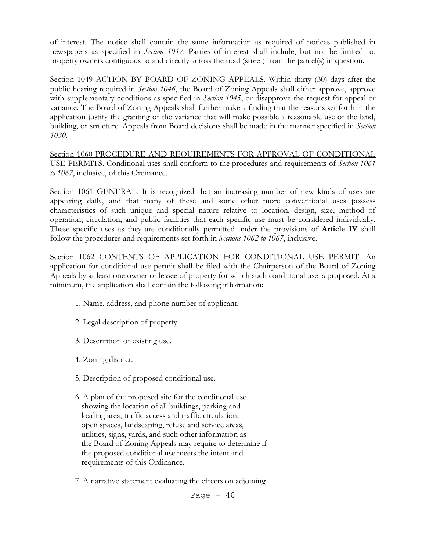of interest. The notice shall contain the same information as required of notices published in newspapers as specified in *Section 1047*. Parties of interest shall include, but not be limited to, property owners contiguous to and directly across the road (street) from the parcel(s) in question.

Section 1049 ACTION BY BOARD OF ZONING APPEALS. Within thirty (30) days after the public hearing required in *Section 1046*, the Board of Zoning Appeals shall either approve, approve with supplementary conditions as specified in *Section 1045*, or disapprove the request for appeal or variance. The Board of Zoning Appeals shall further make a finding that the reasons set forth in the application justify the granting of the variance that will make possible a reasonable use of the land, building, or structure. Appeals from Board decisions shall be made in the manner specified in *Section 1030*.

Section 1060 PROCEDURE AND REQUIREMENTS FOR APPROVAL OF CONDITIONAL USE PERMITS. Conditional uses shall conform to the procedures and requirements of *Section 1061 to 1067*, inclusive, of this Ordinance.

Section 1061 GENERAL. It is recognized that an increasing number of new kinds of uses are appearing daily, and that many of these and some other more conventional uses possess characteristics of such unique and special nature relative to location, design, size, method of operation, circulation, and public facilities that each specific use must be considered individually. These specific uses as they are conditionally permitted under the provisions of **Article IV** shall follow the procedures and requirements set forth in *Sections 1062 to 1067*, inclusive.

Section 1062 CONTENTS OF APPLICATION FOR CONDITIONAL USE PERMIT. An application for conditional use permit shall be filed with the Chairperson of the Board of Zoning Appeals by at least one owner or lessee of property for which such conditional use is proposed. At a minimum, the application shall contain the following information:

- 1. Name, address, and phone number of applicant.
- 2. Legal description of property.
- 3. Description of existing use.
- 4. Zoning district.
- 5. Description of proposed conditional use.
- 6. A plan of the proposed site for the conditional use showing the location of all buildings, parking and loading area, traffic access and traffic circulation, open spaces, landscaping, refuse and service areas, utilities, signs, yards, and such other information as the Board of Zoning Appeals may require to determine if the proposed conditional use meets the intent and requirements of this Ordinance.
- 7. A narrative statement evaluating the effects on adjoining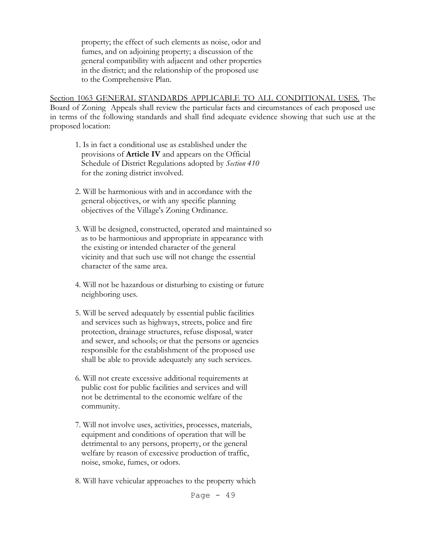property; the effect of such elements as noise, odor and fumes, and on adjoining property; a discussion of the general compatibility with adjacent and other properties in the district; and the relationship of the proposed use to the Comprehensive Plan.

Section 1063 GENERAL STANDARDS APPLICABLE TO ALL CONDITIONAL USES. The Board of Zoning Appeals shall review the particular facts and circumstances of each proposed use in terms of the following standards and shall find adequate evidence showing that such use at the proposed location:

- 1. Is in fact a conditional use as established under the provisions of **Article IV** and appears on the Official Schedule of District Regulations adopted by *Section 410* for the zoning district involved.
- 2. Will be harmonious with and in accordance with the general objectives, or with any specific planning objectives of the Village's Zoning Ordinance.
- 3. Will be designed, constructed, operated and maintained so as to be harmonious and appropriate in appearance with the existing or intended character of the general vicinity and that such use will not change the essential character of the same area.
- 4. Will not be hazardous or disturbing to existing or future neighboring uses.
- 5. Will be served adequately by essential public facilities and services such as highways, streets, police and fire protection, drainage structures, refuse disposal, water and sewer, and schools; or that the persons or agencies responsible for the establishment of the proposed use shall be able to provide adequately any such services.
- 6. Will not create excessive additional requirements at public cost for public facilities and services and will not be detrimental to the economic welfare of the community.
- 7. Will not involve uses, activities, processes, materials, equipment and conditions of operation that will be detrimental to any persons, property, or the general welfare by reason of excessive production of traffic, noise, smoke, fumes, or odors.
- 8. Will have vehicular approaches to the property which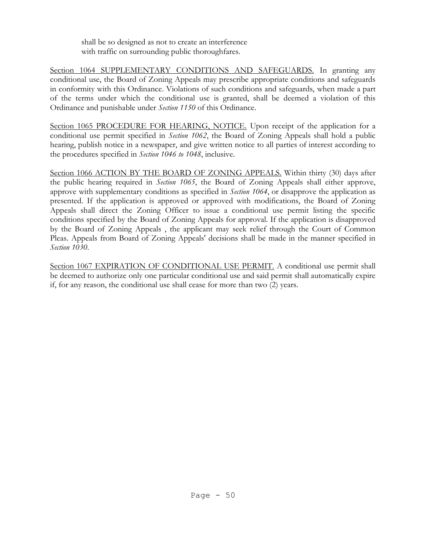shall be so designed as not to create an interference with traffic on surrounding public thoroughfares.

Section 1064 SUPPLEMENTARY CONDITIONS AND SAFEGUARDS. In granting any conditional use, the Board of Zoning Appeals may prescribe appropriate conditions and safeguards in conformity with this Ordinance. Violations of such conditions and safeguards, when made a part of the terms under which the conditional use is granted, shall be deemed a violation of this Ordinance and punishable under *Section 1150* of this Ordinance.

Section 1065 PROCEDURE FOR HEARING, NOTICE. Upon receipt of the application for a conditional use permit specified in *Section 1062*, the Board of Zoning Appeals shall hold a public hearing, publish notice in a newspaper, and give written notice to all parties of interest according to the procedures specified in *Section 1046 to 1048*, inclusive.

Section 1066 ACTION BY THE BOARD OF ZONING APPEALS. Within thirty (30) days after the public hearing required in *Section 1065*, the Board of Zoning Appeals shall either approve, approve with supplementary conditions as specified in *Section 1064*, or disapprove the application as presented. If the application is approved or approved with modifications, the Board of Zoning Appeals shall direct the Zoning Officer to issue a conditional use permit listing the specific conditions specified by the Board of Zoning Appeals for approval. If the application is disapproved by the Board of Zoning Appeals , the applicant may seek relief through the Court of Common Pleas. Appeals from Board of Zoning Appeals' decisions shall be made in the manner specified in *Section 1030*.

Section 1067 EXPIRATION OF CONDITIONAL USE PERMIT. A conditional use permit shall be deemed to authorize only one particular conditional use and said permit shall automatically expire if, for any reason, the conditional use shall cease for more than two (2) years.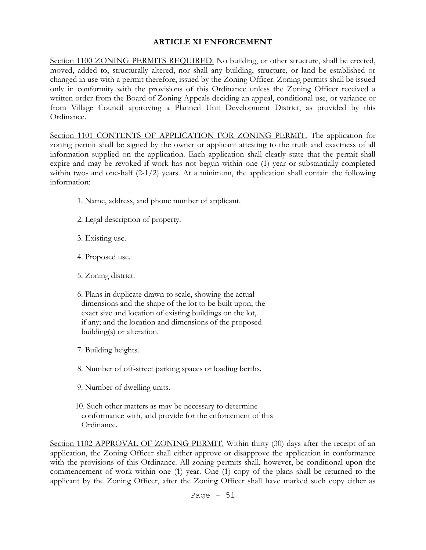## **ARTICLE XI ENFORCEMENT**

Section 1100 ZONING PERMITS REQUIRED. No building, or other structure, shall be erected, moved, added to, structurally altered, nor shall any building, structure, or land be established or changed in use with a permit therefore, issued by the Zoning Officer. Zoning permits shall be issued only in conformity with the provisions of this Ordinance unless the Zoning Officer received a written order from the Board of Zoning Appeals deciding an appeal, conditional use, or variance or from Village Council approving a Planned Unit Development District, as provided by this Ordinance.

Section 1101 CONTENTS OF APPLICATION FOR ZONING PERMIT. The application for zoning permit shall be signed by the owner or applicant attesting to the truth and exactness of all information supplied on the application. Each application shall clearly state that the permit shall expire and may be revoked if work has not begun within one (1) year or substantially completed within two- and one-half (2-1/2) years. At a minimum, the application shall contain the following information:

- 1. Name, address, and phone number of applicant.
- 2. Legal description of property.
- 3. Existing use.
- 4. Proposed use.
- 5. Zoning district.
- 6. Plans in duplicate drawn to scale, showing the actual dimensions and the shape of the lot to be built upon; the exact size and location of existing buildings on the lot, if any; and the location and dimensions of the proposed building(s) or alteration.
- 7. Building heights.
- 8. Number of off-street parking spaces or loading berths.
- 9. Number of dwelling units.
- 10. Such other matters as may be necessary to determine conformance with, and provide for the enforcement of this Ordinance.

Section 1102 APPROVAL OF ZONING PERMIT. Within thirty (30) days after the receipt of an application, the Zoning Officer shall either approve or disapprove the application in conformance with the provisions of this Ordinance. All zoning permits shall, however, be conditional upon the commencement of work within one (1) year. One (1) copy of the plans shall be returned to the applicant by the Zoning Officer, after the Zoning Officer shall have marked such copy either as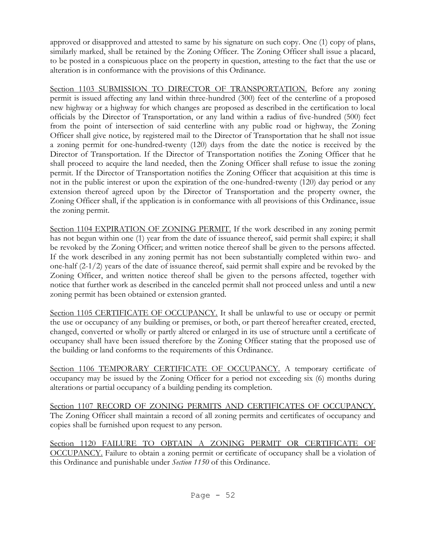approved or disapproved and attested to same by his signature on such copy. One (1) copy of plans, similarly marked, shall be retained by the Zoning Officer. The Zoning Officer shall issue a placard, to be posted in a conspicuous place on the property in question, attesting to the fact that the use or alteration is in conformance with the provisions of this Ordinance.

Section 1103 SUBMISSION TO DIRECTOR OF TRANSPORTATION. Before any zoning permit is issued affecting any land within three-hundred (300) feet of the centerline of a proposed new highway or a highway for which changes are proposed as described in the certification to local officials by the Director of Transportation, or any land within a radius of five-hundred (500) feet from the point of intersection of said centerline with any public road or highway, the Zoning Officer shall give notice, by registered mail to the Director of Transportation that he shall not issue a zoning permit for one-hundred-twenty (120) days from the date the notice is received by the Director of Transportation. If the Director of Transportation notifies the Zoning Officer that he shall proceed to acquire the land needed, then the Zoning Officer shall refuse to issue the zoning permit. If the Director of Transportation notifies the Zoning Officer that acquisition at this time is not in the public interest or upon the expiration of the one-hundred-twenty (120) day period or any extension thereof agreed upon by the Director of Transportation and the property owner, the Zoning Officer shall, if the application is in conformance with all provisions of this Ordinance, issue the zoning permit.

Section 1104 EXPIRATION OF ZONING PERMIT. If the work described in any zoning permit has not begun within one (1) year from the date of issuance thereof, said permit shall expire; it shall be revoked by the Zoning Officer; and written notice thereof shall be given to the persons affected. If the work described in any zoning permit has not been substantially completed within two- and one-half  $(2-1/2)$  years of the date of issuance thereof, said permit shall expire and be revoked by the Zoning Officer, and written notice thereof shall be given to the persons affected, together with notice that further work as described in the canceled permit shall not proceed unless and until a new zoning permit has been obtained or extension granted.

Section 1105 CERTIFICATE OF OCCUPANCY. It shall be unlawful to use or occupy or permit the use or occupancy of any building or premises, or both, or part thereof hereafter created, erected, changed, converted or wholly or partly altered or enlarged in its use of structure until a certificate of occupancy shall have been issued therefore by the Zoning Officer stating that the proposed use of the building or land conforms to the requirements of this Ordinance.

Section 1106 TEMPORARY CERTIFICATE OF OCCUPANCY. A temporary certificate of occupancy may be issued by the Zoning Officer for a period not exceeding six (6) months during alterations or partial occupancy of a building pending its completion.

Section 1107 RECORD OF ZONING PERMITS AND CERTIFICATES OF OCCUPANCY. The Zoning Officer shall maintain a record of all zoning permits and certificates of occupancy and copies shall be furnished upon request to any person.

Section 1120 FAILURE TO OBTAIN A ZONING PERMIT OR CERTIFICATE OF OCCUPANCY. Failure to obtain a zoning permit or certificate of occupancy shall be a violation of this Ordinance and punishable under *Section 1150* of this Ordinance.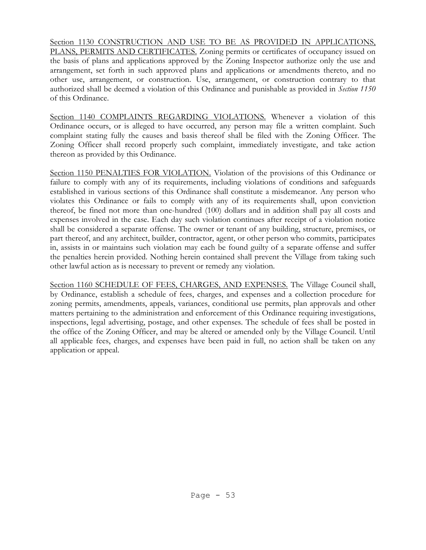Section 1130 CONSTRUCTION AND USE TO BE AS PROVIDED IN APPLICATIONS, PLANS, PERMITS AND CERTIFICATES. Zoning permits or certificates of occupancy issued on the basis of plans and applications approved by the Zoning Inspector authorize only the use and arrangement, set forth in such approved plans and applications or amendments thereto, and no other use, arrangement, or construction. Use, arrangement, or construction contrary to that authorized shall be deemed a violation of this Ordinance and punishable as provided in *Section 1150* of this Ordinance.

Section 1140 COMPLAINTS REGARDING VIOLATIONS. Whenever a violation of this Ordinance occurs, or is alleged to have occurred, any person may file a written complaint. Such complaint stating fully the causes and basis thereof shall be filed with the Zoning Officer. The Zoning Officer shall record properly such complaint, immediately investigate, and take action thereon as provided by this Ordinance.

Section 1150 PENALTIES FOR VIOLATION. Violation of the provisions of this Ordinance or failure to comply with any of its requirements, including violations of conditions and safeguards established in various sections of this Ordinance shall constitute a misdemeanor. Any person who violates this Ordinance or fails to comply with any of its requirements shall, upon conviction thereof, be fined not more than one-hundred (100) dollars and in addition shall pay all costs and expenses involved in the case. Each day such violation continues after receipt of a violation notice shall be considered a separate offense. The owner or tenant of any building, structure, premises, or part thereof, and any architect, builder, contractor, agent, or other person who commits, participates in, assists in or maintains such violation may each be found guilty of a separate offense and suffer the penalties herein provided. Nothing herein contained shall prevent the Village from taking such other lawful action as is necessary to prevent or remedy any violation.

Section 1160 SCHEDULE OF FEES, CHARGES, AND EXPENSES. The Village Council shall, by Ordinance, establish a schedule of fees, charges, and expenses and a collection procedure for zoning permits, amendments, appeals, variances, conditional use permits, plan approvals and other matters pertaining to the administration and enforcement of this Ordinance requiring investigations, inspections, legal advertising, postage, and other expenses. The schedule of fees shall be posted in the office of the Zoning Officer, and may be altered or amended only by the Village Council. Until all applicable fees, charges, and expenses have been paid in full, no action shall be taken on any application or appeal.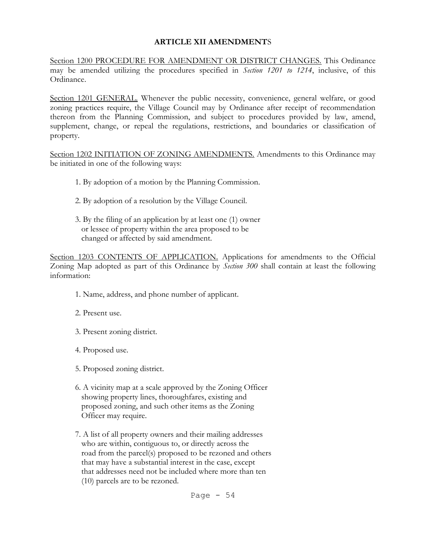### **ARTICLE XII AMENDMENT**S

Section 1200 PROCEDURE FOR AMENDMENT OR DISTRICT CHANGES. This Ordinance may be amended utilizing the procedures specified in *Section 1201 to 1214*, inclusive, of this Ordinance.

Section 1201 GENERAL. Whenever the public necessity, convenience, general welfare, or good zoning practices require, the Village Council may by Ordinance after receipt of recommendation thereon from the Planning Commission, and subject to procedures provided by law, amend, supplement, change, or repeal the regulations, restrictions, and boundaries or classification of property.

Section 1202 INITIATION OF ZONING AMENDMENTS. Amendments to this Ordinance may be initiated in one of the following ways:

- 1. By adoption of a motion by the Planning Commission.
- 2. By adoption of a resolution by the Village Council.
- 3. By the filing of an application by at least one (1) owner or lessee of property within the area proposed to be changed or affected by said amendment.

Section 1203 CONTENTS OF APPLICATION. Applications for amendments to the Official Zoning Map adopted as part of this Ordinance by *Section 300* shall contain at least the following information:

- 1. Name, address, and phone number of applicant.
- 2. Present use.
- 3. Present zoning district.
- 4. Proposed use.
- 5. Proposed zoning district.
- 6. A vicinity map at a scale approved by the Zoning Officer showing property lines, thoroughfares, existing and proposed zoning, and such other items as the Zoning Officer may require.
- 7. A list of all property owners and their mailing addresses who are within, contiguous to, or directly across the road from the parcel(s) proposed to be rezoned and others that may have a substantial interest in the case, except that addresses need not be included where more than ten (10) parcels are to be rezoned.

Page  $-54$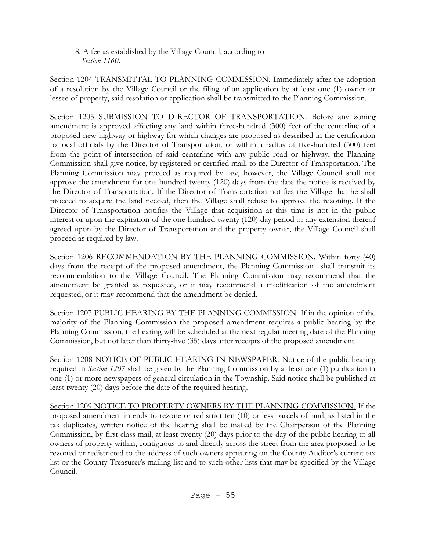8. A fee as established by the Village Council, according to  *Section 1160*.

Section 1204 TRANSMITTAL TO PLANNING COMMISSION. Immediately after the adoption of a resolution by the Village Council or the filing of an application by at least one (1) owner or lessee of property, said resolution or application shall be transmitted to the Planning Commission.

Section 1205 SUBMISSION TO DIRECTOR OF TRANSPORTATION. Before any zoning amendment is approved affecting any land within three-hundred (300) feet of the centerline of a proposed new highway or highway for which changes are proposed as described in the certification to local officials by the Director of Transportation, or within a radius of five-hundred (500) feet from the point of intersection of said centerline with any public road or highway, the Planning Commission shall give notice, by registered or certified mail, to the Director of Transportation. The Planning Commission may proceed as required by law, however, the Village Council shall not approve the amendment for one-hundred-twenty (120) days from the date the notice is received by the Director of Transportation. If the Director of Transportation notifies the Village that he shall proceed to acquire the land needed, then the Village shall refuse to approve the rezoning. If the Director of Transportation notifies the Village that acquisition at this time is not in the public interest or upon the expiration of the one-hundred-twenty (120) day period or any extension thereof agreed upon by the Director of Transportation and the property owner, the Village Council shall proceed as required by law.

Section 1206 RECOMMENDATION BY THE PLANNING COMMISSION. Within forty (40) days from the receipt of the proposed amendment, the Planning Commission shall transmit its recommendation to the Village Council. The Planning Commission may recommend that the amendment be granted as requested, or it may recommend a modification of the amendment requested, or it may recommend that the amendment be denied.

Section 1207 PUBLIC HEARING BY THE PLANNING COMMISSION. If in the opinion of the majority of the Planning Commission the proposed amendment requires a public hearing by the Planning Commission, the hearing will be scheduled at the next regular meeting date of the Planning Commission, but not later than thirty-five (35) days after receipts of the proposed amendment.

Section 1208 NOTICE OF PUBLIC HEARING IN NEWSPAPER. Notice of the public hearing required in *Section 1207* shall be given by the Planning Commission by at least one (1) publication in one (1) or more newspapers of general circulation in the Township. Said notice shall be published at least twenty (20) days before the date of the required hearing.

Section 1209 NOTICE TO PROPERTY OWNERS BY THE PLANNING COMMISSION. If the proposed amendment intends to rezone or redistrict ten (10) or less parcels of land, as listed in the tax duplicates, written notice of the hearing shall be mailed by the Chairperson of the Planning Commission, by first class mail, at least twenty (20) days prior to the day of the public hearing to all owners of property within, contiguous to and directly across the street from the area proposed to be rezoned or redistricted to the address of such owners appearing on the County Auditor's current tax list or the County Treasurer's mailing list and to such other lists that may be specified by the Village Council.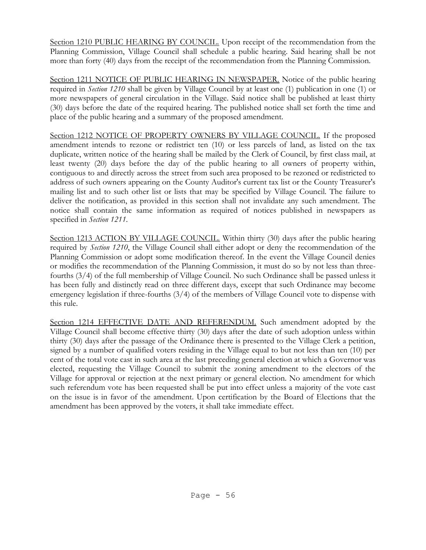Section 1210 PUBLIC HEARING BY COUNCIL. Upon receipt of the recommendation from the Planning Commission, Village Council shall schedule a public hearing. Said hearing shall be not more than forty (40) days from the receipt of the recommendation from the Planning Commission.

Section 1211 NOTICE OF PUBLIC HEARING IN NEWSPAPER. Notice of the public hearing required in *Section 1210* shall be given by Village Council by at least one (1) publication in one (1) or more newspapers of general circulation in the Village. Said notice shall be published at least thirty (30) days before the date of the required hearing. The published notice shall set forth the time and place of the public hearing and a summary of the proposed amendment.

Section 1212 NOTICE OF PROPERTY OWNERS BY VILLAGE COUNCIL. If the proposed amendment intends to rezone or redistrict ten (10) or less parcels of land, as listed on the tax duplicate, written notice of the hearing shall be mailed by the Clerk of Council, by first class mail, at least twenty (20) days before the day of the public hearing to all owners of property within, contiguous to and directly across the street from such area proposed to be rezoned or redistricted to address of such owners appearing on the County Auditor's current tax list or the County Treasurer's mailing list and to such other list or lists that may be specified by Village Council. The failure to deliver the notification, as provided in this section shall not invalidate any such amendment. The notice shall contain the same information as required of notices published in newspapers as specified in *Section 1211*.

Section 1213 ACTION BY VILLAGE COUNCIL. Within thirty (30) days after the public hearing required by *Section 1210*, the Village Council shall either adopt or deny the recommendation of the Planning Commission or adopt some modification thereof. In the event the Village Council denies or modifies the recommendation of the Planning Commission, it must do so by not less than threefourths (3/4) of the full membership of Village Council. No such Ordinance shall be passed unless it has been fully and distinctly read on three different days, except that such Ordinance may become emergency legislation if three-fourths (3/4) of the members of Village Council vote to dispense with this rule.

Section 1214 EFFECTIVE DATE AND REFERENDUM. Such amendment adopted by the Village Council shall become effective thirty (30) days after the date of such adoption unless within thirty (30) days after the passage of the Ordinance there is presented to the Village Clerk a petition, signed by a number of qualified voters residing in the Village equal to but not less than ten (10) per cent of the total vote cast in such area at the last preceding general election at which a Governor was elected, requesting the Village Council to submit the zoning amendment to the electors of the Village for approval or rejection at the next primary or general election. No amendment for which such referendum vote has been requested shall be put into effect unless a majority of the vote cast on the issue is in favor of the amendment. Upon certification by the Board of Elections that the amendment has been approved by the voters, it shall take immediate effect.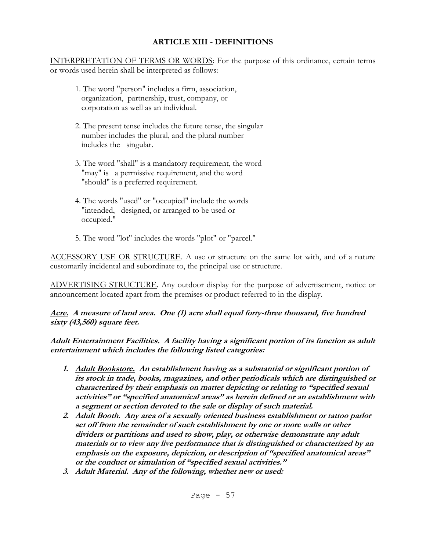# **ARTICLE XIII - DEFINITIONS**

INTERPRETATION OF TERMS OR WORDS: For the purpose of this ordinance, certain terms or words used herein shall be interpreted as follows:

- 1. The word "person" includes a firm, association, organization, partnership, trust, company, or corporation as well as an individual.
- 2. The present tense includes the future tense, the singular number includes the plural, and the plural number includes the singular.
- 3. The word "shall" is a mandatory requirement, the word "may" is a permissive requirement, and the word "should" is a preferred requirement.
- 4. The words "used" or "occupied" include the words "intended, designed, or arranged to be used or occupied."
- 5. The word "lot" includes the words "plot" or "parcel."

ACCESSORY USE OR STRUCTURE. A use or structure on the same lot with, and of a nature customarily incidental and subordinate to, the principal use or structure.

ADVERTISING STRUCTURE. Any outdoor display for the purpose of advertisement, notice or announcement located apart from the premises or product referred to in the display.

## **Acre. A measure of land area. One (1) acre shall equal forty-three thousand, five hundred sixty (43,560) square feet.**

**Adult Entertainment Facilities. A facility having a significant portion of its function as adult entertainment which includes the following listed categories:**

- **1. Adult Bookstore. An establishment having as a substantial or significant portion of its stock in trade, books, magazines, and other periodicals which are distinguished or characterized by their emphasis on matter depicting or relating to "specified sexual activities" or "specified anatomical areas" as herein defined or an establishment with a segment or section devoted to the sale or display of such material.**
- **2. Adult Booth. Any area of a sexually oriented business establishment or tattoo parlor set off from the remainder of such establishment by one or more walls or other dividers or partitions and used to show, play, or otherwise demonstrate any adult materials or to view any live performance that is distinguished or characterized by an emphasis on the exposure, depiction, or description of "specified anatomical areas" or the conduct or simulation of "specified sexual activities."**
- **3. Adult Material. Any of the following, whether new or used:**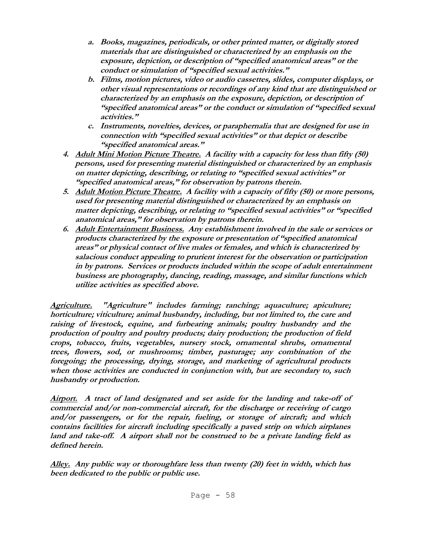- **a. Books, magazines, periodicals, or other printed matter, or digitally stored materials that are distinguished or characterized by an emphasis on the exposure, depiction, or description of "specified anatomical areas" or the conduct or simulation of "specified sexual activities."**
- **b. Films, motion pictures, video or audio cassettes, slides, computer displays, or other visual representations or recordings of any kind that are distinguished or characterized by an emphasis on the exposure, depiction, or description of "specified anatomical areas" or the conduct or simulation of "specified sexual activities."**
- **c. Instruments, novelties, devices, or paraphernalia that are designed for use in connection with "specified sexual activities" or that depict or describe "specified anatomical areas."**
- **4. Adult Mini Motion Picture Theatre. A facility with a capacity for less than fifty (50) persons, used for presenting material distinguished or characterized by an emphasis on matter depicting, describing, or relating to "specified sexual activities" or "specified anatomical areas," for observation by patrons therein.**
- **5. Adult Motion Picture Theatre. A facility with a capacity of fifty (50) or more persons, used for presenting material distinguished or characterized by an emphasis on matter depicting, describing, or relating to "specified sexual activities" or "specified anatomical areas," for observation by patrons therein.**
- **6. Adult Entertainment Business. Any establishment involved in the sale or services or products characterized by the exposure or presentation of "specified anatomical areas" or physical contact of live males or females, and which is characterized by salacious conduct appealing to prurient interest for the observation or participation in by patrons. Services or products included within the scope of adult entertainment business are photography, dancing, reading, massage, and similar functions which utilize activities as specified above.**

**Agriculture. "Agriculture" includes farming; ranching; aquaculture; apiculture; horticulture; viticulture; animal husbandry, including, but not limited to, the care and raising of livestock, equine, and furbearing animals; poultry husbandry and the production of poultry and poultry products; dairy production; the production of field crops, tobacco, fruits, vegetables, nursery stock, ornamental shrubs, ornamental trees, flowers, sod, or mushrooms; timber, pasturage; any combination of the foregoing; the processing, drying, storage, and marketing of agricultural products when those activities are conducted in conjunction with, but are secondary to, such husbandry or production.**

**Airport. A tract of land designated and set aside for the landing and take-off of commercial and/or non-commercial aircraft, for the discharge or receiving of cargo and/or passengers, or for the repair, fueling, or storage of aircraft; and which contains facilities for aircraft including specifically a paved strip on which airplanes land and take-off. A airport shall not be construed to be a private landing field as defined herein.**

**Alley. Any public way or thoroughfare less than twenty (20) feet in width, which has been dedicated to the public or public use.**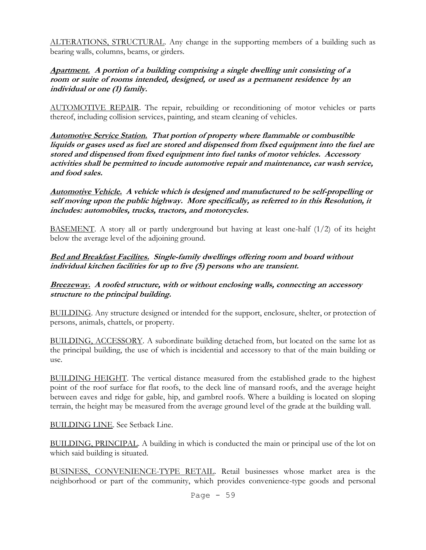ALTERATIONS, STRUCTURAL. Any change in the supporting members of a building such as bearing walls, columns, beams, or girders.

#### **Apartment. A portion of a building comprising a single dwelling unit consisting of a room or suite of rooms intended, designed, or used as a permanent residence by an individual or one (1) family.**

AUTOMOTIVE REPAIR. The repair, rebuilding or reconditioning of motor vehicles or parts thereof, including collision services, painting, and steam cleaning of vehicles.

**Automotive Service Station. That portion of property where flammable or combustible liquids or gases used as fuel are stored and dispensed from fixed equipment into the fuel are stored and dispensed from fixed equipment into fuel tanks of motor vehicles. Accessory activities shall be permitted to incude automotive repair and maintenance, car wash service, and food sales.**

**Automotive Vehicle. A vehicle which is designed and manufactured to be self-propelling or self moving upon the public highway. More specifically, as referred to in this Resolution, it includes: automobiles, trucks, tractors, and motorcycles.**

BASEMENT. A story all or partly underground but having at least one-half (1/2) of its height below the average level of the adjoining ground.

### **Bed and Breakfast Facilites. Single-family dwellings offering room and board without individual kitchen facilities for up to five (5) persons who are transient.**

#### **Breezeway. A roofed structure, with or without enclosing walls, connecting an accessory structure to the principal building.**

BUILDING. Any structure designed or intended for the support, enclosure, shelter, or protection of persons, animals, chattels, or property.

BUILDING, ACCESSORY. A subordinate building detached from, but located on the same lot as the principal building, the use of which is incidential and accessory to that of the main building or use.

BUILDING HEIGHT. The vertical distance measured from the established grade to the highest point of the roof surface for flat roofs, to the deck line of mansard roofs, and the average height between eaves and ridge for gable, hip, and gambrel roofs. Where a building is located on sloping terrain, the height may be measured from the average ground level of the grade at the building wall.

BUILDING LINE. See Setback Line.

BUILDING, PRINCIPAL. A building in which is conducted the main or principal use of the lot on which said building is situated.

BUSINESS, CONVENIENCE-TYPE RETAIL. Retail businesses whose market area is the neighborhood or part of the community, which provides convenience-type goods and personal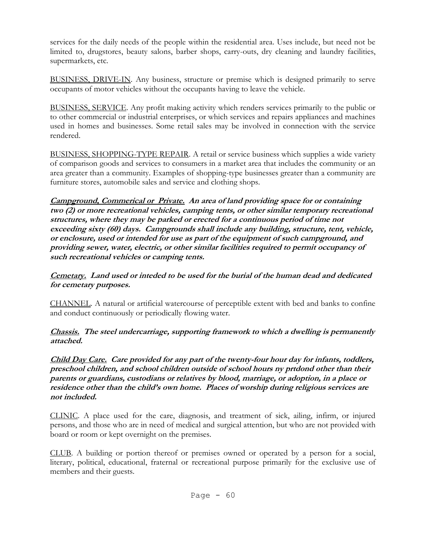services for the daily needs of the people within the residential area. Uses include, but need not be limited to, drugstores, beauty salons, barber shops, carry-outs, dry cleaning and laundry facilities, supermarkets, etc.

BUSINESS, DRIVE-IN. Any business, structure or premise which is designed primarily to serve occupants of motor vehicles without the occupants having to leave the vehicle.

BUSINESS, SERVICE. Any profit making activity which renders services primarily to the public or to other commercial or industrial enterprises, or which services and repairs appliances and machines used in homes and businesses. Some retail sales may be involved in connection with the service rendered.

BUSINESS, SHOPPING-TYPE REPAIR. A retail or service business which supplies a wide variety of comparison goods and services to consumers in a market area that includes the community or an area greater than a community. Examples of shopping-type businesses greater than a community are furniture stores, automobile sales and service and clothing shops.

**Campground, Commerical or Private. An area of land providing space for or containing two (2) or more recreational vehicles, camping tents, or other similar temporary recreational structures, where they may be parked or erected for a continuous period of time not exceeding sixty (60) days. Campgrounds shall include any building, structure, tent, vehicle, or enclosure, used or intended for use as part of the equipment of such campground, and providing sewer, water, electric, or other similar facilities required to permit occupancy of such recreational vehicles or camping tents.**

**Cemetary. Land used or inteded to be used for the burial of the human dead and dedicated for cemetary purposes.**

CHANNEL. A natural or artificial watercourse of perceptible extent with bed and banks to confine and conduct continuously or periodically flowing water.

**Chassis. The steel undercarriage, supporting framework to which a dwelling is permanently attached.**

**Child Day Care. Care provided for any part of the twenty-four hour day for infants, toddlers, preschool children, and school children outside of school hours ny prtdond other than their parents or guardians, custodians or relatives by blood, marriage, or adoption, in a place or residence other than the child's own home. Places of worship during religious services are not included.**

CLINIC. A place used for the care, diagnosis, and treatment of sick, ailing, infirm, or injured persons, and those who are in need of medical and surgical attention, but who are not provided with board or room or kept overnight on the premises.

CLUB. A building or portion thereof or premises owned or operated by a person for a social, literary, political, educational, fraternal or recreational purpose primarily for the exclusive use of members and their guests.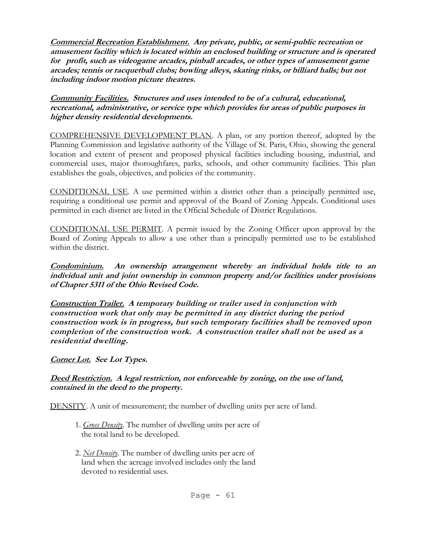**Commercial Recreation Establishment. Any private, public, or semi-public recreation or amusement facility which is located within an enclosed building or structure and is operated for profit, such as videogame arcades, pinball arcades, or other types of amusement game arcades; tennis or racquetball clubs; bowling alleys, skating rinks, or billiard halls; but not including indoor motion picture theatres.** 

**Community Facilities. Structures and uses intended to be of a cultural, educational, recreational, administrative, or service type which provides for areas of public purposes in higher density residential developments.**

COMPREHENSIVE DEVELOPMENT PLAN. A plan, or any portion thereof, adopted by the Planning Commission and legislative authority of the Village of St. Paris, Ohio, showing the general location and extent of present and proposed physical facilities including housing, industrial, and commercial uses, major thoroughfares, parks, schools, and other community facilities. This plan establishes the goals, objectives, and policies of the community.

CONDITIONAL USE. A use permitted within a district other than a principally permitted use, requiring a conditional use permit and approval of the Board of Zoning Appeals. Conditional uses permitted in each district are listed in the Official Schedule of District Regulations.

CONDITIONAL USE PERMIT. A permit issued by the Zoning Officer upon approval by the Board of Zoning Appeals to allow a use other than a principally permitted use to be established within the district.

**Condominium. An ownership arrangement whereby an individual holds title to an individual unit and joint ownership in common property and/or facilities under provisions of Chapter 5311 of the Ohio Revised Code.**

**Construction Trailer. A temporary building or trailer used in conjunction with construction work that only may be permitted in any district during the period construction work is in progress, but such temporary facilities shall be removed upon completion of the construction work. A construction trailer shall not be used as a residential dwelling.**

## **Corner Lot. See Lot Types.**

## **Deed Restriction. A legal restriction, not enforceable by zoning, on the use of land, contained in the deed to the property.**

DENSITY. A unit of measurement; the number of dwelling units per acre of land.

- 1. *Gross Density*. The number of dwelling units per acre of the total land to be developed.
- 2. *Net Density*. The number of dwelling units per acre of land when the acreage involved includes only the land devoted to residential uses.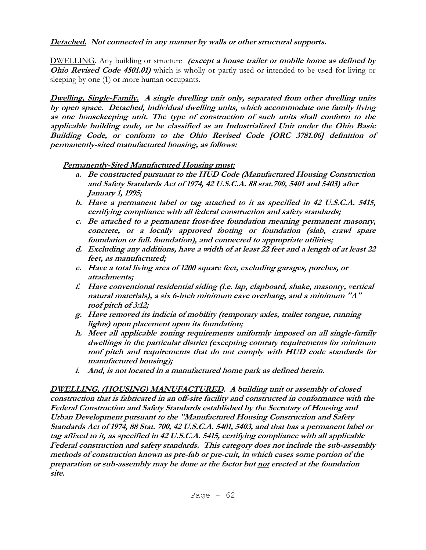## **Detached. Not connected in any manner by walls or other structural supports.**

DWELLING. Any building or structure **(except a house trailer or mobile home as defined by Ohio Revised Code 4501.01)** which is wholly or partly used or intended to be used for living or sleeping by one (1) or more human occupants.

**Dwelling, Single-Family. A single dwelling unit only, separated from other dwelling units by open space. Detached, individual dwelling units, which accommodate one family living as one housekeeping unit. The type of construction of such units shall conform to the applicable building code, or be classified as an Industrialized Unit under the Ohio Basic Building Code, or conform to the Ohio Revised Code [ORC 3781.06] definition of permanently-sited manufactured housing, as follows:**

## **Permanently-Sited Manufactured Housing must:**

- **a. Be constructed pursuant to the HUD Code (Manufactured Housing Construction and Safety Standards Act of 1974, 42 U.S.C.A. 88 stat.700, 5401 and 5403) after January 1, 1995;**
- **b. Have a permanent label or tag attached to it as specified in 42 U.S.C.A. 5415, certifying compliance with all federal construction and safety standards;**
- **c. Be attached to a permanent frost-free foundation meaning permanent masonry, concrete, or a locally approved footing or foundation (slab, crawl spare foundation or full. foundation), and connected to appropriate utilities;**
- **d. Excluding any additions, have a width of at least 22 feet and a length of at least 22 feet, as manufactured;**
- **e. Have a total living area of 1200 square feet, excluding garages, porches, or attachments;**
- **f. Have conventional residential siding (i.e. lap, clapboard, shake, masonry, vertical natural materials), a six 6-inch minimum eave overhang, and a minimum "A" roof pitch of 3:12;**
- **g. Have removed its indicia of mobility (temporary axles, trailer tongue, running lights) upon placement upon its foundation;**
- **h. Meet all applicable zoning requirements uniformly imposed on all single-family dwellings in the particular district (excepting contrary requirements for minimum roof pitch and requirements that do not comply with HUD code standards for manufactured housing);**
- **i. And, is not located in a manufactured home park as defined herein.**

**DWELLING, (HOUSING) MANUFACTURED. A building unit or assembly of closed construction that is fabricated in an off-site facility and constructed in conformance with the Federal Construction and Safety Standards established by the Secretary of Housing and Urban Development pursuant to the "Manufactured Housing Construction and Safety Standards Act of 1974, 88 Stat. 700, 42 U.S.C.A. 5401, 5403, and that has a permanent label or tag affixed to it, as specified in 42 U.S.C.A. 5415, certifying compliance with all applicable Federal construction and safety standards. This category does not include the sub-assembly methods of construction known as pre-fab or pre-cuit, in which cases some portion of the preparation or sub-assembly may be done at the factor but not erected at the foundation site.**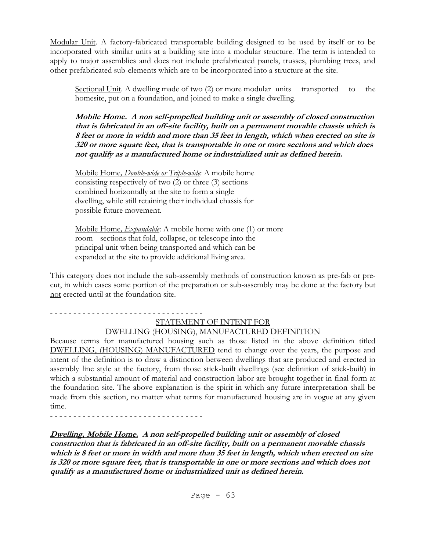Modular Unit. A factory-fabricated transportable building designed to be used by itself or to be incorporated with similar units at a building site into a modular structure. The term is intended to apply to major assemblies and does not include prefabricated panels, trusses, plumbing trees, and other prefabricated sub-elements which are to be incorporated into a structure at the site.

Sectional Unit. A dwelling made of two (2) or more modular units transported to the homesite, put on a foundation, and joined to make a single dwelling.

**Mobile Home. A non self-propelled building unit or assembly of closed construction that is fabricated in an off-site facility, built on a permanent movable chassis which is 8 feet or more in width and more than 35 feet in length, which when erected on site is 320 or more square feet, that is transportable in one or more sections and which does not qualify as a manufactured home or industrialized unit as defined herein.**

Mobile Home*, Double-wide or Triple-wide*: A mobile home consisting respectively of two (2) or three (3) sections combined horizontally at the site to form a single dwelling, while still retaining their individual chassis for possible future movement.

Mobile Home*, Expandable*: A mobile home with one (1) or more room sections that fold, collapse, or telescope into the principal unit when being transported and which can be expanded at the site to provide additional living area.

This category does not include the sub-assembly methods of construction known as pre-fab or precut, in which cases some portion of the preparation or sub-assembly may be done at the factory but not erected until at the foundation site.

#### - - - - - - - - - - - - - - - - - - - - - - - - - - - - - - - - - STATEMENT OF INTENT FOR DWELLING (HOUSING), MANUFACTURED DEFINITION

Because terms for manufactured housing such as those listed in the above definition titled DWELLING, (HOUSING) MANUFACTURED tend to change over the years, the purpose and intent of the definition is to draw a distinction between dwellings that are produced and erected in assembly line style at the factory, from those stick-built dwellings (see definition of stick-built) in which a substantial amount of material and construction labor are brought together in final form at the foundation site. The above explanation is the spirit in which any future interpretation shall be made from this section, no matter what terms for manufactured housing are in vogue at any given time.

- - - - - - - - - - - - - - - - - - - - - - - - - - - - - - - - -

**Dwelling, Mobile Home. A non self-propelled building unit or assembly of closed construction that is fabricated in an off-site facility, built on a permanent movable chassis which is 8 feet or more in width and more than 35 feet in length, which when erected on site is 320 or more square feet, that is transportable in one or more sections and which does not qualify as a manufactured home or industrialized unit as defined herein.**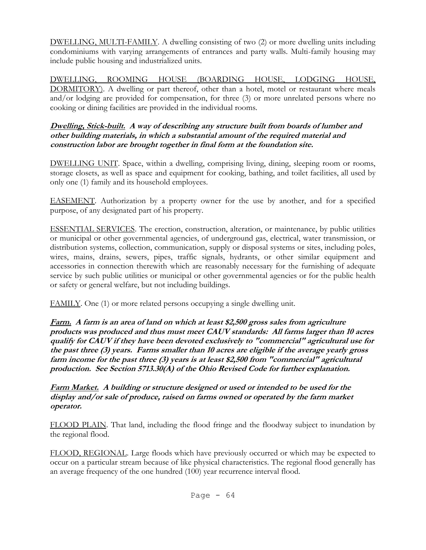DWELLING, MULTI-FAMILY. A dwelling consisting of two (2) or more dwelling units including condominiums with varying arrangements of entrances and party walls. Multi-family housing may include public housing and industrialized units.

DWELLING, ROOMING HOUSE (BOARDING HOUSE, LODGING HOUSE, DORMITORY). A dwelling or part thereof, other than a hotel, motel or restaurant where meals and/or lodging are provided for compensation, for three (3) or more unrelated persons where no cooking or dining facilities are provided in the individual rooms.

## **Dwelling, Stick-built. A way of describing any structure built from boards of lumber and other building materials, in which a substantial amount of the required material and construction labor are brought together in final form at the foundation site.**

DWELLING UNIT. Space, within a dwelling, comprising living, dining, sleeping room or rooms, storage closets, as well as space and equipment for cooking, bathing, and toilet facilities, all used by only one (1) family and its household employees.

EASEMENT. Authorization by a property owner for the use by another, and for a specified purpose, of any designated part of his property.

ESSENTIAL SERVICES. The erection, construction, alteration, or maintenance, by public utilities or municipal or other governmental agencies, of underground gas, electrical, water transmission, or distribution systems, collection, communication, supply or disposal systems or sites, including poles, wires, mains, drains, sewers, pipes, traffic signals, hydrants, or other similar equipment and accessories in connection therewith which are reasonably necessary for the furnishing of adequate service by such public utilities or municipal or other governmental agencies or for the public health or safety or general welfare, but not including buildings.

FAMILY. One (1) or more related persons occupying a single dwelling unit.

**Farm. A farm is an area of land on which at least \$2,500 gross sales from agriculture products was produced and thus must meet CAUV standards: All farms larger than 10 acres qualify for CAUV if they have been devoted exclusively to "commercial" agricultural use for the past three (3) years. Farms smaller than 10 acres are eligible if the average yearly gross farm income for the past three (3) years is at least \$2,500 from "commercial" agricultural production. See Section 5713.30(A) of the Ohio Revised Code for further explanation.** 

**Farm Market. A building or structure designed or used or intended to be used for the display and/or sale of produce, raised on farms owned or operated by the farm market operator.**

FLOOD PLAIN. That land, including the flood fringe and the floodway subject to inundation by the regional flood.

FLOOD, REGIONAL. Large floods which have previously occurred or which may be expected to occur on a particular stream because of like physical characteristics. The regional flood generally has an average frequency of the one hundred (100) year recurrence interval flood.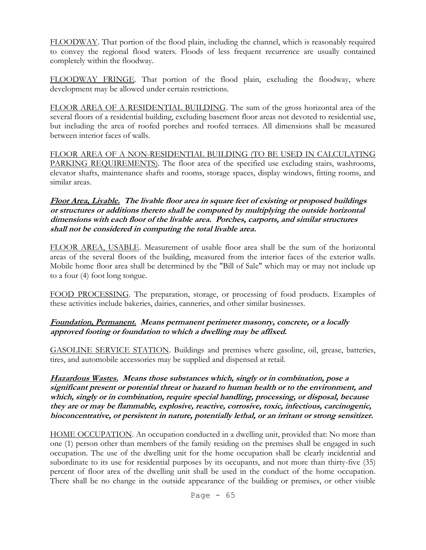FLOODWAY. That portion of the flood plain, including the channel, which is reasonably required to convey the regional flood waters. Floods of less frequent recurrence are usually contained completely within the floodway.

FLOODWAY FRINGE. That portion of the flood plain, excluding the floodway, where development may be allowed under certain restrictions.

FLOOR AREA OF A RESIDENTIAL BUILDING. The sum of the gross horizontal area of the several floors of a residential building, excluding basement floor areas not devoted to residential use, but including the area of roofed porches and roofed terraces. All dimensions shall be measured between interior faces of walls.

FLOOR AREA OF A NON-RESIDENTIAL BUILDING (TO BE USED IN CALCULATING PARKING REQUIREMENTS). The floor area of the specified use excluding stairs, washrooms, elevator shafts, maintenance shafts and rooms, storage spaces, display windows, fitting rooms, and similar areas.

#### **Floor Area, Livable. The livable floor area in square feet of existing or proposed buildings or structures or additions thereto shall be computed by multiplying the outside horizontal dimensions with each floor of the livable area. Porches, carports, and similar structures shall not be considered in computing the total livable area.**

FLOOR AREA, USABLE. Measurement of usable floor area shall be the sum of the horizontal areas of the several floors of the building, measured from the interior faces of the exterior walls. Mobile home floor area shall be determined by the "Bill of Sale" which may or may not include up to a four (4) foot long tongue.

FOOD PROCESSING. The preparation, storage, or processing of food products. Examples of these activities include bakeries, dairies, canneries, and other similar businesses.

## **Foundation, Permanent. Means permanent perimeter masonry, concrete, or a locally approved footing or foundation to which a dwelling may be affixed.**

GASOLINE SERVICE STATION. Buildings and premises where gasoline, oil, grease, batteries, tires, and automobile accessories may be supplied and dispensed at retail.

**Hazardous Wastes. Means those substances which, singly or in combination, pose a significant present or potential threat or hazard to human health or to the environment, and which, singly or in combination, require special handling, processing, or disposal, because they are or may be flammable, explosive, reactive, corrosive, toxic, infectious, carcinogenic, bioconcentrative, or persistent in nature, potentially lethal, or an irritant or strong sensitizer.**

HOME OCCUPATION. An occupation conducted in a dwelling unit, provided that: No more than one (1) person other than members of the family residing on the premises shall be engaged in such occupation. The use of the dwelling unit for the home occupation shall be clearly incidential and subordinate to its use for residential purposes by its occupants, and not more than thirty-five (35) percent of floor area of the dwelling unit shall be used in the conduct of the home occupation. There shall be no change in the outside appearance of the building or premises, or other visible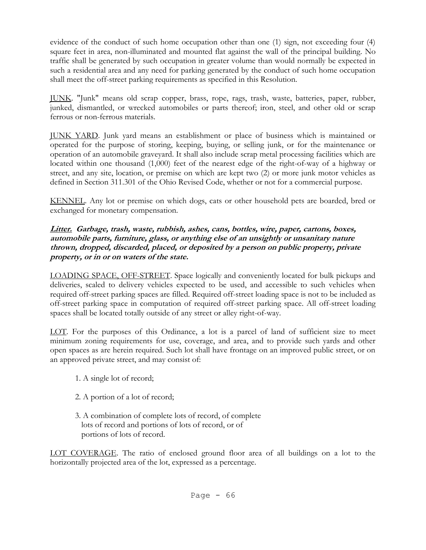evidence of the conduct of such home occupation other than one (1) sign, not exceeding four (4) square feet in area, non-illuminated and mounted flat against the wall of the principal building. No traffic shall be generated by such occupation in greater volume than would normally be expected in such a residential area and any need for parking generated by the conduct of such home occupation shall meet the off-street parking requirements as specified in this Resolution.

JUNK. "Junk" means old scrap copper, brass, rope, rags, trash, waste, batteries, paper, rubber, junked, dismantled, or wrecked automobiles or parts thereof; iron, steel, and other old or scrap ferrous or non-ferrous materials.

JUNK YARD. Junk yard means an establishment or place of business which is maintained or operated for the purpose of storing, keeping, buying, or selling junk, or for the maintenance or operation of an automobile graveyard. It shall also include scrap metal processing facilities which are located within one thousand (1,000) feet of the nearest edge of the right-of-way of a highway or street, and any site, location, or premise on which are kept two (2) or more junk motor vehicles as defined in Section 311.301 of the Ohio Revised Code, whether or not for a commercial purpose.

KENNEL. Any lot or premise on which dogs, cats or other household pets are boarded, bred or exchanged for monetary compensation.

### **Litter. Garbage, trash, waste, rubbish, ashes, cans, bottles, wire, paper, cartons, boxes, automobile parts, furniture, glass, or anything else of an unsightly or unsanitary nature thrown, dropped, discarded, placed, or deposited by a person on public property, private property, or in or on waters of the state.**

LOADING SPACE, OFF-STREET. Space logically and conveniently located for bulk pickups and deliveries, scaled to delivery vehicles expected to be used, and accessible to such vehicles when required off-street parking spaces are filled. Required off-street loading space is not to be included as off-street parking space in computation of required off-street parking space. All off-street loading spaces shall be located totally outside of any street or alley right-of-way.

LOT. For the purposes of this Ordinance, a lot is a parcel of land of sufficient size to meet minimum zoning requirements for use, coverage, and area, and to provide such yards and other open spaces as are herein required. Such lot shall have frontage on an improved public street, or on an approved private street, and may consist of:

- 1. A single lot of record;
- 2. A portion of a lot of record;
- 3. A combination of complete lots of record, of complete lots of record and portions of lots of record, or of portions of lots of record.

LOT COVERAGE. The ratio of enclosed ground floor area of all buildings on a lot to the horizontally projected area of the lot, expressed as a percentage.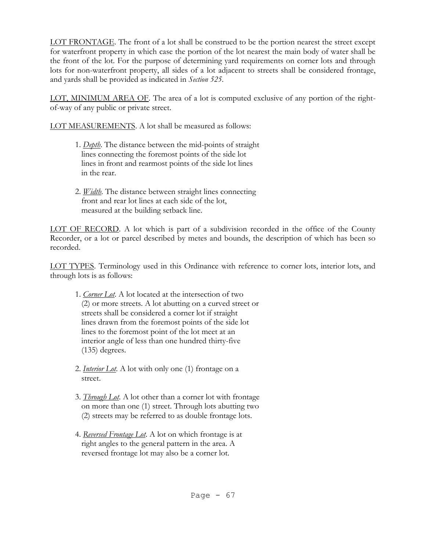LOT FRONTAGE. The front of a lot shall be construed to be the portion nearest the street except for waterfront property in which case the portion of the lot nearest the main body of water shall be the front of the lot. For the purpose of determining yard requirements on corner lots and through lots for non-waterfront property, all sides of a lot adjacent to streets shall be considered frontage, and yards shall be provided as indicated in *Section 525*.

LOT, MINIMUM AREA OF. The area of a lot is computed exclusive of any portion of the rightof-way of any public or private street.

LOT MEASUREMENTS. A lot shall be measured as follows:

- 1. *Depth*. The distance between the mid-points of straight lines connecting the foremost points of the side lot lines in front and rearmost points of the side lot lines in the rear.
- 2. *Width*. The distance between straight lines connecting front and rear lot lines at each side of the lot, measured at the building setback line.

LOT OF RECORD. A lot which is part of a subdivision recorded in the office of the County Recorder, or a lot or parcel described by metes and bounds, the description of which has been so recorded.

LOT TYPES. Terminology used in this Ordinance with reference to corner lots, interior lots, and through lots is as follows:

- 1. *Corner Lot*. A lot located at the intersection of two (2) or more streets. A lot abutting on a curved street or streets shall be considered a corner lot if straight lines drawn from the foremost points of the side lot lines to the foremost point of the lot meet at an interior angle of less than one hundred thirty-five (135) degrees.
- 2. *Interior Lot*. A lot with only one (1) frontage on a street.
- 3. *Through Lot*. A lot other than a corner lot with frontage on more than one (1) street. Through lots abutting two (2) streets may be referred to as double frontage lots.
- 4. *Reversed Frontage Lot*. A lot on which frontage is at right angles to the general pattern in the area. A reversed frontage lot may also be a corner lot.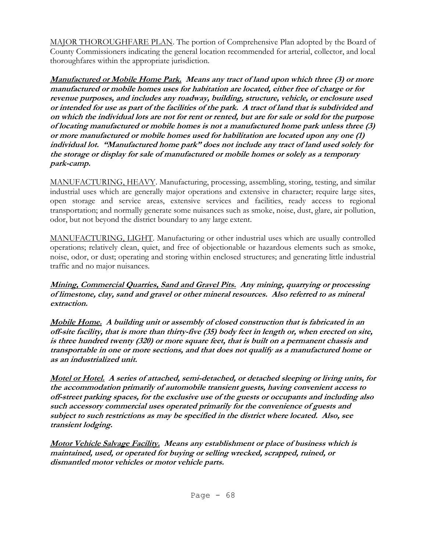MAJOR THOROUGHFARE PLAN. The portion of Comprehensive Plan adopted by the Board of County Commissioners indicating the general location recommended for arterial, collector, and local thoroughfares within the appropriate jurisdiction.

**Manufactured or Mobile Home Park. Means any tract of land upon which three (3) or more manufactured or mobile homes uses for habitation are located, either free of charge or for revenue purposes, and includes any roadway, building, structure, vehicle, or enclosure used or intended for use as part of the facilities of the park. A tract of land that is subdivided and on which the individual lots are not for rent or rented, but are for sale or sold for the purpose of locating manufactured or mobile homes is not a manufactured home park unless three (3) or more manufactured or mobile homes used for habilitation are located upon any one (1) individual lot. "Manufactured home park" does not include any tract of land used solely for the storage or display for sale of manufactured or mobile homes or solely as a temporary park-camp.** 

MANUFACTURING, HEAVY. Manufacturing, processing, assembling, storing, testing, and similar industrial uses which are generally major operations and extensive in character; require large sites, open storage and service areas, extensive services and facilities, ready access to regional transportation; and normally generate some nuisances such as smoke, noise, dust, glare, air pollution, odor, but not beyond the district boundary to any large extent.

MANUFACTURING, LIGHT. Manufacturing or other industrial uses which are usually controlled operations; relatively clean, quiet, and free of objectionable or hazardous elements such as smoke, noise, odor, or dust; operating and storing within enclosed structures; and generating little industrial traffic and no major nuisances.

**Mining, Commercial Quarries, Sand and Gravel Pits. Any mining, quarrying or processing of limestone, clay, sand and gravel or other mineral resources. Also referred to as mineral extraction.**

**Mobile Home. A building unit or assembly of closed construction that is fabricated in an off-site facility, that is more than thirty-five (35) body feet in length or, when erected on site, is three hundred twenty (320) or more square feet, that is built on a permanent chassis and transportable in one or more sections, and that does not qualify as a manufactured home or as an industrialized unit.** 

**Motel or Hotel. A series of attached, semi-detached, or detached sleeping or living units, for the accommodation primarily of automobile transient guests, having convenient access to off-street parking spaces, for the exclusive use of the guests or occupants and including also such accessory commercial uses operated primarily for the convenience of guests and subject to such restrictions as may be specified in the district where located. Also, see transient lodging.**

**Motor Vehicle Salvage Facility. Means any establishment or place of business which is maintained, used, or operated for buying or selling wrecked, scrapped, ruined, or dismantled motor vehicles or motor vehicle parts.**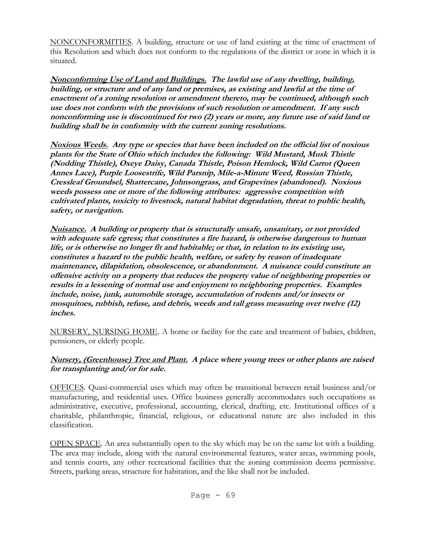NONCONFORMITIES. A building, structure or use of land existing at the time of enactment of this Resolution and which does not conform to the regulations of the district or zone in which it is situated.

**Nonconforming Use of Land and Buildings. The lawful use of any dwelling, building, building, or structure and of any land or premises, as existing and lawful at the time of enactment of a zoning resolution or amendment thereto, may be continued, although such use does not conform with the provisions of such resolution or amendment. If any such nonconforming use is discontinued for two (2) years or more, any future use of said land or building shall be in conformity with the current zoning resolutions.**

**Noxious Weeds. Any type or species that have been included on the official list of noxious plants for the State of Ohio which includes the following: Wild Mustard, Musk Thistle (Nodding Thistle), Oxeye Daisy, Canada Thistle, Poison Hemlock, Wild Carrot (Queen Annes Lace), Purple Loosestrife, Wild Parsnip, Mile-a-Minute Weed, Russian Thistle, Cressleaf Groundsel, Shattercane, Johnsongrass, and Grapevines (abandoned). Noxious weeds possess one or more of the following attributes: aggressive competition with cultivated plants, toxicity to livestock, natural habitat degradation, threat to public health, safety, or navigation.** 

**Nuisance. A building or property that is structurally unsafe, unsanitary, or not provided with adequate safe egress; that constitutes a fire hazard, is otherwise dangerous to human life, or is otherwise no longer fit and habitable; or that, in relation to its existing use, constitutes a hazard to the public health, welfare, or safety by reason of inadequate maintenance, dilapidation, obsolescence, or abandonment. A nuisance could constitute an offensive activity on a property that reduces the property value of neighboring properties or results in a lessening of normal use and enjoyment to neighboring properties. Examples include, noise, junk, automobile storage, accumulation of rodents and/or insects or mosquitoes, rubbish, refuse, and debris, weeds and tall grass measuring over twelve (12) inches.**

NURSERY, NURSING HOME. A home or facility for the care and treatment of babies, children, pensioners, or elderly people.

## **Nursery, (Greenhouse) Tree and Plant. A place where young trees or other plants are raised for transplanting and/or for sale.**

OFFICES. Quasi-commercial uses which may often be transitional between retail business and/or manufacturing, and residential uses. Office business generally accommodates such occupations as administrative, executive, professional, accounting, clerical, drafting, etc. Institutional offices of a charitable, philanthropic, financial, religious, or educational nature are also included in this classification.

OPEN SPACE. An area substantially open to the sky which may be on the same lot with a building. The area may include, along with the natural environmental features, water areas, swimming pools, and tennis courts, any other recreational facilities that the zoning commission deems permissive. Streets, parking areas, structure for habitation, and the like shall not be included.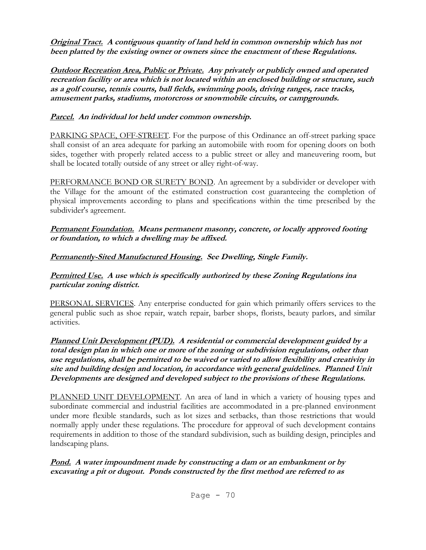**Original Tract. A contiguous quantity of land held in common ownership which has not been platted by the existing owner or owners since the enactment of these Regulations.**

**Outdoor Recreation Area, Public or Private. Any privately or publicly owned and operated recreation facility or area which is not located within an enclosed building or structure, such as a golf course, tennis courts, ball fields, swimming pools, driving ranges, race tracks, amusement parks, stadiums, motorcross or snowmobile circuits, or campgrounds.**

## **Parcel. An individual lot held under common ownership.**

PARKING SPACE, OFF-STREET. For the purpose of this Ordinance an off-street parking space shall consist of an area adequate for parking an automobiile with room for opening doors on both sides, together with properly related access to a public street or alley and maneuvering room, but shall be located totally outside of any street or alley right-of-way.

PERFORMANCE BOND OR SURETY BOND. An agreement by a subdivider or developer with the Village for the amount of the estimated construction cost guaranteeing the completion of physical improvements according to plans and specifications within the time prescribed by the subdivider's agreement.

**Permanent Foundation. Means permanent masonry, concrete, or locally approved footing or foundation, to which a dwelling may be affixed.**

# **Permanently-Sited Manufactured Housing. See Dwelling, Single Family.**

**Permitted Use. A use which is specifically authorized by these Zoning Regulations ina particular zoning district.**

PERSONAL SERVICES. Any enterprise conducted for gain which primarily offers services to the general public such as shoe repair, watch repair, barber shops, florists, beauty parlors, and similar activities.

**Planned Unit Development (PUD). A residential or commercial development guided by a total design plan in which one or more of the zoning or subdivision regulations, other than use regulations, shall be permitted to be waived or varied to allow flexibility and creativity in site and building design and location, in accordance with general guidelines. Planned Unit Developments are designed and developed subject to the provisions of these Regulations.**

PLANNED UNIT DEVELOPMENT. An area of land in which a variety of housing types and subordinate commercial and industrial facilities are accommodated in a pre-planned environment under more flexible standards, such as lot sizes and setbacks, than those restrictions that would normally apply under these regulations. The procedure for approval of such development contains requirements in addition to those of the standard subdivision, such as building design, principles and landscaping plans.

**Pond. A water impoundment made by constructing a dam or an embankment or by excavating a pit or dugout. Ponds constructed by the first method are referred to as**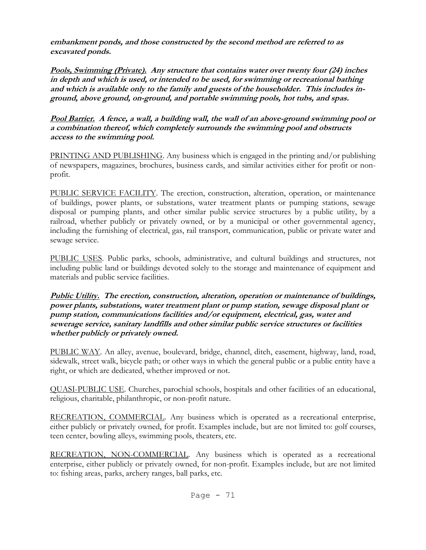**embankment ponds, and those constructed by the second method are referred to as excavated ponds.**

**Pools, Swimming (Private). Any structure that contains water over twenty four (24) inches in depth and which is used, or intended to be used, for swimming or recreational bathing and which is available only to the family and guests of the householder. This includes inground, above ground, on-ground, and portable swimming pools, hot tubs, and spas.** 

**Pool Barrier. A fence, a wall, a building wall, the wall of an above-ground swimming pool or a combination thereof, which completely surrounds the swimming pool and obstructs access to the swimming pool.** 

PRINTING AND PUBLISHING. Any business which is engaged in the printing and/or publishing of newspapers, magazines, brochures, business cards, and similar activities either for profit or nonprofit.

PUBLIC SERVICE FACILITY. The erection, construction, alteration, operation, or maintenance of buildings, power plants, or substations, water treatment plants or pumping stations, sewage disposal or pumping plants, and other similar public service structures by a public utility, by a railroad, whether publicly or privately owned, or by a municipal or other governmental agency, including the furnishing of electrical, gas, rail transport, communication, public or private water and sewage service.

PUBLIC USES. Public parks, schools, administrative, and cultural buildings and structures, not including public land or buildings devoted solely to the storage and maintenance of equipment and materials and public service facilities.

**Public Utility. The erection, construction, alteration, operation or maintenance of buildings, power plants, substations, water treatment plant or pump station, sewage disposal plant or pump station, communications facilities and/or equipment, electrical, gas, water and sewerage service, sanitary landfills and other similar public service structures or facilities whether publicly or privately owned.**

PUBLIC WAY. An alley, avenue, boulevard, bridge, channel, ditch, easement, highway, land, road, sidewalk, street walk, bicycle path; or other ways in which the general public or a public entity have a right, or which are dedicated, whether improved or not.

QUASI-PUBLIC USE. Churches, parochial schools, hospitals and other facilities of an educational, religious, charitable, philanthropic, or non-profit nature.

RECREATION, COMMERCIAL. Any business which is operated as a recreational enterprise, either publicly or privately owned, for profit. Examples include, but are not limited to: golf courses, teen center, bowling alleys, swimming pools, theaters, etc.

RECREATION, NON-COMMERCIAL. Any business which is operated as a recreational enterprise, either publicly or privately owned, for non-profit. Examples include, but are not limited to: fishing areas, parks, archery ranges, ball parks, etc.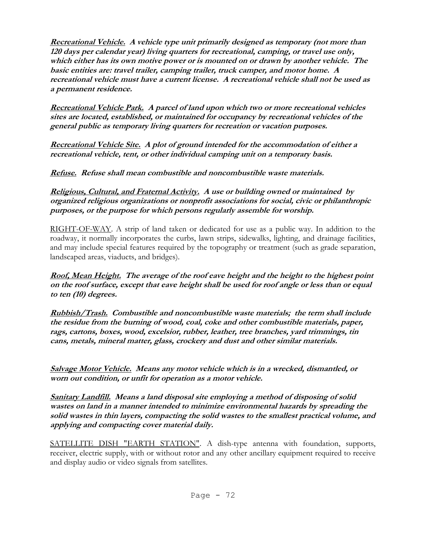**Recreational Vehicle. A vehicle type unit primarily designed as temporary (not more than 120 days per calendar year) living quarters for recreational, camping, or travel use only, which either has its own motive power or is mounted on or drawn by another vehicle. The basic entities are: travel trailer, camping trailer, truck camper, and motor home. A recreational vehicle must have a current license. A recreational vehicle shall not be used as a permanent residence.**

**Recreational Vehicle Park. A parcel of land upon which two or more recreational vehicles sites are located, established, or maintained for occupancy by recreational vehicles of the general public as temporary living quarters for recreation or vacation purposes.**

**Recreational Vehicle Site. A plot of ground intended for the accommodation of either a recreational vehicle, tent, or other individual camping unit on a temporary basis.**

**Refuse. Refuse shall mean combustible and noncombustible waste materials.**

**Religious, Cultural, and Fraternal Activity. A use or building owned or maintained by organized religious organizations or nonprofit associations for social, civic or philanthropic purposes, or the purpose for which persons regularly assemble for worship.**

RIGHT-OF-WAY. A strip of land taken or dedicated for use as a public way. In addition to the roadway, it normally incorporates the curbs, lawn strips, sidewalks, lighting, and drainage facilities, and may include special features required by the topography or treatment (such as grade separation, landscaped areas, viaducts, and bridges).

**Roof, Mean Height. The average of the roof eave height and the height to the highest point on the roof surface, except that eave height shall be used for roof angle or less than or equal to ten (10) degrees.**

**Rubbish/Trash. Combustible and noncombustible waste materials; the term shall include the residue from the burning of wood, coal, coke and other combustible materials, paper, rags, cartons, boxes, wood, excelsior, rubber, leather, tree branches, yard trimmings, tin cans, metals, mineral matter, glass, crockery and dust and other similar materials.** 

**Salvage Motor Vehicle. Means any motor vehicle which is in a wrecked, dismantled, or worn out condition, or unfit for operation as a motor vehicle.**

**Sanitary Landfill. Means a land disposal site employing a method of disposing of solid wastes on land in a manner intended to minimize environmental hazards by spreading the solid wastes in thin layers, compacting the solid wastes to the smallest practical volume, and applying and compacting cover material daily.**

SATELLITE DISH "EARTH STATION". A dish-type antenna with foundation, supports, receiver, electric supply, with or without rotor and any other ancillary equipment required to receive and display audio or video signals from satellites.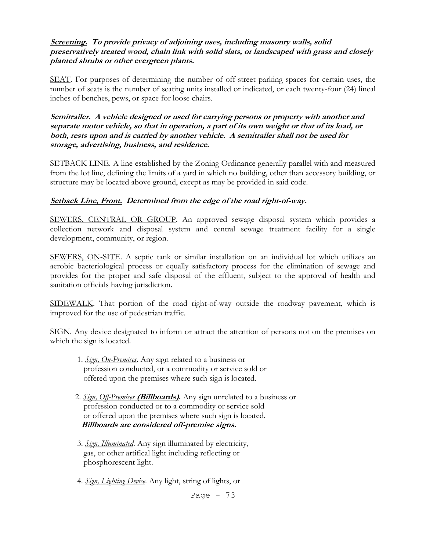## **Screening. To provide privacy of adjoining uses, including masonry walls, solid preservatively treated wood, chain link with solid slats, or landscaped with grass and closely planted shrubs or other evergreen plants.**

SEAT. For purposes of determining the number of off-street parking spaces for certain uses, the number of seats is the number of seating units installed or indicated, or each twenty-four (24) lineal inches of benches, pews, or space for loose chairs.

**Semitrailer. A vehicle designed or used for carrying persons or property with another and separate motor vehicle, so that in operation, a part of its own weight or that of its load, or both, rests upon and is carried by another vehicle. A semitrailer shall not be used for storage, advertising, business, and residence.**

SETBACK LINE. A line established by the Zoning Ordinance generally parallel with and measured from the lot line, defining the limits of a yard in which no building, other than accessory building, or structure may be located above ground, except as may be provided in said code.

## **Setback Line, Front. Determined from the edge of the road right-of-way.**

SEWERS, CENTRAL OR GROUP. An approved sewage disposal system which provides a collection network and disposal system and central sewage treatment facility for a single development, community, or region.

SEWERS, ON-SITE. A septic tank or similar installation on an individual lot which utilizes an aerobic bacteriological process or equally satisfactory process for the elimination of sewage and provides for the proper and safe disposal of the effluent, subject to the approval of health and sanitation officials having jurisdiction.

SIDEWALK. That portion of the road right-of-way outside the roadway pavement, which is improved for the use of pedestrian traffic.

SIGN. Any device designated to inform or attract the attention of persons not on the premises on which the sign is located.

- 1. *Sign, On-Premises*. Any sign related to a business or profession conducted, or a commodity or service sold or offered upon the premises where such sign is located.
- 2. *Sign, Off-Premises* **(Billboards).** Any sign unrelated to a business or profession conducted or to a commodity or service sold or offered upon the premises where such sign is located.  **Billboards are considered off-premise signs.**
- 3. *Sign, Illuminated*. Any sign illuminated by electricity, gas, or other artifical light including reflecting or phosphorescent light.
- 4. *Sign, Lighting Device*. Any light, string of lights, or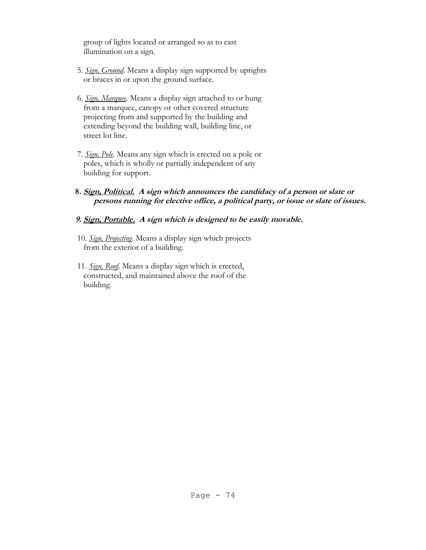group of lights located or arranged so as to cast illumination on a sign.

- 5. *Sign, Ground*. Means a display sign supported by uprights or braces in or upon the ground surface.
- 6. *Sign, Marquee*. Means a display sign attached to or hung from a marquee, canopy or other covered structure projecting from and supported by the building and extending beyond the building wall, building line, or street lot line.
- 7. *Sign, Pole*. Means any sign which is erected on a pole or poles, which is wholly or partially independent of any building for support.
- **8. Sign, Political. A sign which announces the candidacy of a person or slate or persons running for elective office, a political party, or issue or slate of issues.**

#### **9. Sign, Portable. A sign which is designed to be easily movable.**

- 10. *Sign, Projecting*. Means a display sign which projects from the exterior of a building.
- 11. *Sign, Roof*. Means a display sign which is erected, constructed, and maintained above the roof of the building.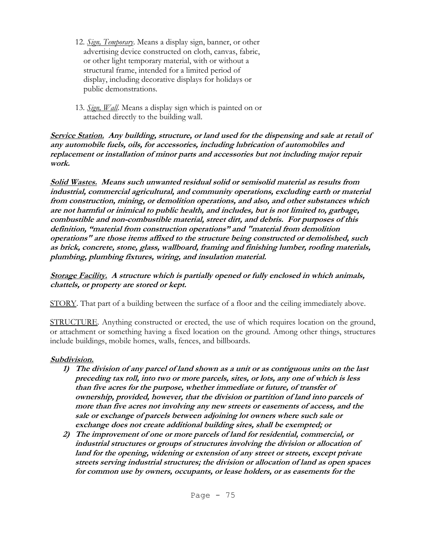- 12. *Sign, Temporary*. Means a display sign, banner, or other advertising device constructed on cloth, canvas, fabric, or other light temporary material, with or without a structural frame, intended for a limited period of display, including decorative displays for holidays or public demonstrations.
- 13. *Sign, Wall*. Means a display sign which is painted on or attached directly to the building wall.

#### **Service Station. Any building, structure, or land used for the dispensing and sale at retail of any automobile fuels, oils, for accessories, including lubrication of automobiles and replacement or installation of minor parts and accessories but not including major repair work.**

**Solid Wastes. Means such unwanted residual solid or semisolid material as results from industrial, commercial agricultural, and community operations, excluding earth or material from construction, mining, or demolition operations, and also, and other substances which are not harmful or inimical to public health, and includes, but is not limited to, garbage, combustible and non-combustible material, street dirt, and debris. For purposes of this definition, "material from construction operations" and "material from demolition operations" are those items affixed to the structure being constructed or demolished, such as brick, concrete, stone, glass, wallboard, framing and finishing lumber, roofing materials, plumbing, plumbing fixtures, wiring, and insulation material.**

## **Storage Facility. A structure which is partially opened or fully enclosed in which animals, chattels, or property are stored or kept.**

STORY. That part of a building between the surface of a floor and the ceiling immediately above.

STRUCTURE. Anything constructed or erected, the use of which requires location on the ground, or attachment or something having a fixed location on the ground. Among other things, structures include buildings, mobile homes, walls, fences, and billboards.

## **Subdivision.**

- **1) The division of any parcel of land shown as a unit or as contiguous units on the last preceding tax roll, into two or more parcels, sites, or lots, any one of which is less than five acres for the purpose, whether immediate or future, of transfer of ownership, provided, however, that the division or partition of land into parcels of more than five acres not involving any new streets or easements of access, and the sale or exchange of parcels between adjoining lot owners where such sale or exchange does not create additional building sites, shall be exempted; or**
- **2) The improvement of one or more parcels of land for residential, commercial, or industrial structures or groups of structures involving the division or allocation of**  land for the opening, widening or extension of any street or streets, except private **streets serving industrial structures; the division or allocation of land as open spaces for common use by owners, occupants, or lease holders, or as easements for the**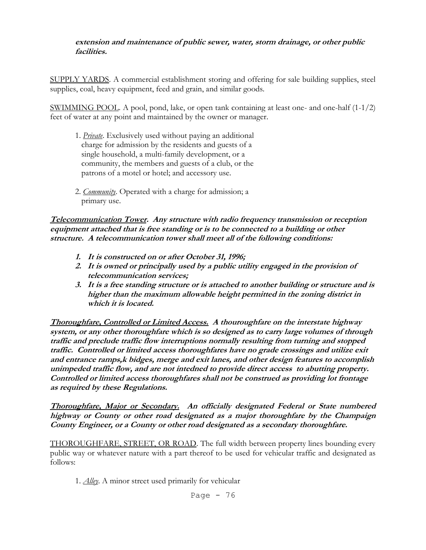#### **extension and maintenance of public sewer, water, storm drainage, or other public facilities.**

SUPPLY YARDS. A commercial establishment storing and offering for sale building supplies, steel supplies, coal, heavy equipment, feed and grain, and similar goods.

SWIMMING POOL. A pool, pond, lake, or open tank containing at least one- and one-half (1-1/2) feet of water at any point and maintained by the owner or manager.

- 1. *Private*. Exclusively used without paying an additional charge for admission by the residents and guests of a single household, a multi-family development, or a community, the members and guests of a club, or the patrons of a motel or hotel; and accessory use.
- 2. *Community*. Operated with a charge for admission; a primary use.

**Telecommunication Tower. Any structure with radio frequency transmission or reception equipment attached that is free standing or is to be connected to a building or other structure. A telecommunication tower shall meet all of the following conditions:**

- **1. It is constructed on or after October 31, 1996;**
- **2. It is owned or principally used by a public utility engaged in the provision of telecommunication services;**
- **3. It is a free standing structure or is attached to another building or structure and is higher than the maximum allowable height permitted in the zoning district in which it is located.**

**Thoroughfare, Controlled or Limited Access. A thouroughfare on the interstate highway system, or any other thoroughfare which is so designed as to carry large volumes of through traffic and preclude traffic flow interruptions normally resulting from turning and stopped traffic. Controlled or limited access thoroughfares have no grade crossings and utilize exit and entrance ramps,k bidges, merge and exit lanes, and other design features to accomplish unimpeded traffic flow, and are not intedned to provide direct access to abutting property. Controlled or limited access thoroughfares shall not be construed as providing lot frontage as required by these Regulations.**

**Thoroughfare, Major or Secondary. An officially designated Federal or State numbered highway or County or other road designated as a major thoroughfare by the Champaign County Engineer, or a County or other road designated as a secondary thoroughfare.** 

THOROUGHFARE, STREET, OR ROAD. The full width between property lines bounding every public way or whatever nature with a part thereof to be used for vehicular traffic and designated as follows:

1. *Alley*. A minor street used primarily for vehicular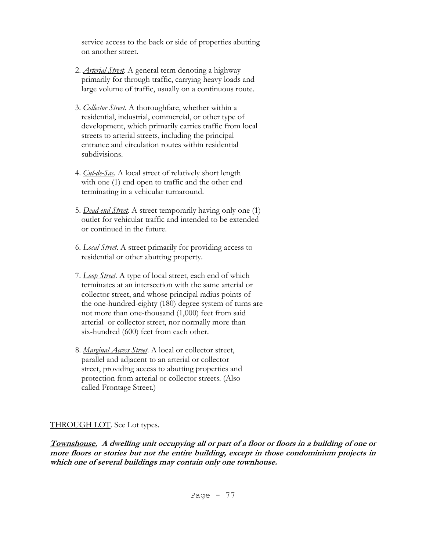service access to the back or side of properties abutting on another street.

- 2. *Arterial Street*. A general term denoting a highway primarily for through traffic, carrying heavy loads and large volume of traffic, usually on a continuous route.
- 3. *Collector Street*. A thoroughfare, whether within a residential, industrial, commercial, or other type of development, which primarily carries traffic from local streets to arterial streets, including the principal entrance and circulation routes within residential subdivisions.
- 4. *Cul-de-Sac*. A local street of relatively short length with one (1) end open to traffic and the other end terminating in a vehicular turnaround.
- 5. *Dead-end Street*. A street temporarily having only one (1) outlet for vehicular traffic and intended to be extended or continued in the future.
- 6. *Local Street*. A street primarily for providing access to residential or other abutting property.
- 7. *Loop Street*. A type of local street, each end of which terminates at an intersection with the same arterial or collector street, and whose principal radius points of the one-hundred-eighty (180) degree system of turns are not more than one-thousand (1,000) feet from said arterial or collector street, nor normally more than six-hundred (600) feet from each other.
- 8. *Marginal Access Street*. A local or collector street, parallel and adjacent to an arterial or collector street, providing access to abutting properties and protection from arterial or collector streets. (Also called Frontage Street.)

## THROUGH LOT. See Lot types.

**Townshouse. A dwelling unit occupying all or part of a floor or floors in a building of one or more floors or stories but not the entire building, except in those condominium projects in which one of several buildings may contain only one townhouse.**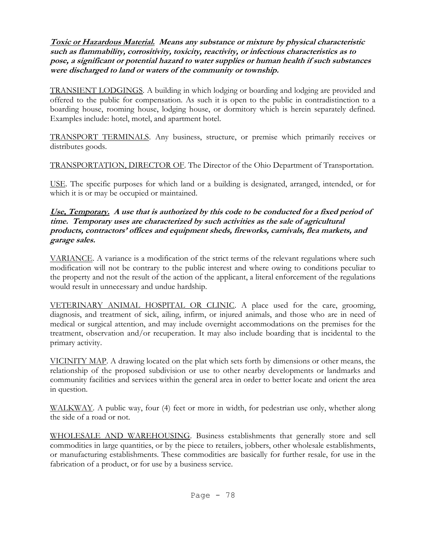## **Toxic or Hazardous Material. Means any substance or mixture by physical characteristic such as flammability, corrositivity, toxicity, reactivity, or infectious characteristics as to pose, a significant or potential hazard to water supplies or human health if such substances were discharged to land or waters of the community or township.**

TRANSIENT LODGINGS. A building in which lodging or boarding and lodging are provided and offered to the public for compensation. As such it is open to the public in contradistinction to a boarding house, rooming house, lodging house, or dormitory which is herein separately defined. Examples include: hotel, motel, and apartment hotel.

TRANSPORT TERMINALS. Any business, structure, or premise which primarily receives or distributes goods.

TRANSPORTATION, DIRECTOR OF. The Director of the Ohio Department of Transportation.

USE. The specific purposes for which land or a building is designated, arranged, intended, or for which it is or may be occupied or maintained.

#### **Use, Temporary. A use that is authorized by this code to be conducted for a fixed period of time. Temporary uses are characterized by such activities as the sale of agricultural products, contractors' offices and equipment sheds, fireworks, carnivals, flea markets, and garage sales.**

VARIANCE. A variance is a modification of the strict terms of the relevant regulations where such modification will not be contrary to the public interest and where owing to conditions peculiar to the property and not the result of the action of the applicant, a literal enforcement of the regulations would result in unnecessary and undue hardship.

VETERINARY ANIMAL HOSPITAL OR CLINIC. A place used for the care, grooming, diagnosis, and treatment of sick, ailing, infirm, or injured animals, and those who are in need of medical or surgical attention, and may include overnight accommodations on the premises for the treatment, observation and/or recuperation. It may also include boarding that is incidental to the primary activity.

VICINITY MAP. A drawing located on the plat which sets forth by dimensions or other means, the relationship of the proposed subdivision or use to other nearby developments or landmarks and community facilities and services within the general area in order to better locate and orient the area in question.

WALKWAY. A public way, four (4) feet or more in width, for pedestrian use only, whether along the side of a road or not.

WHOLESALE AND WAREHOUSING. Business establishments that generally store and sell commodities in large quantities, or by the piece to retailers, jobbers, other wholesale establishments, or manufacturing establishments. These commodities are basically for further resale, for use in the fabrication of a product, or for use by a business service.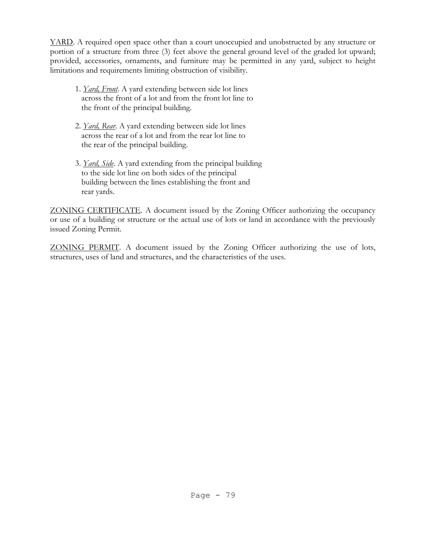YARD. A required open space other than a court unoccupied and unobstructed by any structure or portion of a structure from three (3) feet above the general ground level of the graded lot upward; provided, accessories, ornaments, and furniture may be permitted in any yard, subject to height limitations and requirements limiting obstruction of visibility.

- 1. *Yard, Front*. A yard extending between side lot lines across the front of a lot and from the front lot line to the front of the principal building.
- 2. *Yard, Rear*. A yard extending between side lot lines across the rear of a lot and from the rear lot line to the rear of the principal building.
- 3. *Yard, Side*. A yard extending from the principal building to the side lot line on both sides of the principal building between the lines establishing the front and rear yards.

ZONING CERTIFICATE. A document issued by the Zoning Officer authorizing the occupancy or use of a building or structure or the actual use of lots or land in accordance with the previously issued Zoning Permit.

ZONING PERMIT. A document issued by the Zoning Officer authorizing the use of lots, structures, uses of land and structures, and the characteristics of the uses.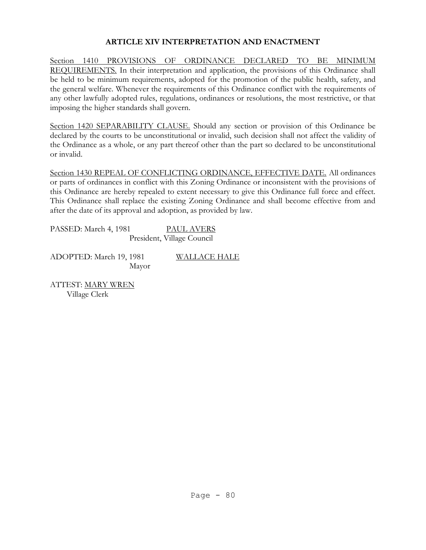# **ARTICLE XIV INTERPRETATION AND ENACTMENT**

Section 1410 PROVISIONS OF ORDINANCE DECLARED TO BE MINIMUM REQUIREMENTS. In their interpretation and application, the provisions of this Ordinance shall be held to be minimum requirements, adopted for the promotion of the public health, safety, and the general welfare. Whenever the requirements of this Ordinance conflict with the requirements of any other lawfully adopted rules, regulations, ordinances or resolutions, the most restrictive, or that imposing the higher standards shall govern.

Section 1420 SEPARABILITY CLAUSE. Should any section or provision of this Ordinance be declared by the courts to be unconstitutional or invalid, such decision shall not affect the validity of the Ordinance as a whole, or any part thereof other than the part so declared to be unconstitutional or invalid.

Section 1430 REPEAL OF CONFLICTING ORDINANCE, EFFECTIVE DATE. All ordinances or parts of ordinances in conflict with this Zoning Ordinance or inconsistent with the provisions of this Ordinance are hereby repealed to extent necessary to give this Ordinance full force and effect. This Ordinance shall replace the existing Zoning Ordinance and shall become effective from and after the date of its approval and adoption, as provided by law.

PASSED: March 4, 1981 PAUL AVERS President, Village Council

ADOPTED: March 19, 1981 WALLACE HALE Mayor

ATTEST: MARY WREN Village Clerk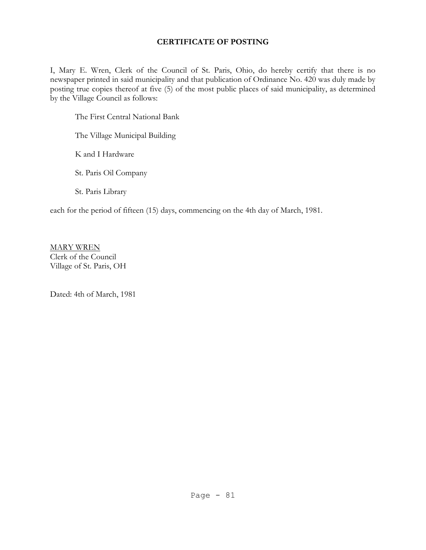# **CERTIFICATE OF POSTING**

I, Mary E. Wren, Clerk of the Council of St. Paris, Ohio, do hereby certify that there is no newspaper printed in said municipality and that publication of Ordinance No. 420 was duly made by posting true copies thereof at five (5) of the most public places of said municipality, as determined by the Village Council as follows:

The First Central National Bank

The Village Municipal Building

K and I Hardware

St. Paris Oil Company

St. Paris Library

each for the period of fifteen (15) days, commencing on the 4th day of March, 1981.

MARY WREN Clerk of the Council Village of St. Paris, OH

Dated: 4th of March, 1981